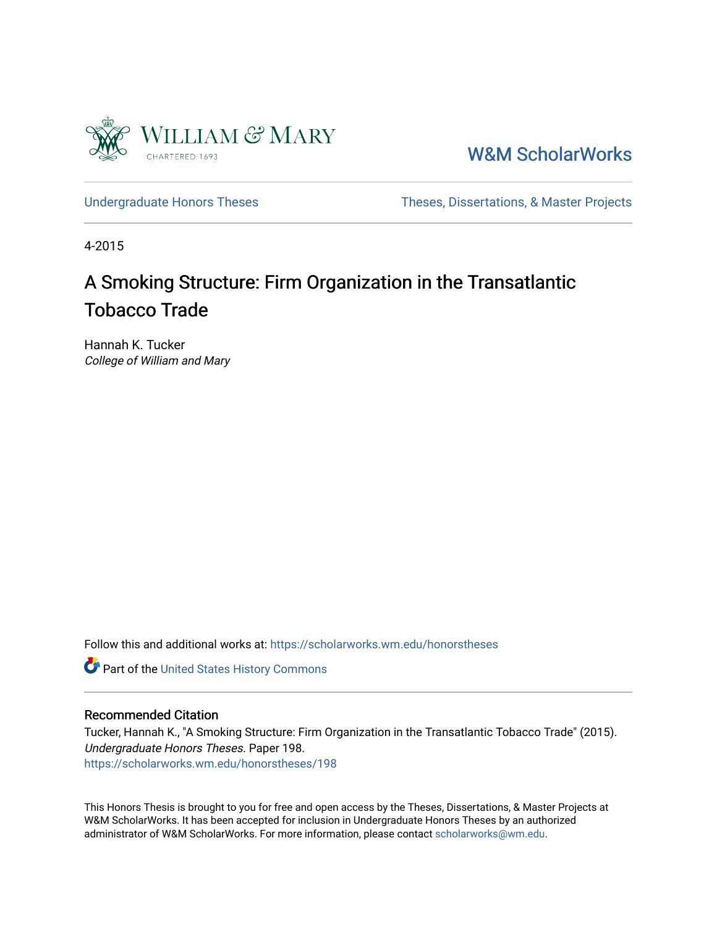

[W&M ScholarWorks](https://scholarworks.wm.edu/) 

[Undergraduate Honors Theses](https://scholarworks.wm.edu/honorstheses) Theses Theses, Dissertations, & Master Projects

4-2015

# A Smoking Structure: Firm Organization in the Transatlantic Tobacco Trade

Hannah K. Tucker College of William and Mary

Follow this and additional works at: [https://scholarworks.wm.edu/honorstheses](https://scholarworks.wm.edu/honorstheses?utm_source=scholarworks.wm.edu%2Fhonorstheses%2F198&utm_medium=PDF&utm_campaign=PDFCoverPages) 

Part of the [United States History Commons](http://network.bepress.com/hgg/discipline/495?utm_source=scholarworks.wm.edu%2Fhonorstheses%2F198&utm_medium=PDF&utm_campaign=PDFCoverPages) 

#### Recommended Citation

Tucker, Hannah K., "A Smoking Structure: Firm Organization in the Transatlantic Tobacco Trade" (2015). Undergraduate Honors Theses. Paper 198. [https://scholarworks.wm.edu/honorstheses/198](https://scholarworks.wm.edu/honorstheses/198?utm_source=scholarworks.wm.edu%2Fhonorstheses%2F198&utm_medium=PDF&utm_campaign=PDFCoverPages) 

This Honors Thesis is brought to you for free and open access by the Theses, Dissertations, & Master Projects at W&M ScholarWorks. It has been accepted for inclusion in Undergraduate Honors Theses by an authorized administrator of W&M ScholarWorks. For more information, please contact [scholarworks@wm.edu.](mailto:scholarworks@wm.edu)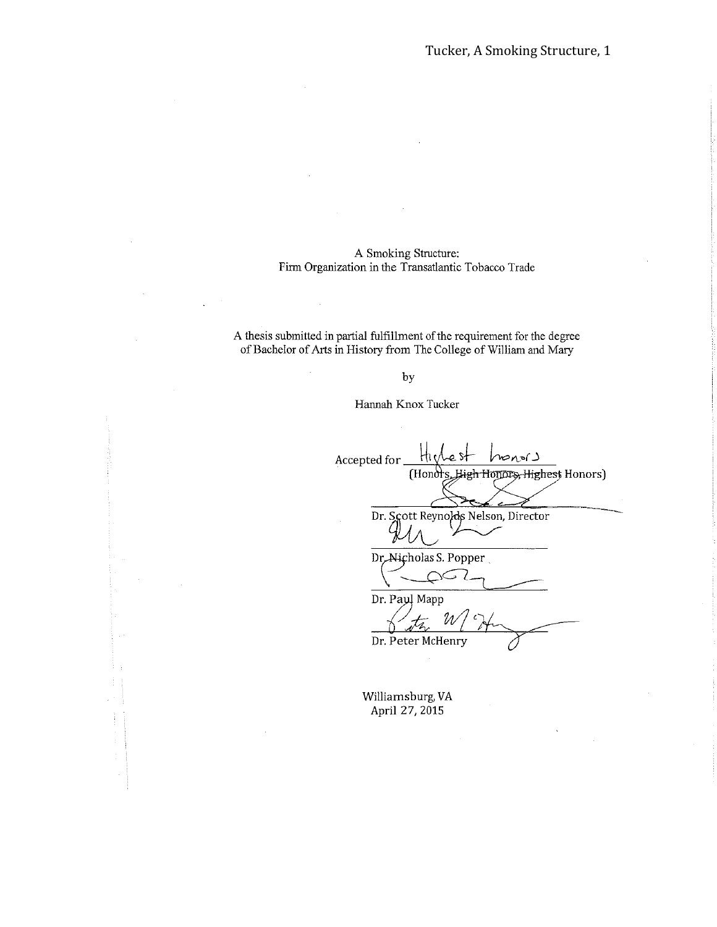## A Smoking Structure: Firm Organization in the Transatlantic Tobacco Trade

A thesis submitted in partial fulfillment of the requirement for the degree of Bachelor of Arts in History from The College of William and Mary

by

Hannah Knox Tucker

Accepted for monorJ (Honors High Honors, Highest Honors) Dr. Scott Reynolds Nelson, Director Dr. Nicholas S. Popper حند Dr. Paul Mapp Dr. Peter McHenry

Williamsburg, VA April 27, 2015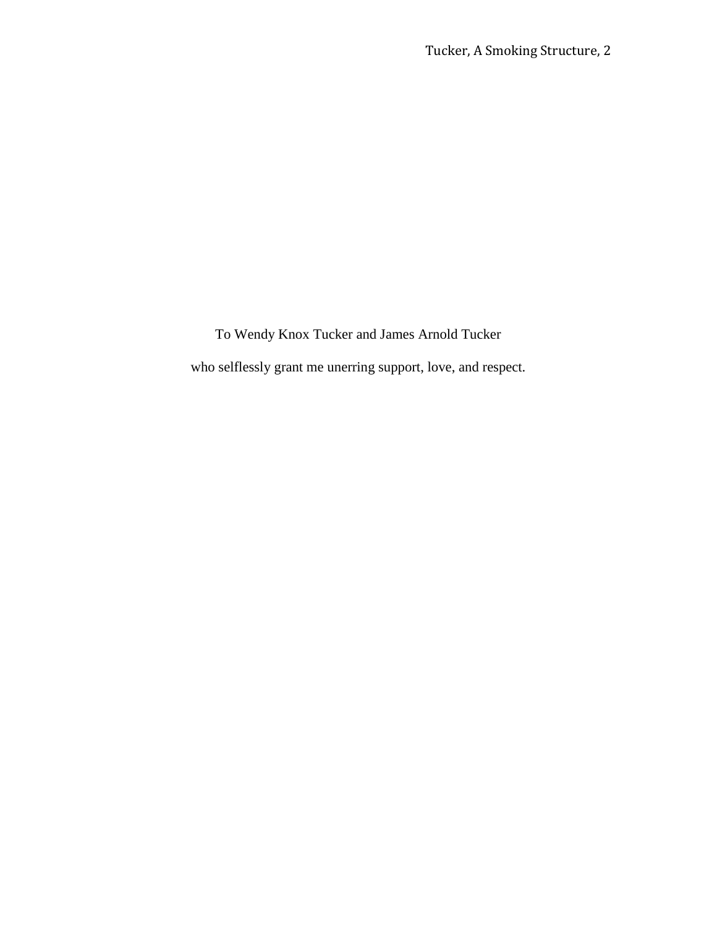To Wendy Knox Tucker and James Arnold Tucker who selflessly grant me unerring support, love, and respect.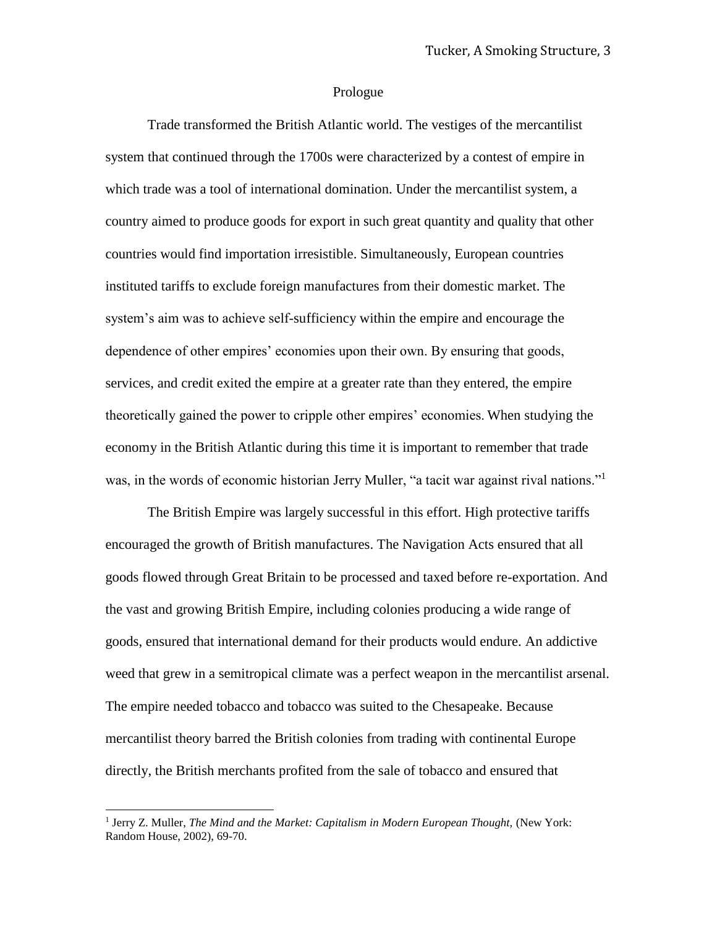#### Prologue

Trade transformed the British Atlantic world. The vestiges of the mercantilist system that continued through the 1700s were characterized by a contest of empire in which trade was a tool of international domination. Under the mercantilist system, a country aimed to produce goods for export in such great quantity and quality that other countries would find importation irresistible. Simultaneously, European countries instituted tariffs to exclude foreign manufactures from their domestic market. The system's aim was to achieve self-sufficiency within the empire and encourage the dependence of other empires' economies upon their own. By ensuring that goods, services, and credit exited the empire at a greater rate than they entered, the empire theoretically gained the power to cripple other empires' economies. When studying the economy in the British Atlantic during this time it is important to remember that trade was, in the words of economic historian Jerry Muller, "a tacit war against rival nations."<sup>1</sup>

The British Empire was largely successful in this effort. High protective tariffs encouraged the growth of British manufactures. The Navigation Acts ensured that all goods flowed through Great Britain to be processed and taxed before re-exportation. And the vast and growing British Empire, including colonies producing a wide range of goods, ensured that international demand for their products would endure. An addictive weed that grew in a semitropical climate was a perfect weapon in the mercantilist arsenal. The empire needed tobacco and tobacco was suited to the Chesapeake. Because mercantilist theory barred the British colonies from trading with continental Europe directly, the British merchants profited from the sale of tobacco and ensured that

l

<sup>&</sup>lt;sup>1</sup> Jerry Z. Muller, *The Mind and the Market: Capitalism in Modern European Thought, (New York:* Random House, 2002), 69-70.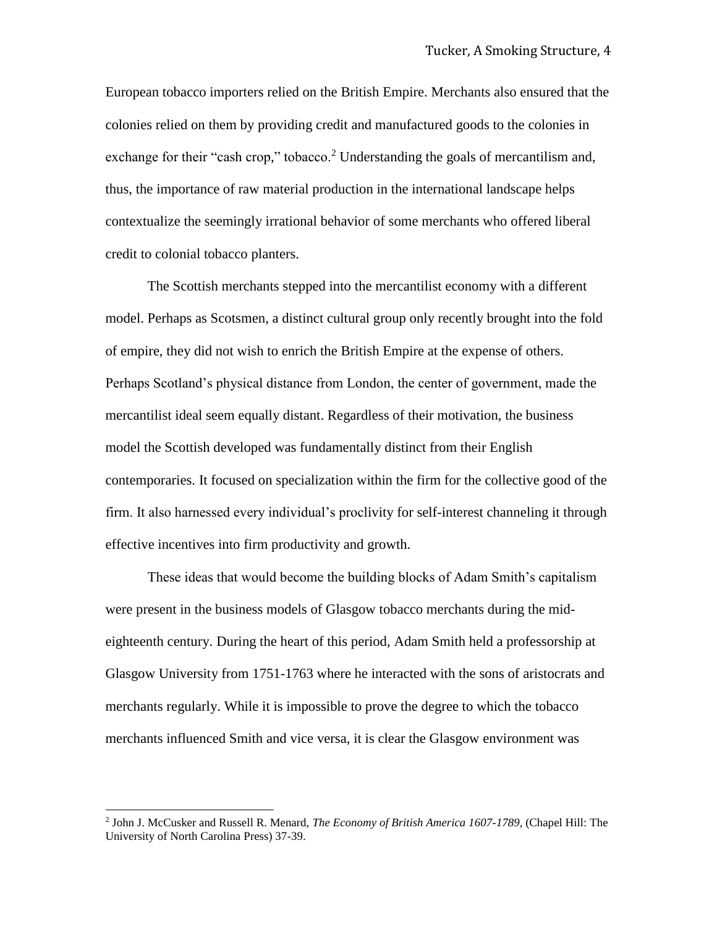European tobacco importers relied on the British Empire. Merchants also ensured that the colonies relied on them by providing credit and manufactured goods to the colonies in exchange for their "cash crop," tobacco.<sup>2</sup> Understanding the goals of mercantilism and, thus, the importance of raw material production in the international landscape helps contextualize the seemingly irrational behavior of some merchants who offered liberal credit to colonial tobacco planters.

The Scottish merchants stepped into the mercantilist economy with a different model. Perhaps as Scotsmen, a distinct cultural group only recently brought into the fold of empire, they did not wish to enrich the British Empire at the expense of others. Perhaps Scotland's physical distance from London, the center of government, made the mercantilist ideal seem equally distant. Regardless of their motivation, the business model the Scottish developed was fundamentally distinct from their English contemporaries. It focused on specialization within the firm for the collective good of the firm. It also harnessed every individual's proclivity for self-interest channeling it through effective incentives into firm productivity and growth.

These ideas that would become the building blocks of Adam Smith's capitalism were present in the business models of Glasgow tobacco merchants during the mideighteenth century. During the heart of this period, Adam Smith held a professorship at Glasgow University from 1751-1763 where he interacted with the sons of aristocrats and merchants regularly. While it is impossible to prove the degree to which the tobacco merchants influenced Smith and vice versa, it is clear the Glasgow environment was

l

<sup>2</sup> John J. McCusker and Russell R. Menard, *The Economy of British America 1607-1789,* (Chapel Hill: The University of North Carolina Press) 37-39.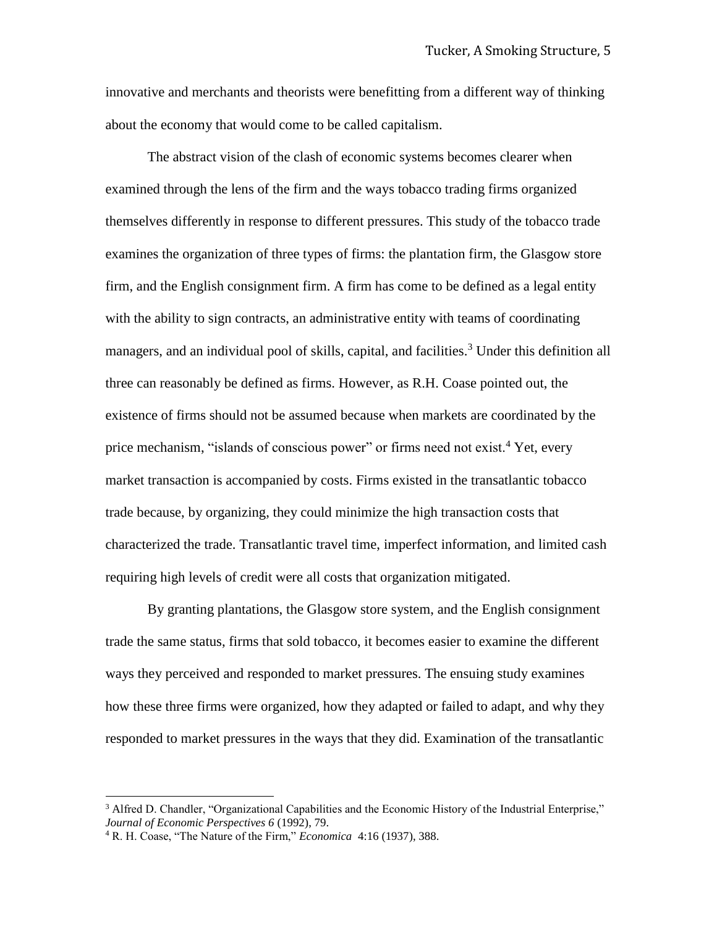innovative and merchants and theorists were benefitting from a different way of thinking about the economy that would come to be called capitalism.

The abstract vision of the clash of economic systems becomes clearer when examined through the lens of the firm and the ways tobacco trading firms organized themselves differently in response to different pressures. This study of the tobacco trade examines the organization of three types of firms: the plantation firm, the Glasgow store firm, and the English consignment firm. A firm has come to be defined as a legal entity with the ability to sign contracts, an administrative entity with teams of coordinating managers, and an individual pool of skills, capital, and facilities.<sup>3</sup> Under this definition all three can reasonably be defined as firms. However, as R.H. Coase pointed out, the existence of firms should not be assumed because when markets are coordinated by the price mechanism, "islands of conscious power" or firms need not exist.<sup>4</sup> Yet, every market transaction is accompanied by costs. Firms existed in the transatlantic tobacco trade because, by organizing, they could minimize the high transaction costs that characterized the trade. Transatlantic travel time, imperfect information, and limited cash requiring high levels of credit were all costs that organization mitigated.

By granting plantations, the Glasgow store system, and the English consignment trade the same status, firms that sold tobacco, it becomes easier to examine the different ways they perceived and responded to market pressures. The ensuing study examines how these three firms were organized, how they adapted or failed to adapt, and why they responded to market pressures in the ways that they did. Examination of the transatlantic

<sup>&</sup>lt;sup>3</sup> Alfred D. Chandler, "Organizational Capabilities and the Economic History of the Industrial Enterprise," *Journal of Economic Perspectives 6* (1992), 79.

<sup>4</sup> R. H. Coase, "The Nature of the Firm," *Economica* 4:16 (1937), 388.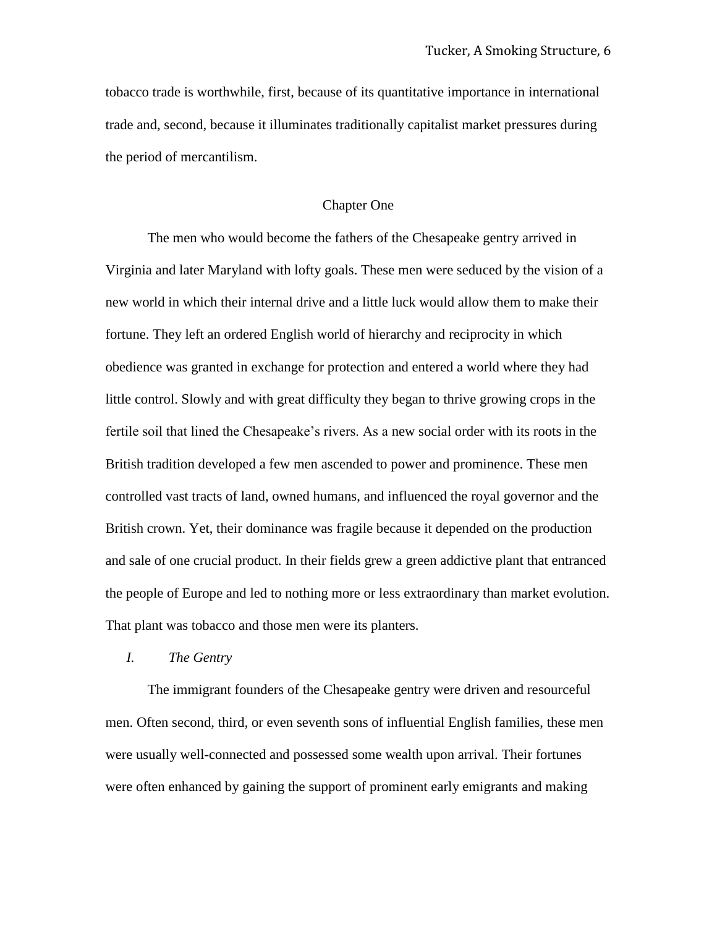tobacco trade is worthwhile, first, because of its quantitative importance in international trade and, second, because it illuminates traditionally capitalist market pressures during the period of mercantilism.

# Chapter One

The men who would become the fathers of the Chesapeake gentry arrived in Virginia and later Maryland with lofty goals. These men were seduced by the vision of a new world in which their internal drive and a little luck would allow them to make their fortune. They left an ordered English world of hierarchy and reciprocity in which obedience was granted in exchange for protection and entered a world where they had little control. Slowly and with great difficulty they began to thrive growing crops in the fertile soil that lined the Chesapeake's rivers. As a new social order with its roots in the British tradition developed a few men ascended to power and prominence. These men controlled vast tracts of land, owned humans, and influenced the royal governor and the British crown. Yet, their dominance was fragile because it depended on the production and sale of one crucial product. In their fields grew a green addictive plant that entranced the people of Europe and led to nothing more or less extraordinary than market evolution. That plant was tobacco and those men were its planters.

# *I. The Gentry*

The immigrant founders of the Chesapeake gentry were driven and resourceful men. Often second, third, or even seventh sons of influential English families, these men were usually well-connected and possessed some wealth upon arrival. Their fortunes were often enhanced by gaining the support of prominent early emigrants and making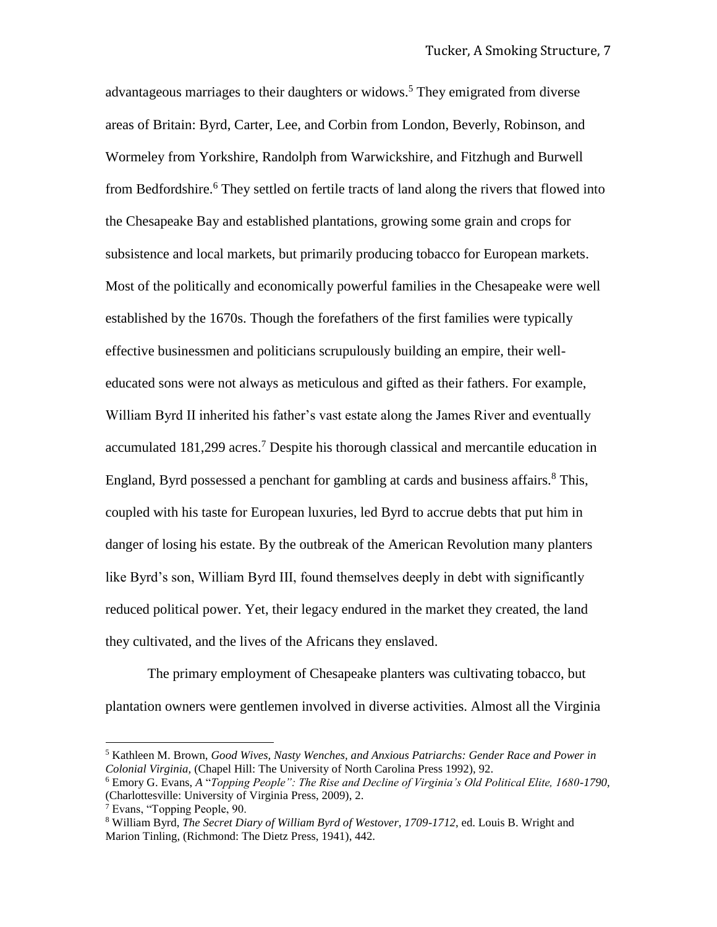advantageous marriages to their daughters or widows.<sup>5</sup> They emigrated from diverse areas of Britain: Byrd, Carter, Lee, and Corbin from London, Beverly, Robinson, and Wormeley from Yorkshire, Randolph from Warwickshire, and Fitzhugh and Burwell from Bedfordshire.<sup>6</sup> They settled on fertile tracts of land along the rivers that flowed into the Chesapeake Bay and established plantations, growing some grain and crops for subsistence and local markets, but primarily producing tobacco for European markets. Most of the politically and economically powerful families in the Chesapeake were well established by the 1670s. Though the forefathers of the first families were typically effective businessmen and politicians scrupulously building an empire, their welleducated sons were not always as meticulous and gifted as their fathers. For example, William Byrd II inherited his father's vast estate along the James River and eventually accumulated  $181,299$  acres.<sup>7</sup> Despite his thorough classical and mercantile education in England, Byrd possessed a penchant for gambling at cards and business affairs. $8$  This, coupled with his taste for European luxuries, led Byrd to accrue debts that put him in danger of losing his estate. By the outbreak of the American Revolution many planters like Byrd's son, William Byrd III, found themselves deeply in debt with significantly reduced political power. Yet, their legacy endured in the market they created, the land they cultivated, and the lives of the Africans they enslaved.

The primary employment of Chesapeake planters was cultivating tobacco, but plantation owners were gentlemen involved in diverse activities. Almost all the Virginia

<sup>5</sup> Kathleen M. Brown, *Good Wives, Nasty Wenches, and Anxious Patriarchs: Gender Race and Power in Colonial Virginia,* (Chapel Hill: The University of North Carolina Press 1992), 92.

<sup>6</sup> Emory G. Evans, *A* "*Topping People": The Rise and Decline of Virginia's Old Political Elite, 1680-1790,*  (Charlottesville: University of Virginia Press, 2009), 2.

<sup>7</sup> Evans, "Topping People, 90.

<sup>8</sup> William Byrd, *The Secret Diary of William Byrd of Westover, 1709-1712*, ed. Louis B. Wright and Marion Tinling, (Richmond: The Dietz Press, 1941), 442.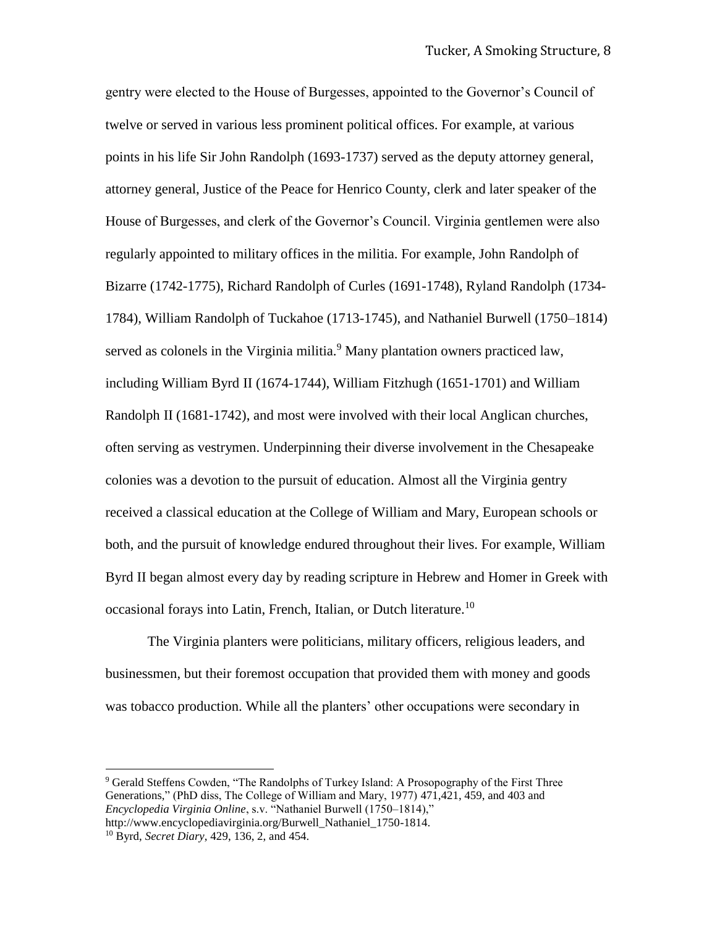gentry were elected to the House of Burgesses, appointed to the Governor's Council of twelve or served in various less prominent political offices. For example, at various points in his life Sir John Randolph (1693-1737) served as the deputy attorney general, attorney general, Justice of the Peace for Henrico County, clerk and later speaker of the House of Burgesses, and clerk of the Governor's Council. Virginia gentlemen were also regularly appointed to military offices in the militia. For example, John Randolph of Bizarre (1742-1775), Richard Randolph of Curles (1691-1748), Ryland Randolph (1734- 1784), William Randolph of Tuckahoe (1713-1745), and Nathaniel Burwell (1750–1814) served as colonels in the Virginia militia.<sup>9</sup> Many plantation owners practiced law, including William Byrd II (1674-1744), William Fitzhugh (1651-1701) and William Randolph II (1681-1742), and most were involved with their local Anglican churches, often serving as vestrymen. Underpinning their diverse involvement in the Chesapeake colonies was a devotion to the pursuit of education. Almost all the Virginia gentry received a classical education at the College of William and Mary, European schools or both, and the pursuit of knowledge endured throughout their lives. For example, William Byrd II began almost every day by reading scripture in Hebrew and Homer in Greek with occasional forays into Latin, French, Italian, or Dutch literature.<sup>10</sup>

The Virginia planters were politicians, military officers, religious leaders, and businessmen, but their foremost occupation that provided them with money and goods was tobacco production. While all the planters' other occupations were secondary in

<sup>9</sup> Gerald Steffens Cowden, "The Randolphs of Turkey Island: A Prosopography of the First Three Generations," (PhD diss, The College of William and Mary, 1977) 471,421, 459, and 403 and *Encyclopedia Virginia Online*, s.v. "Nathaniel Burwell (1750–1814)," http://www.encyclopediavirginia.org/Burwell\_Nathaniel\_1750-1814.

<sup>10</sup> Byrd, *Secret Diary*, 429, 136, 2, and 454.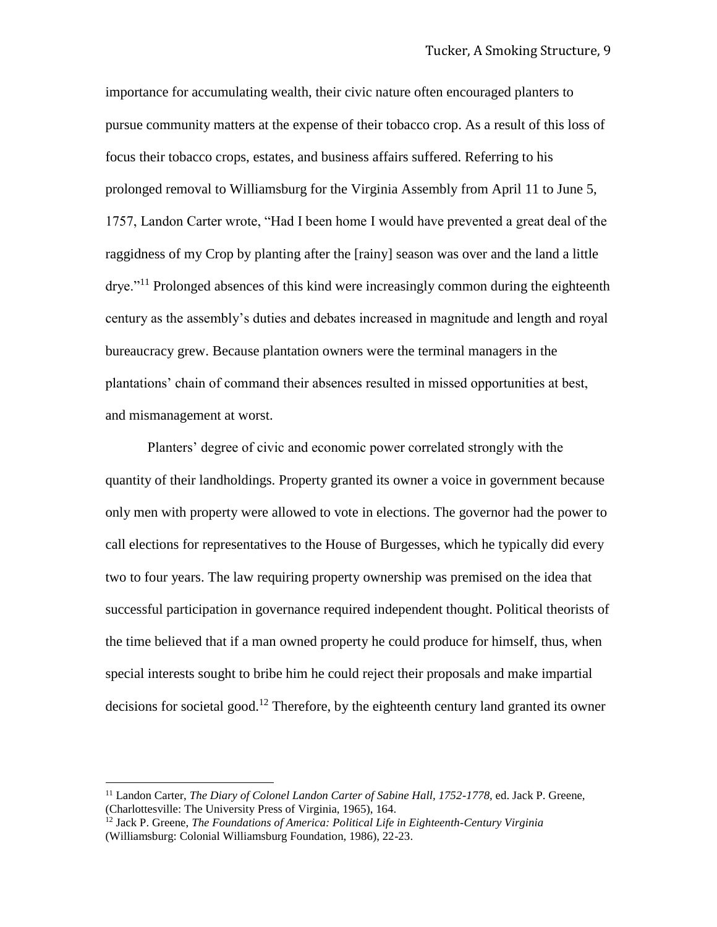importance for accumulating wealth, their civic nature often encouraged planters to pursue community matters at the expense of their tobacco crop. As a result of this loss of focus their tobacco crops, estates, and business affairs suffered. Referring to his prolonged removal to Williamsburg for the Virginia Assembly from April 11 to June 5, 1757, Landon Carter wrote, "Had I been home I would have prevented a great deal of the raggidness of my Crop by planting after the [rainy] season was over and the land a little drye."<sup>11</sup> Prolonged absences of this kind were increasingly common during the eighteenth century as the assembly's duties and debates increased in magnitude and length and royal bureaucracy grew. Because plantation owners were the terminal managers in the plantations' chain of command their absences resulted in missed opportunities at best, and mismanagement at worst.

Planters' degree of civic and economic power correlated strongly with the quantity of their landholdings. Property granted its owner a voice in government because only men with property were allowed to vote in elections. The governor had the power to call elections for representatives to the House of Burgesses, which he typically did every two to four years. The law requiring property ownership was premised on the idea that successful participation in governance required independent thought. Political theorists of the time believed that if a man owned property he could produce for himself, thus, when special interests sought to bribe him he could reject their proposals and make impartial decisions for societal good.<sup>12</sup> Therefore, by the eighteenth century land granted its owner

<sup>&</sup>lt;sup>11</sup> Landon Carter, *The Diary of Colonel Landon Carter of Sabine Hall, 1752-1778*, ed. Jack P. Greene, (Charlottesville: The University Press of Virginia, 1965), 164.

<sup>12</sup> Jack P. Greene, *The Foundations of America: Political Life in Eighteenth-Century Virginia*  (Williamsburg: Colonial Williamsburg Foundation, 1986), 22-23.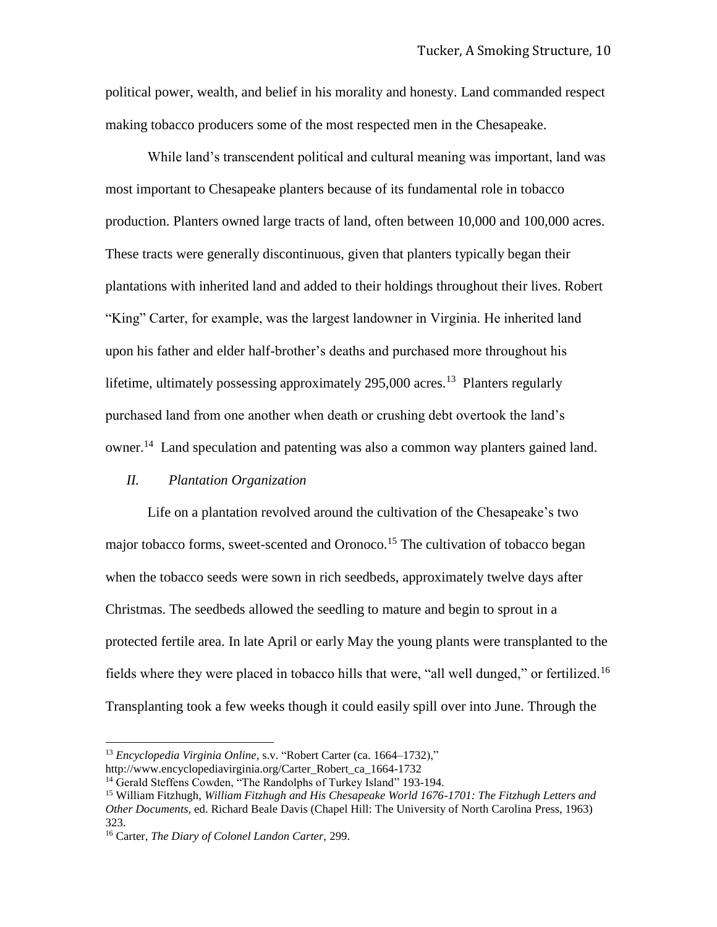political power, wealth, and belief in his morality and honesty. Land commanded respect making tobacco producers some of the most respected men in the Chesapeake.

While land's transcendent political and cultural meaning was important, land was most important to Chesapeake planters because of its fundamental role in tobacco production. Planters owned large tracts of land, often between 10,000 and 100,000 acres. These tracts were generally discontinuous, given that planters typically began their plantations with inherited land and added to their holdings throughout their lives. Robert "King" Carter, for example, was the largest landowner in Virginia. He inherited land upon his father and elder half-brother's deaths and purchased more throughout his lifetime, ultimately possessing approximately  $295,000$  acres.<sup>13</sup> Planters regularly purchased land from one another when death or crushing debt overtook the land's owner.<sup>14</sup> Land speculation and patenting was also a common way planters gained land.

# *II. Plantation Organization*

Life on a plantation revolved around the cultivation of the Chesapeake's two major tobacco forms, sweet-scented and Oronoco.<sup>15</sup> The cultivation of tobacco began when the tobacco seeds were sown in rich seedbeds, approximately twelve days after Christmas. The seedbeds allowed the seedling to mature and begin to sprout in a protected fertile area. In late April or early May the young plants were transplanted to the fields where they were placed in tobacco hills that were, "all well dunged," or fertilized.<sup>16</sup> Transplanting took a few weeks though it could easily spill over into June. Through the

<sup>13</sup> *Encyclopedia Virginia Online,* s.v. "Robert Carter (ca. 1664–1732),"

http://www.encyclopediavirginia.org/Carter\_Robert\_ca\_1664-1732

<sup>&</sup>lt;sup>14</sup> Gerald Steffens Cowden, "The Randolphs of Turkey Island" 193-194.

<sup>15</sup> William Fitzhugh, *William Fitzhugh and His Chesapeake World 1676-1701: The Fitzhugh Letters and Other Documents,* ed. Richard Beale Davis (Chapel Hill: The University of North Carolina Press, 1963) 323.

<sup>16</sup> Carter, *The Diary of Colonel Landon Carter,* 299.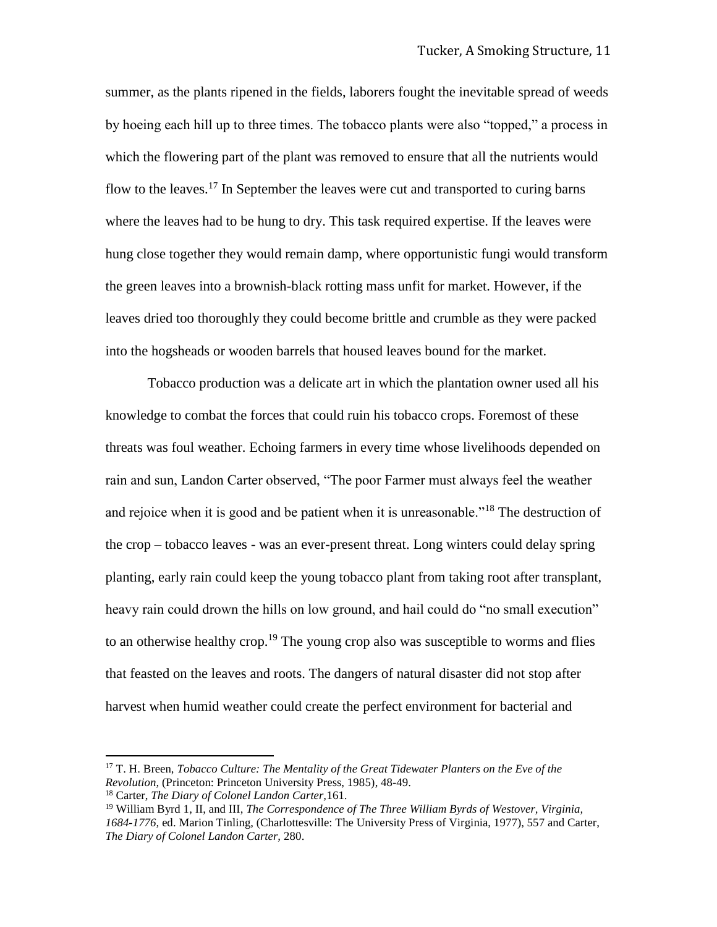summer, as the plants ripened in the fields, laborers fought the inevitable spread of weeds by hoeing each hill up to three times. The tobacco plants were also "topped," a process in which the flowering part of the plant was removed to ensure that all the nutrients would flow to the leaves.<sup>17</sup> In September the leaves were cut and transported to curing barns where the leaves had to be hung to dry. This task required expertise. If the leaves were hung close together they would remain damp, where opportunistic fungi would transform the green leaves into a brownish-black rotting mass unfit for market. However, if the leaves dried too thoroughly they could become brittle and crumble as they were packed into the hogsheads or wooden barrels that housed leaves bound for the market.

Tobacco production was a delicate art in which the plantation owner used all his knowledge to combat the forces that could ruin his tobacco crops. Foremost of these threats was foul weather. Echoing farmers in every time whose livelihoods depended on rain and sun, Landon Carter observed, "The poor Farmer must always feel the weather and rejoice when it is good and be patient when it is unreasonable."<sup>18</sup> The destruction of the crop – tobacco leaves - was an ever-present threat. Long winters could delay spring planting, early rain could keep the young tobacco plant from taking root after transplant, heavy rain could drown the hills on low ground, and hail could do "no small execution" to an otherwise healthy crop.<sup>19</sup> The young crop also was susceptible to worms and flies that feasted on the leaves and roots. The dangers of natural disaster did not stop after harvest when humid weather could create the perfect environment for bacterial and

<sup>17</sup> T. H. Breen, *Tobacco Culture: The Mentality of the Great Tidewater Planters on the Eve of the Revolution,* (Princeton: Princeton University Press, 1985), 48-49.

<sup>18</sup> Carter, *The Diary of Colonel Landon Carter,*161.

<sup>19</sup> William Byrd 1, II, and III, *The Correspondence of The Three William Byrds of Westover, Virginia, 1684-1776,* ed. Marion Tinling, (Charlottesville: The University Press of Virginia, 1977), 557 and Carter, *The Diary of Colonel Landon Carter,* 280.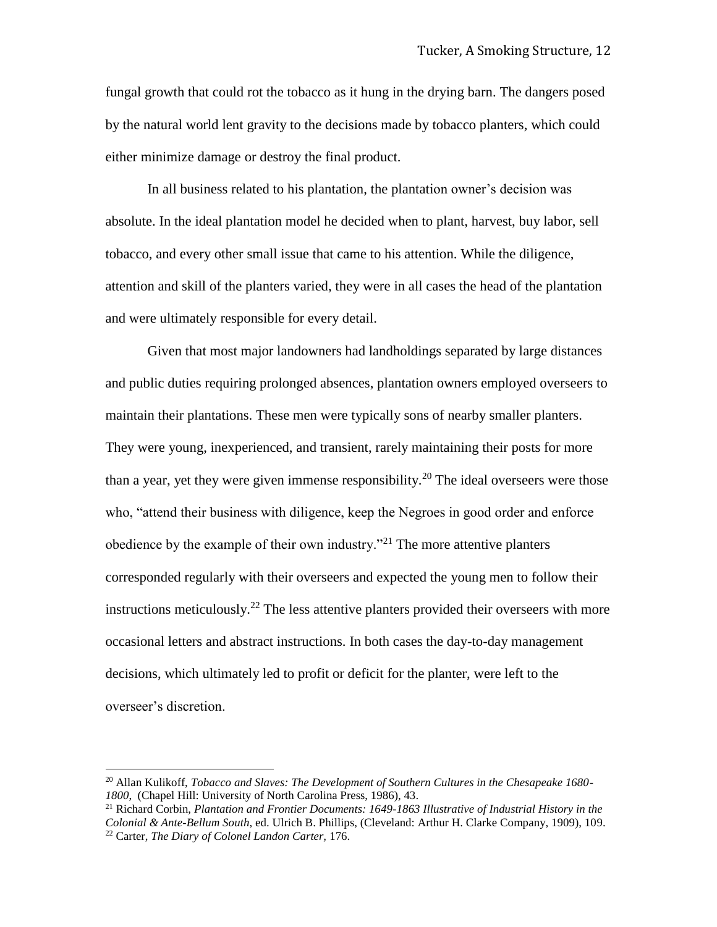fungal growth that could rot the tobacco as it hung in the drying barn. The dangers posed by the natural world lent gravity to the decisions made by tobacco planters, which could either minimize damage or destroy the final product.

In all business related to his plantation, the plantation owner's decision was absolute. In the ideal plantation model he decided when to plant, harvest, buy labor, sell tobacco, and every other small issue that came to his attention. While the diligence, attention and skill of the planters varied, they were in all cases the head of the plantation and were ultimately responsible for every detail.

Given that most major landowners had landholdings separated by large distances and public duties requiring prolonged absences, plantation owners employed overseers to maintain their plantations. These men were typically sons of nearby smaller planters. They were young, inexperienced, and transient, rarely maintaining their posts for more than a year, yet they were given immense responsibility.<sup>20</sup> The ideal overseers were those who, "attend their business with diligence, keep the Negroes in good order and enforce obedience by the example of their own industry.<sup>"21</sup> The more attentive planters corresponded regularly with their overseers and expected the young men to follow their instructions meticulously.<sup>22</sup> The less attentive planters provided their overseers with more occasional letters and abstract instructions. In both cases the day-to-day management decisions, which ultimately led to profit or deficit for the planter, were left to the overseer's discretion.

 $\overline{\phantom{a}}$ 

<sup>21</sup> Richard Corbin, *Plantation and Frontier Documents: 1649-1863 Illustrative of Industrial History in the Colonial & Ante-Bellum South*, ed. Ulrich B. Phillips, (Cleveland: Arthur H. Clarke Company, 1909), 109. <sup>22</sup> Carter, *The Diary of Colonel Landon Carter,* 176.

<sup>20</sup> Allan Kulikoff, *Tobacco and Slaves: The Development of Southern Cultures in the Chesapeake 1680- 1800*, (Chapel Hill: University of North Carolina Press, 1986), 43.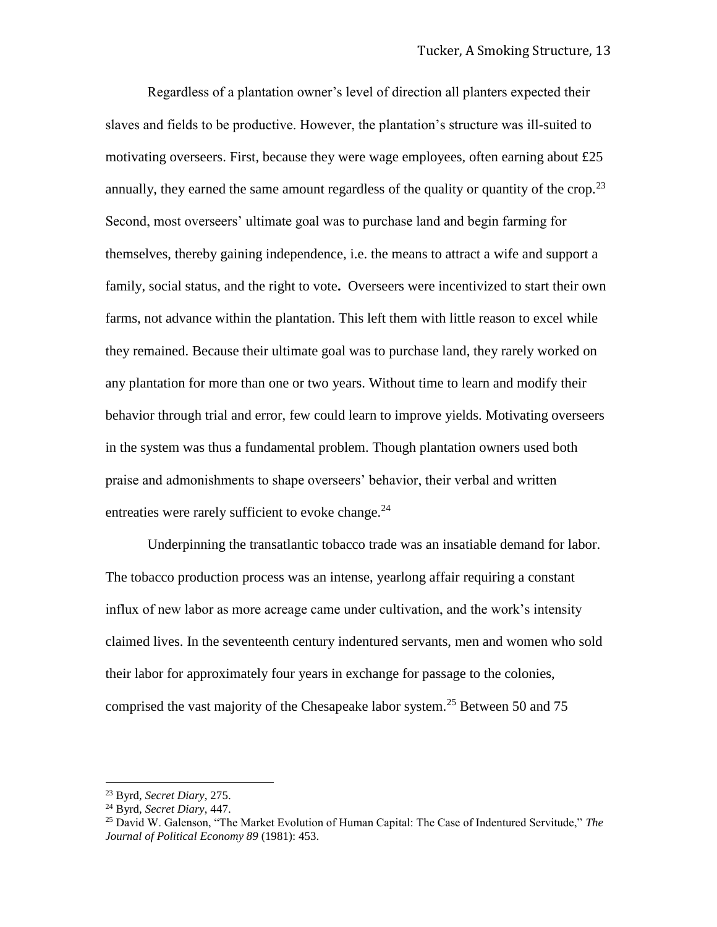Regardless of a plantation owner's level of direction all planters expected their slaves and fields to be productive. However, the plantation's structure was ill-suited to motivating overseers. First, because they were wage employees, often earning about £25 annually, they earned the same amount regardless of the quality or quantity of the crop.<sup>23</sup> Second, most overseers' ultimate goal was to purchase land and begin farming for themselves, thereby gaining independence, i.e. the means to attract a wife and support a family, social status, and the right to vote**.** Overseers were incentivized to start their own farms, not advance within the plantation. This left them with little reason to excel while they remained. Because their ultimate goal was to purchase land, they rarely worked on any plantation for more than one or two years. Without time to learn and modify their behavior through trial and error, few could learn to improve yields. Motivating overseers in the system was thus a fundamental problem. Though plantation owners used both praise and admonishments to shape overseers' behavior, their verbal and written entreaties were rarely sufficient to evoke change.<sup>24</sup>

Underpinning the transatlantic tobacco trade was an insatiable demand for labor. The tobacco production process was an intense, yearlong affair requiring a constant influx of new labor as more acreage came under cultivation, and the work's intensity claimed lives. In the seventeenth century indentured servants, men and women who sold their labor for approximately four years in exchange for passage to the colonies, comprised the vast majority of the Chesapeake labor system.<sup>25</sup> Between 50 and 75

<sup>23</sup> Byrd, *Secret Diary*, 275.

<sup>24</sup> Byrd, *Secret Diary*, 447.

<sup>25</sup> David W. Galenson, "The Market Evolution of Human Capital: The Case of Indentured Servitude," *The Journal of Political Economy 89* (1981): 453.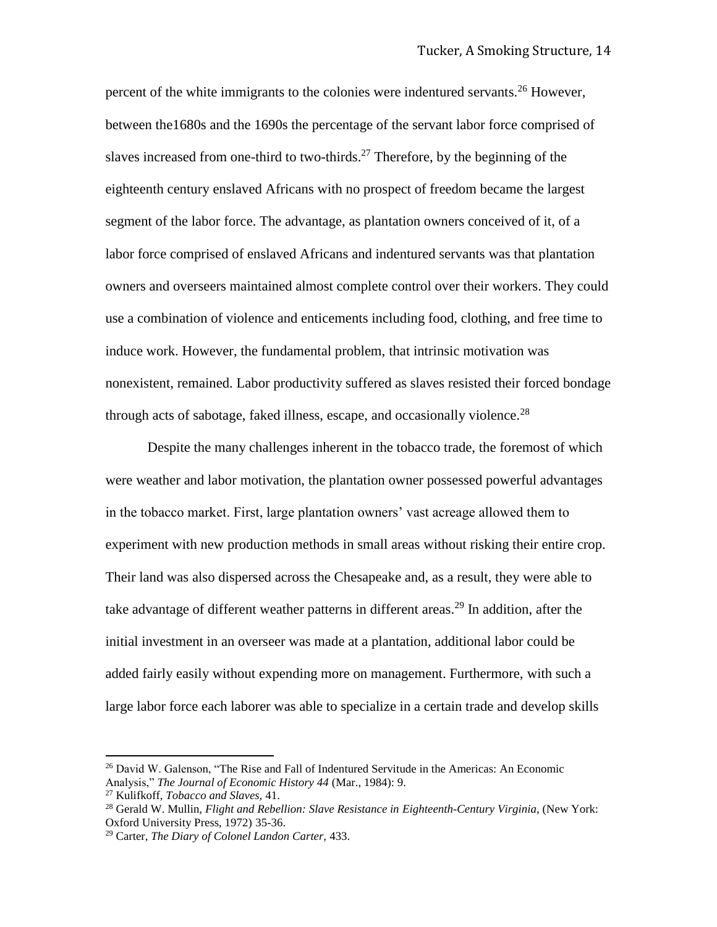percent of the white immigrants to the colonies were indentured servants.<sup>26</sup> However, between the1680s and the 1690s the percentage of the servant labor force comprised of slaves increased from one-third to two-thirds.<sup>27</sup> Therefore, by the beginning of the eighteenth century enslaved Africans with no prospect of freedom became the largest segment of the labor force. The advantage, as plantation owners conceived of it, of a labor force comprised of enslaved Africans and indentured servants was that plantation owners and overseers maintained almost complete control over their workers. They could use a combination of violence and enticements including food, clothing, and free time to induce work. However, the fundamental problem, that intrinsic motivation was nonexistent, remained. Labor productivity suffered as slaves resisted their forced bondage through acts of sabotage, faked illness, escape, and occasionally violence.<sup>28</sup>

Despite the many challenges inherent in the tobacco trade, the foremost of which were weather and labor motivation, the plantation owner possessed powerful advantages in the tobacco market. First, large plantation owners' vast acreage allowed them to experiment with new production methods in small areas without risking their entire crop. Their land was also dispersed across the Chesapeake and, as a result, they were able to take advantage of different weather patterns in different areas.<sup>29</sup> In addition, after the initial investment in an overseer was made at a plantation, additional labor could be added fairly easily without expending more on management. Furthermore, with such a large labor force each laborer was able to specialize in a certain trade and develop skills

<sup>&</sup>lt;sup>26</sup> David W. Galenson, "The Rise and Fall of Indentured Servitude in the Americas: An Economic Analysis," *The Journal of Economic History 44* (Mar., 1984): 9.

<sup>27</sup> Kulifkoff, *Tobacco and Slaves,* 41.

<sup>28</sup> Gerald W. Mullin, *Flight and Rebellion: Slave Resistance in Eighteenth-Century Virginia*, (New York: Oxford University Press, 1972) 35-36.

<sup>29</sup> Carter, *The Diary of Colonel Landon Carter,* 433.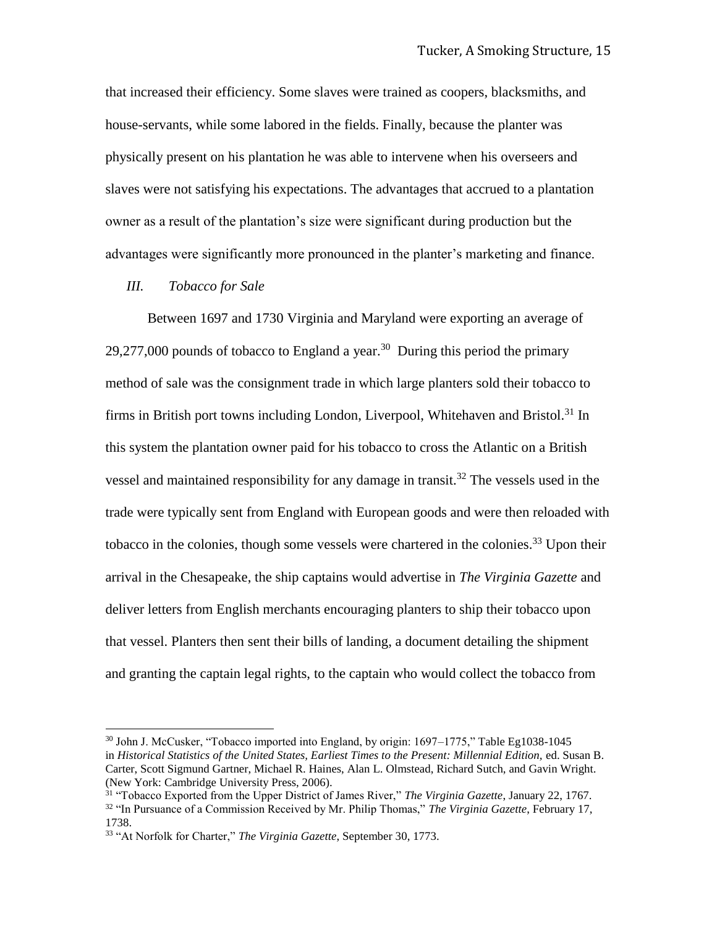that increased their efficiency. Some slaves were trained as coopers, blacksmiths, and house-servants, while some labored in the fields. Finally, because the planter was physically present on his plantation he was able to intervene when his overseers and slaves were not satisfying his expectations. The advantages that accrued to a plantation owner as a result of the plantation's size were significant during production but the advantages were significantly more pronounced in the planter's marketing and finance.

## *III. Tobacco for Sale*

l

Between 1697 and 1730 Virginia and Maryland were exporting an average of 29,277,000 pounds of tobacco to England a year.<sup>30</sup> During this period the primary method of sale was the consignment trade in which large planters sold their tobacco to firms in British port towns including London, Liverpool, Whitehaven and Bristol.<sup>31</sup> In this system the plantation owner paid for his tobacco to cross the Atlantic on a British vessel and maintained responsibility for any damage in transit.<sup>32</sup> The vessels used in the trade were typically sent from England with European goods and were then reloaded with tobacco in the colonies, though some vessels were chartered in the colonies.<sup>33</sup> Upon their arrival in the Chesapeake, the ship captains would advertise in *The Virginia Gazette* and deliver letters from English merchants encouraging planters to ship their tobacco upon that vessel. Planters then sent their bills of landing, a document detailing the shipment and granting the captain legal rights, to the captain who would collect the tobacco from

<sup>30</sup> John J. McCusker, "Tobacco imported into England, by origin: 1697–1775," Table Eg1038-1045 in *Historical Statistics of the United States, Earliest Times to the Present: Millennial Edition,* ed. Susan B. Carter, Scott Sigmund Gartner, Michael R. Haines, Alan L. Olmstead, Richard Sutch, and Gavin Wright. (New York: Cambridge University Press, 2006).

<sup>31</sup> "Tobacco Exported from the Upper District of James River," *The Virginia Gazette*, January 22, 1767. <sup>32</sup> "In Pursuance of a Commission Received by Mr. Philip Thomas," *The Virginia Gazette*, February 17, 1738.

<sup>33</sup> "At Norfolk for Charter," *The Virginia Gazette*, September 30, 1773.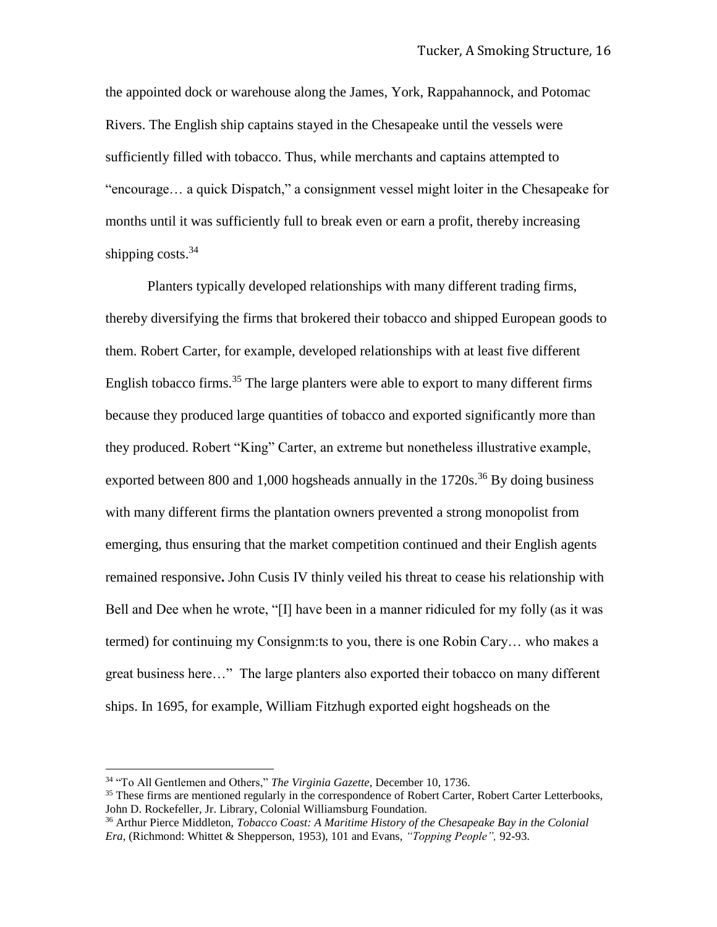the appointed dock or warehouse along the James, York, Rappahannock, and Potomac Rivers. The English ship captains stayed in the Chesapeake until the vessels were sufficiently filled with tobacco. Thus, while merchants and captains attempted to "encourage… a quick Dispatch," a consignment vessel might loiter in the Chesapeake for months until it was sufficiently full to break even or earn a profit, thereby increasing shipping costs. $34$ 

Planters typically developed relationships with many different trading firms, thereby diversifying the firms that brokered their tobacco and shipped European goods to them. Robert Carter, for example, developed relationships with at least five different English tobacco firms.<sup>35</sup> The large planters were able to export to many different firms because they produced large quantities of tobacco and exported significantly more than they produced. Robert "King" Carter, an extreme but nonetheless illustrative example, exported between 800 and 1,000 hogsheads annually in the  $1720s$ <sup>36</sup> By doing business with many different firms the plantation owners prevented a strong monopolist from emerging, thus ensuring that the market competition continued and their English agents remained responsive**.** John Cusis IV thinly veiled his threat to cease his relationship with Bell and Dee when he wrote, "[I] have been in a manner ridiculed for my folly (as it was termed) for continuing my Consignm:ts to you, there is one Robin Cary… who makes a great business here…" The large planters also exported their tobacco on many different ships. In 1695, for example, William Fitzhugh exported eight hogsheads on the

<sup>34</sup> "To All Gentlemen and Others," *The Virginia Gazette*, December 10, 1736.

<sup>&</sup>lt;sup>35</sup> These firms are mentioned regularly in the correspondence of Robert Carter, Robert Carter Letterbooks, John D. Rockefeller, Jr. Library, Colonial Williamsburg Foundation.

<sup>36</sup> Arthur Pierce Middleton, *Tobacco Coast: A Maritime History of the Chesapeake Bay in the Colonial Era*, (Richmond: Whittet & Shepperson, 1953), 101 and Evans, *"Topping People",* 92-93.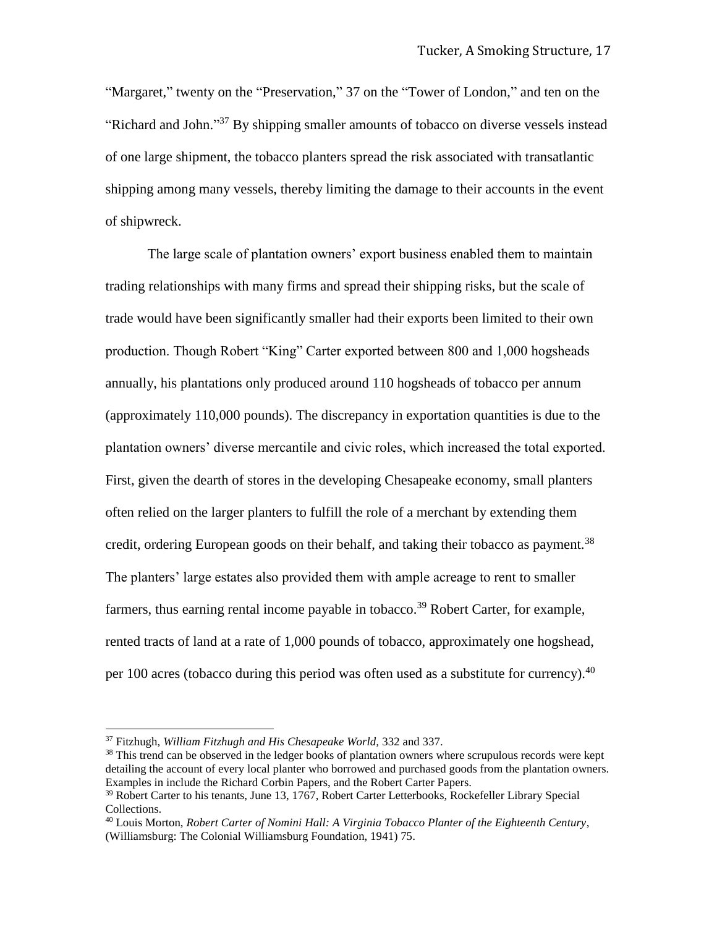"Margaret," twenty on the "Preservation," 37 on the "Tower of London," and ten on the "Richard and John."<sup>37</sup> By shipping smaller amounts of tobacco on diverse vessels instead of one large shipment, the tobacco planters spread the risk associated with transatlantic shipping among many vessels, thereby limiting the damage to their accounts in the event of shipwreck.

The large scale of plantation owners' export business enabled them to maintain trading relationships with many firms and spread their shipping risks, but the scale of trade would have been significantly smaller had their exports been limited to their own production. Though Robert "King" Carter exported between 800 and 1,000 hogsheads annually, his plantations only produced around 110 hogsheads of tobacco per annum (approximately 110,000 pounds). The discrepancy in exportation quantities is due to the plantation owners' diverse mercantile and civic roles, which increased the total exported. First, given the dearth of stores in the developing Chesapeake economy, small planters often relied on the larger planters to fulfill the role of a merchant by extending them credit, ordering European goods on their behalf, and taking their tobacco as payment.<sup>38</sup> The planters' large estates also provided them with ample acreage to rent to smaller farmers, thus earning rental income payable in tobacco.<sup>39</sup> Robert Carter, for example, rented tracts of land at a rate of 1,000 pounds of tobacco, approximately one hogshead, per 100 acres (tobacco during this period was often used as a substitute for currency).  $40$ 

l

<sup>37</sup> Fitzhugh, *William Fitzhugh and His Chesapeake World,* 332 and 337.

 $38$  This trend can be observed in the ledger books of plantation owners where scrupulous records were kept detailing the account of every local planter who borrowed and purchased goods from the plantation owners. Examples in include the Richard Corbin Papers, and the Robert Carter Papers.

<sup>39</sup> Robert Carter to his tenants, June 13, 1767, Robert Carter Letterbooks, Rockefeller Library Special Collections.

<sup>40</sup> Louis Morton, *Robert Carter of Nomini Hall: A Virginia Tobacco Planter of the Eighteenth Century*, (Williamsburg: The Colonial Williamsburg Foundation, 1941) 75.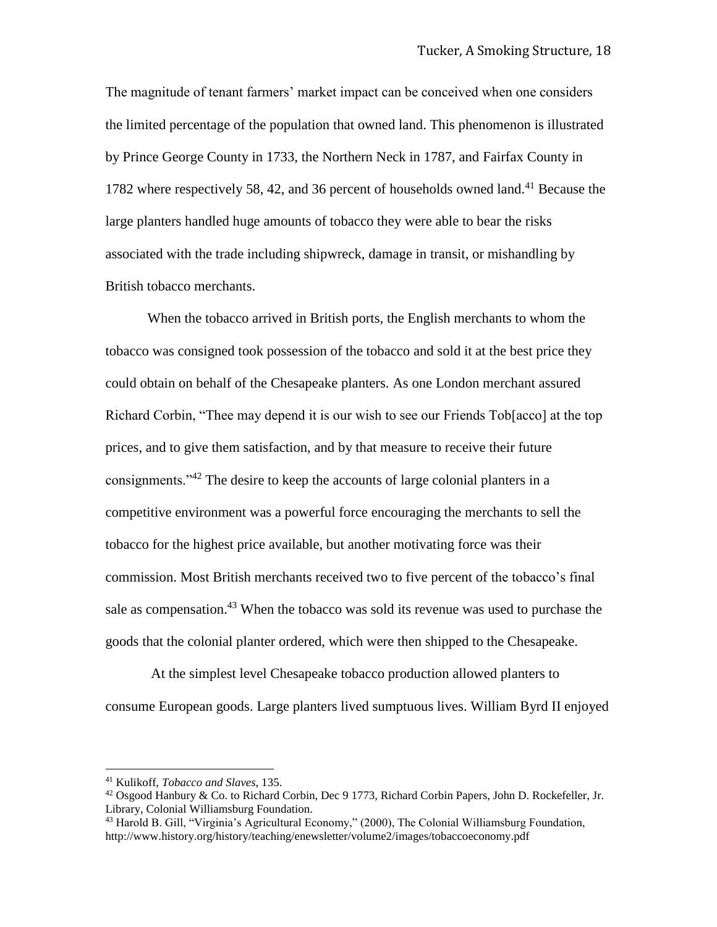The magnitude of tenant farmers' market impact can be conceived when one considers the limited percentage of the population that owned land. This phenomenon is illustrated by Prince George County in 1733, the Northern Neck in 1787, and Fairfax County in 1782 where respectively 58, 42, and 36 percent of households owned land.<sup>41</sup> Because the large planters handled huge amounts of tobacco they were able to bear the risks associated with the trade including shipwreck, damage in transit, or mishandling by British tobacco merchants.

When the tobacco arrived in British ports, the English merchants to whom the tobacco was consigned took possession of the tobacco and sold it at the best price they could obtain on behalf of the Chesapeake planters. As one London merchant assured Richard Corbin, "Thee may depend it is our wish to see our Friends Tob[acco] at the top prices, and to give them satisfaction, and by that measure to receive their future consignments."<sup>42</sup> The desire to keep the accounts of large colonial planters in a competitive environment was a powerful force encouraging the merchants to sell the tobacco for the highest price available, but another motivating force was their commission. Most British merchants received two to five percent of the tobacco's final sale as compensation.<sup>43</sup> When the tobacco was sold its revenue was used to purchase the goods that the colonial planter ordered, which were then shipped to the Chesapeake.

At the simplest level Chesapeake tobacco production allowed planters to consume European goods. Large planters lived sumptuous lives. William Byrd II enjoyed

<sup>41</sup> Kulikoff, *Tobacco and Slaves*, 135.

<sup>&</sup>lt;sup>42</sup> Osgood Hanbury & Co. to Richard Corbin, Dec 9 1773, Richard Corbin Papers, John D. Rockefeller, Jr. Library, Colonial Williamsburg Foundation.

<sup>43</sup> Harold B. Gill, "Virginia's Agricultural Economy," (2000), The Colonial Williamsburg Foundation, http://www.history.org/history/teaching/enewsletter/volume2/images/tobaccoeconomy.pdf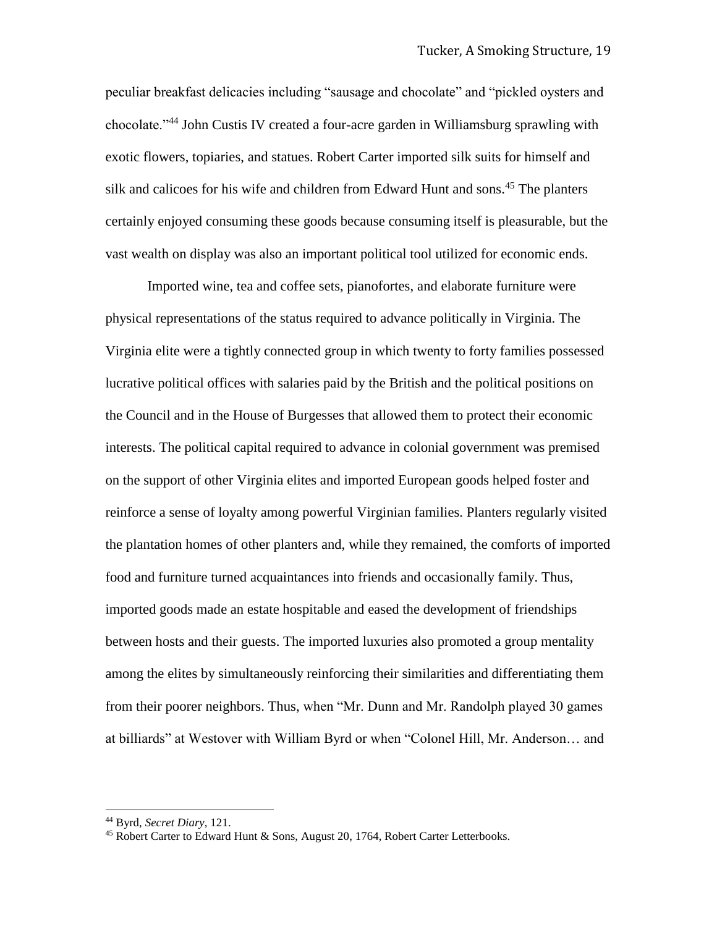peculiar breakfast delicacies including "sausage and chocolate" and "pickled oysters and chocolate."<sup>44</sup> John Custis IV created a four-acre garden in Williamsburg sprawling with exotic flowers, topiaries, and statues. Robert Carter imported silk suits for himself and silk and calicoes for his wife and children from Edward Hunt and sons.<sup>45</sup> The planters certainly enjoyed consuming these goods because consuming itself is pleasurable, but the vast wealth on display was also an important political tool utilized for economic ends.

Imported wine, tea and coffee sets, pianofortes, and elaborate furniture were physical representations of the status required to advance politically in Virginia. The Virginia elite were a tightly connected group in which twenty to forty families possessed lucrative political offices with salaries paid by the British and the political positions on the Council and in the House of Burgesses that allowed them to protect their economic interests. The political capital required to advance in colonial government was premised on the support of other Virginia elites and imported European goods helped foster and reinforce a sense of loyalty among powerful Virginian families. Planters regularly visited the plantation homes of other planters and, while they remained, the comforts of imported food and furniture turned acquaintances into friends and occasionally family. Thus, imported goods made an estate hospitable and eased the development of friendships between hosts and their guests. The imported luxuries also promoted a group mentality among the elites by simultaneously reinforcing their similarities and differentiating them from their poorer neighbors. Thus, when "Mr. Dunn and Mr. Randolph played 30 games at billiards" at Westover with William Byrd or when "Colonel Hill, Mr. Anderson… and

l

<sup>44</sup> Byrd, *Secret Diary*, 121.

<sup>&</sup>lt;sup>45</sup> Robert Carter to Edward Hunt & Sons, August 20, 1764, Robert Carter Letterbooks.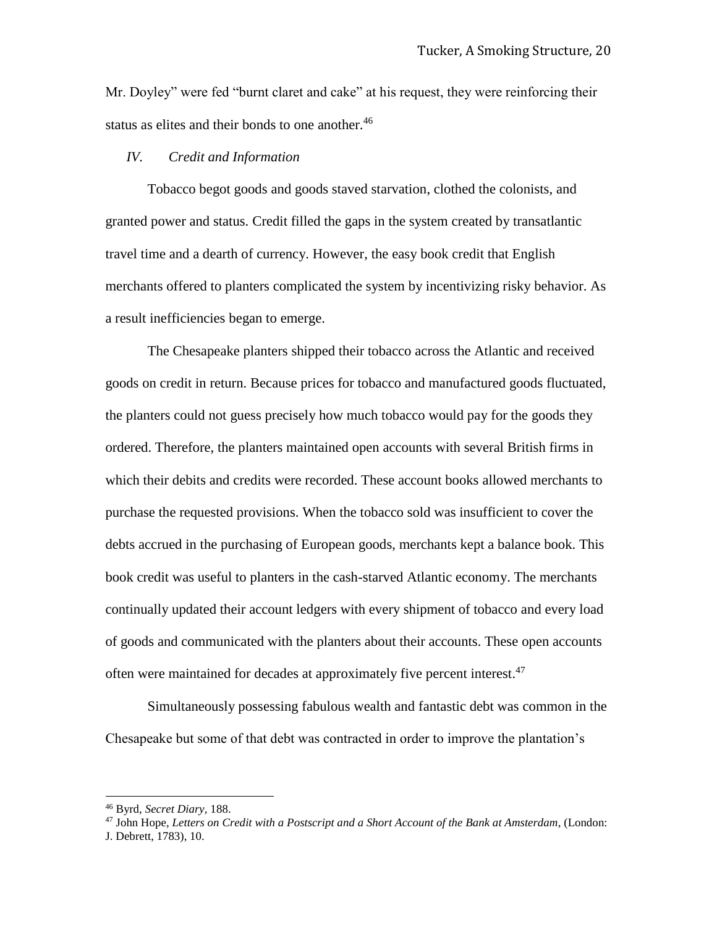Mr. Doyley" were fed "burnt claret and cake" at his request, they were reinforcing their status as elites and their bonds to one another.<sup>46</sup>

# *IV. Credit and Information*

Tobacco begot goods and goods staved starvation, clothed the colonists, and granted power and status. Credit filled the gaps in the system created by transatlantic travel time and a dearth of currency. However, the easy book credit that English merchants offered to planters complicated the system by incentivizing risky behavior. As a result inefficiencies began to emerge.

The Chesapeake planters shipped their tobacco across the Atlantic and received goods on credit in return. Because prices for tobacco and manufactured goods fluctuated, the planters could not guess precisely how much tobacco would pay for the goods they ordered. Therefore, the planters maintained open accounts with several British firms in which their debits and credits were recorded. These account books allowed merchants to purchase the requested provisions. When the tobacco sold was insufficient to cover the debts accrued in the purchasing of European goods, merchants kept a balance book. This book credit was useful to planters in the cash-starved Atlantic economy. The merchants continually updated their account ledgers with every shipment of tobacco and every load of goods and communicated with the planters about their accounts. These open accounts often were maintained for decades at approximately five percent interest.<sup>47</sup>

Simultaneously possessing fabulous wealth and fantastic debt was common in the Chesapeake but some of that debt was contracted in order to improve the plantation's

<sup>46</sup> Byrd, *Secret Diary,* 188.

<sup>47</sup> John Hope, *Letters on Credit with a Postscript and a Short Account of the Bank at Amsterdam*, (London:

J. Debrett, 1783), 10.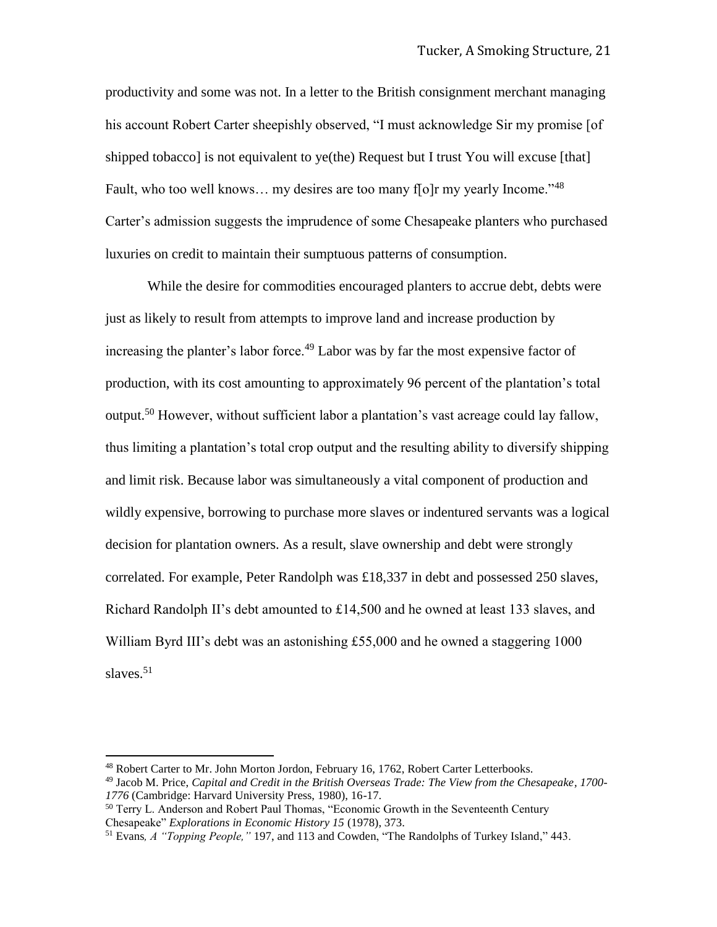productivity and some was not. In a letter to the British consignment merchant managing his account Robert Carter sheepishly observed, "I must acknowledge Sir my promise [of shipped tobacco] is not equivalent to ye(the) Request but I trust You will excuse [that] Fault, who too well knows... my desires are too many f[o]r my yearly Income."<sup>48</sup> Carter's admission suggests the imprudence of some Chesapeake planters who purchased luxuries on credit to maintain their sumptuous patterns of consumption.

While the desire for commodities encouraged planters to accrue debt, debts were just as likely to result from attempts to improve land and increase production by increasing the planter's labor force.<sup>49</sup> Labor was by far the most expensive factor of production, with its cost amounting to approximately 96 percent of the plantation's total output.<sup>50</sup> However, without sufficient labor a plantation's vast acreage could lay fallow, thus limiting a plantation's total crop output and the resulting ability to diversify shipping and limit risk. Because labor was simultaneously a vital component of production and wildly expensive, borrowing to purchase more slaves or indentured servants was a logical decision for plantation owners. As a result, slave ownership and debt were strongly correlated. For example, Peter Randolph was £18,337 in debt and possessed 250 slaves, Richard Randolph II's debt amounted to £14,500 and he owned at least 133 slaves, and William Byrd III's debt was an astonishing £55,000 and he owned a staggering 1000 slaves. $51$ 

<sup>&</sup>lt;sup>48</sup> Robert Carter to Mr. John Morton Jordon, February 16, 1762, Robert Carter Letterbooks.

<sup>49</sup> Jacob M. Price, *Capital and Credit in the British Overseas Trade: The View from the Chesapeake, 1700- 1776* (Cambridge: Harvard University Press, 1980), 16-17.

<sup>&</sup>lt;sup>50</sup> Terry L. Anderson and Robert Paul Thomas, "Economic Growth in the Seventeenth Century Chesapeake" *Explorations in Economic History 15* (1978), 373.

<sup>51</sup> Evans*, A "Topping People,"* 197, and 113 and Cowden, "The Randolphs of Turkey Island," 443.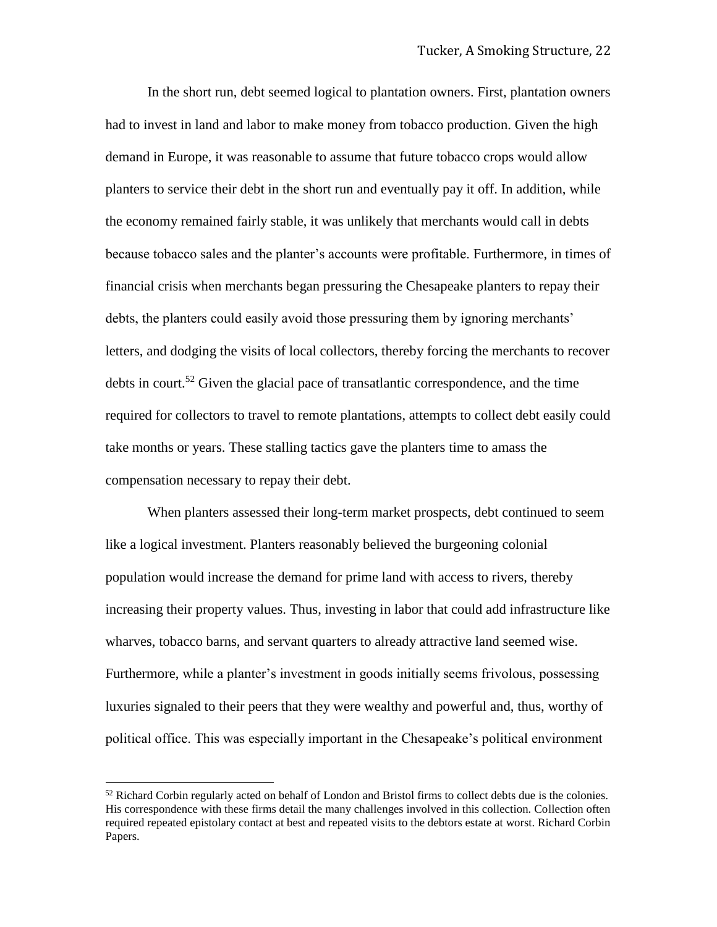In the short run, debt seemed logical to plantation owners. First, plantation owners had to invest in land and labor to make money from tobacco production. Given the high demand in Europe, it was reasonable to assume that future tobacco crops would allow planters to service their debt in the short run and eventually pay it off. In addition, while the economy remained fairly stable, it was unlikely that merchants would call in debts because tobacco sales and the planter's accounts were profitable. Furthermore, in times of financial crisis when merchants began pressuring the Chesapeake planters to repay their debts, the planters could easily avoid those pressuring them by ignoring merchants' letters, and dodging the visits of local collectors, thereby forcing the merchants to recover debts in court.<sup>52</sup> Given the glacial pace of transatlantic correspondence, and the time required for collectors to travel to remote plantations, attempts to collect debt easily could take months or years. These stalling tactics gave the planters time to amass the compensation necessary to repay their debt.

When planters assessed their long-term market prospects, debt continued to seem like a logical investment. Planters reasonably believed the burgeoning colonial population would increase the demand for prime land with access to rivers, thereby increasing their property values. Thus, investing in labor that could add infrastructure like wharves, tobacco barns, and servant quarters to already attractive land seemed wise. Furthermore, while a planter's investment in goods initially seems frivolous, possessing luxuries signaled to their peers that they were wealthy and powerful and, thus, worthy of political office. This was especially important in the Chesapeake's political environment

 $52$  Richard Corbin regularly acted on behalf of London and Bristol firms to collect debts due is the colonies. His correspondence with these firms detail the many challenges involved in this collection. Collection often required repeated epistolary contact at best and repeated visits to the debtors estate at worst. Richard Corbin Papers.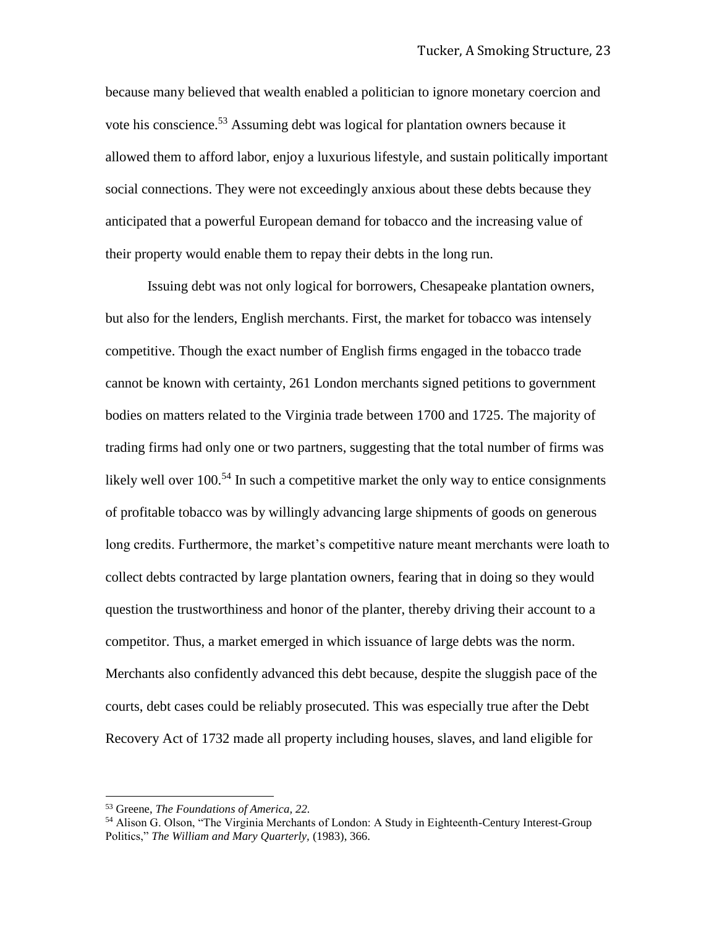because many believed that wealth enabled a politician to ignore monetary coercion and vote his conscience.<sup>53</sup> Assuming debt was logical for plantation owners because it allowed them to afford labor, enjoy a luxurious lifestyle, and sustain politically important social connections. They were not exceedingly anxious about these debts because they anticipated that a powerful European demand for tobacco and the increasing value of their property would enable them to repay their debts in the long run.

Issuing debt was not only logical for borrowers, Chesapeake plantation owners, but also for the lenders, English merchants. First, the market for tobacco was intensely competitive. Though the exact number of English firms engaged in the tobacco trade cannot be known with certainty, 261 London merchants signed petitions to government bodies on matters related to the Virginia trade between 1700 and 1725. The majority of trading firms had only one or two partners, suggesting that the total number of firms was likely well over  $100^{54}$  In such a competitive market the only way to entice consignments of profitable tobacco was by willingly advancing large shipments of goods on generous long credits. Furthermore, the market's competitive nature meant merchants were loath to collect debts contracted by large plantation owners, fearing that in doing so they would question the trustworthiness and honor of the planter, thereby driving their account to a competitor. Thus, a market emerged in which issuance of large debts was the norm. Merchants also confidently advanced this debt because, despite the sluggish pace of the courts, debt cases could be reliably prosecuted. This was especially true after the Debt Recovery Act of 1732 made all property including houses, slaves, and land eligible for

<sup>53</sup> Greene, *The Foundations of America, 22.* 

<sup>54</sup> Alison G. Olson, "The Virginia Merchants of London: A Study in Eighteenth-Century Interest-Group Politics," *The William and Mary Quarterly,* (1983), 366.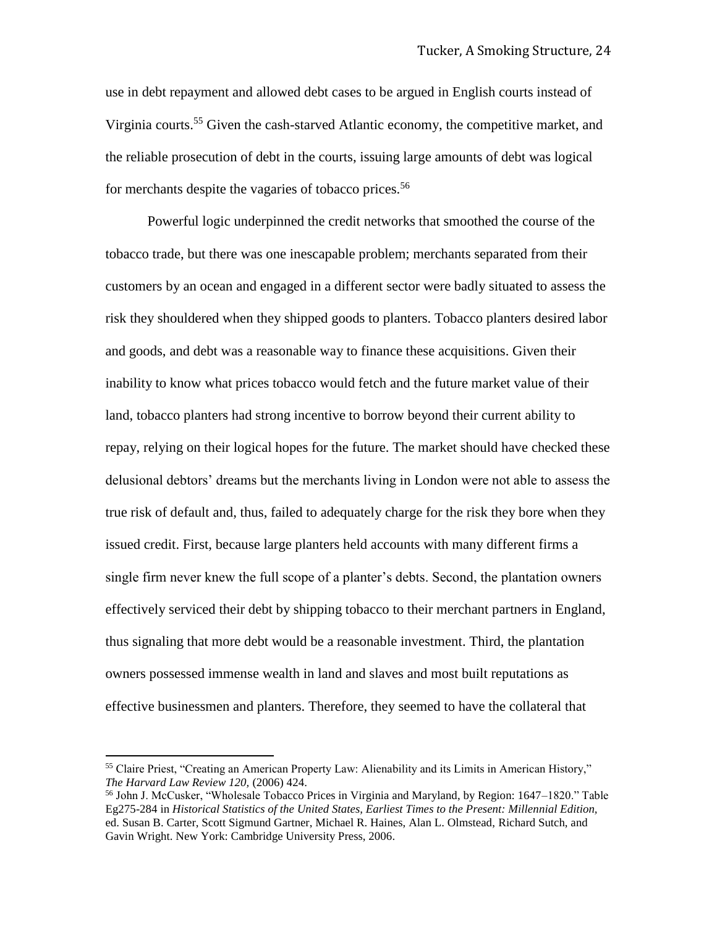use in debt repayment and allowed debt cases to be argued in English courts instead of Virginia courts.<sup>55</sup> Given the cash-starved Atlantic economy, the competitive market, and the reliable prosecution of debt in the courts, issuing large amounts of debt was logical for merchants despite the vagaries of tobacco prices.<sup>56</sup>

Powerful logic underpinned the credit networks that smoothed the course of the tobacco trade, but there was one inescapable problem; merchants separated from their customers by an ocean and engaged in a different sector were badly situated to assess the risk they shouldered when they shipped goods to planters. Tobacco planters desired labor and goods, and debt was a reasonable way to finance these acquisitions. Given their inability to know what prices tobacco would fetch and the future market value of their land, tobacco planters had strong incentive to borrow beyond their current ability to repay, relying on their logical hopes for the future. The market should have checked these delusional debtors' dreams but the merchants living in London were not able to assess the true risk of default and, thus, failed to adequately charge for the risk they bore when they issued credit. First, because large planters held accounts with many different firms a single firm never knew the full scope of a planter's debts. Second, the plantation owners effectively serviced their debt by shipping tobacco to their merchant partners in England, thus signaling that more debt would be a reasonable investment. Third, the plantation owners possessed immense wealth in land and slaves and most built reputations as effective businessmen and planters. Therefore, they seemed to have the collateral that

<sup>55</sup> Claire Priest, "Creating an American Property Law: Alienability and its Limits in American History," *The Harvard Law Review 120,* (2006) 424.

<sup>56</sup> John J. McCusker, "Wholesale Tobacco Prices in Virginia and Maryland, by Region: 1647–1820." Table Eg275-284 in *Historical Statistics of the United States, Earliest Times to the Present: Millennial Edition,* ed. Susan B. Carter, Scott Sigmund Gartner, Michael R. Haines, Alan L. Olmstead, Richard Sutch, and Gavin Wright. New York: Cambridge University Press, 2006.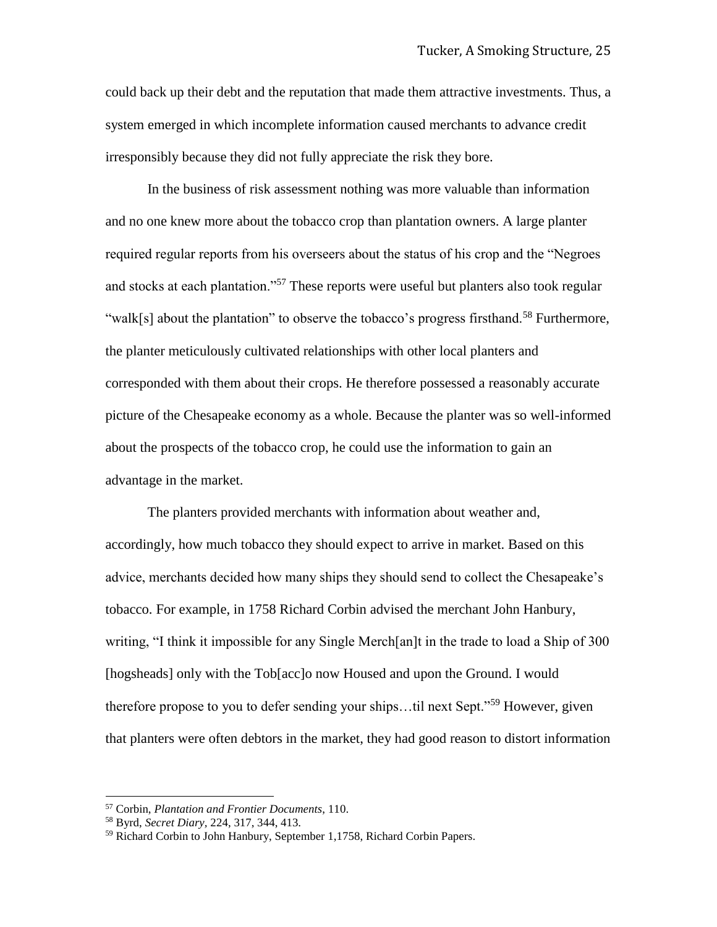could back up their debt and the reputation that made them attractive investments. Thus, a system emerged in which incomplete information caused merchants to advance credit irresponsibly because they did not fully appreciate the risk they bore.

In the business of risk assessment nothing was more valuable than information and no one knew more about the tobacco crop than plantation owners. A large planter required regular reports from his overseers about the status of his crop and the "Negroes and stocks at each plantation."<sup>57</sup> These reports were useful but planters also took regular "walk[s] about the plantation" to observe the tobacco's progress firsthand.<sup>58</sup> Furthermore, the planter meticulously cultivated relationships with other local planters and corresponded with them about their crops. He therefore possessed a reasonably accurate picture of the Chesapeake economy as a whole. Because the planter was so well-informed about the prospects of the tobacco crop, he could use the information to gain an advantage in the market.

The planters provided merchants with information about weather and, accordingly, how much tobacco they should expect to arrive in market. Based on this advice, merchants decided how many ships they should send to collect the Chesapeake's tobacco. For example, in 1758 Richard Corbin advised the merchant John Hanbury, writing, "I think it impossible for any Single Merch[an]t in the trade to load a Ship of 300 [hogsheads] only with the Tob[acc]o now Housed and upon the Ground. I would therefore propose to you to defer sending your ships…til next Sept."<sup>59</sup> However, given that planters were often debtors in the market, they had good reason to distort information

<sup>57</sup> Corbin, *Plantation and Frontier Documents*, 110.

<sup>58</sup> Byrd, *Secret Diary,* 224, 317, 344, 413.

<sup>59</sup> Richard Corbin to John Hanbury, September 1,1758, Richard Corbin Papers.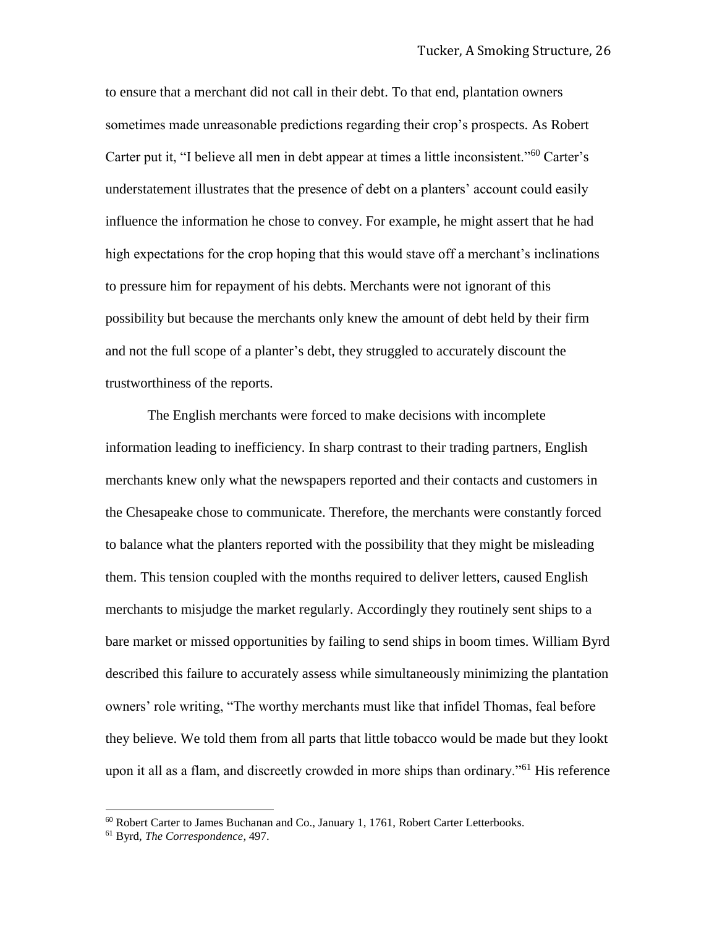to ensure that a merchant did not call in their debt. To that end, plantation owners sometimes made unreasonable predictions regarding their crop's prospects. As Robert Carter put it, "I believe all men in debt appear at times a little inconsistent."<sup>60</sup> Carter's understatement illustrates that the presence of debt on a planters' account could easily influence the information he chose to convey. For example, he might assert that he had high expectations for the crop hoping that this would stave off a merchant's inclinations to pressure him for repayment of his debts. Merchants were not ignorant of this possibility but because the merchants only knew the amount of debt held by their firm and not the full scope of a planter's debt, they struggled to accurately discount the trustworthiness of the reports.

The English merchants were forced to make decisions with incomplete information leading to inefficiency. In sharp contrast to their trading partners, English merchants knew only what the newspapers reported and their contacts and customers in the Chesapeake chose to communicate. Therefore, the merchants were constantly forced to balance what the planters reported with the possibility that they might be misleading them. This tension coupled with the months required to deliver letters, caused English merchants to misjudge the market regularly. Accordingly they routinely sent ships to a bare market or missed opportunities by failing to send ships in boom times. William Byrd described this failure to accurately assess while simultaneously minimizing the plantation owners' role writing, "The worthy merchants must like that infidel Thomas, feal before they believe. We told them from all parts that little tobacco would be made but they lookt upon it all as a flam, and discreetly crowded in more ships than ordinary."<sup>61</sup> His reference

l

<sup>60</sup> Robert Carter to James Buchanan and Co., January 1, 1761, Robert Carter Letterbooks.

<sup>61</sup> Byrd, *The Correspondence*, 497.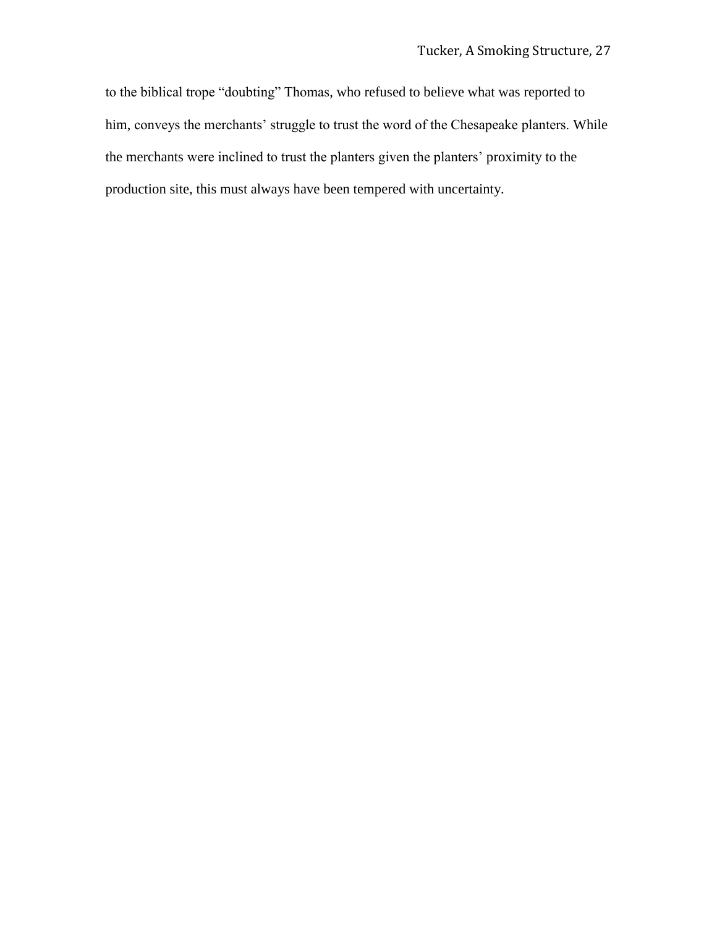to the biblical trope "doubting" Thomas, who refused to believe what was reported to him, conveys the merchants' struggle to trust the word of the Chesapeake planters. While the merchants were inclined to trust the planters given the planters' proximity to the production site, this must always have been tempered with uncertainty.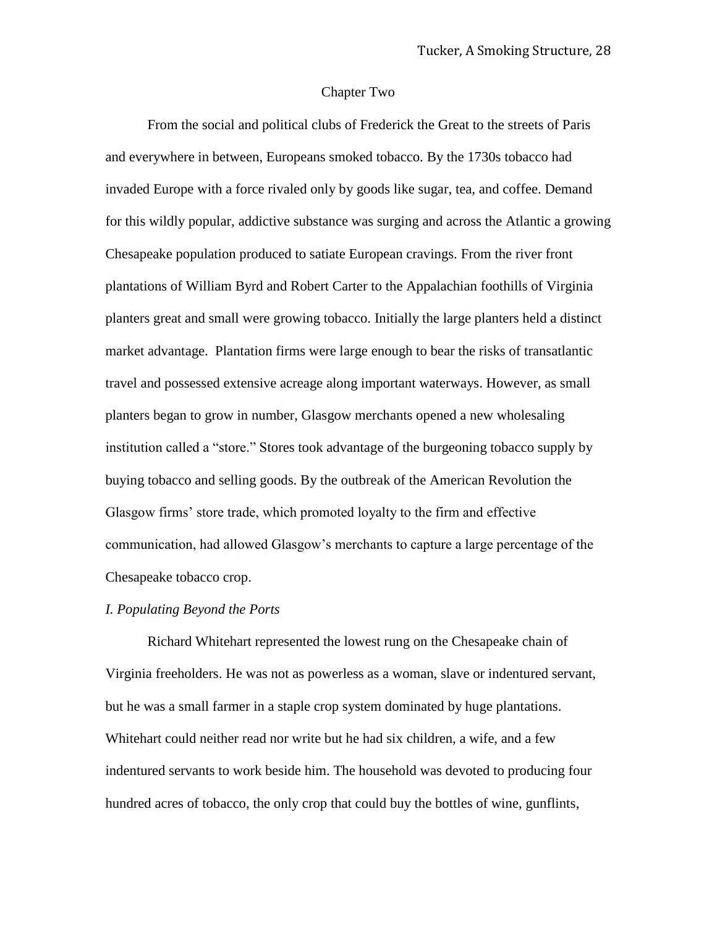## Chapter Two

From the social and political clubs of Frederick the Great to the streets of Paris and everywhere in between, Europeans smoked tobacco. By the 1730s tobacco had invaded Europe with a force rivaled only by goods like sugar, tea, and coffee. Demand for this wildly popular, addictive substance was surging and across the Atlantic a growing Chesapeake population produced to satiate European cravings. From the river front plantations of William Byrd and Robert Carter to the Appalachian foothills of Virginia planters great and small were growing tobacco. Initially the large planters held a distinct market advantage. Plantation firms were large enough to bear the risks of transatlantic travel and possessed extensive acreage along important waterways. However, as small planters began to grow in number, Glasgow merchants opened a new wholesaling institution called a "store." Stores took advantage of the burgeoning tobacco supply by buying tobacco and selling goods. By the outbreak of the American Revolution the Glasgow firms' store trade, which promoted loyalty to the firm and effective communication, had allowed Glasgow's merchants to capture a large percentage of the Chesapeake tobacco crop.

#### *I. Populating Beyond the Ports*

Richard Whitehart represented the lowest rung on the Chesapeake chain of Virginia freeholders. He was not as powerless as a woman, slave or indentured servant, but he was a small farmer in a staple crop system dominated by huge plantations. Whitehart could neither read nor write but he had six children, a wife, and a few indentured servants to work beside him. The household was devoted to producing four hundred acres of tobacco, the only crop that could buy the bottles of wine, gunflints,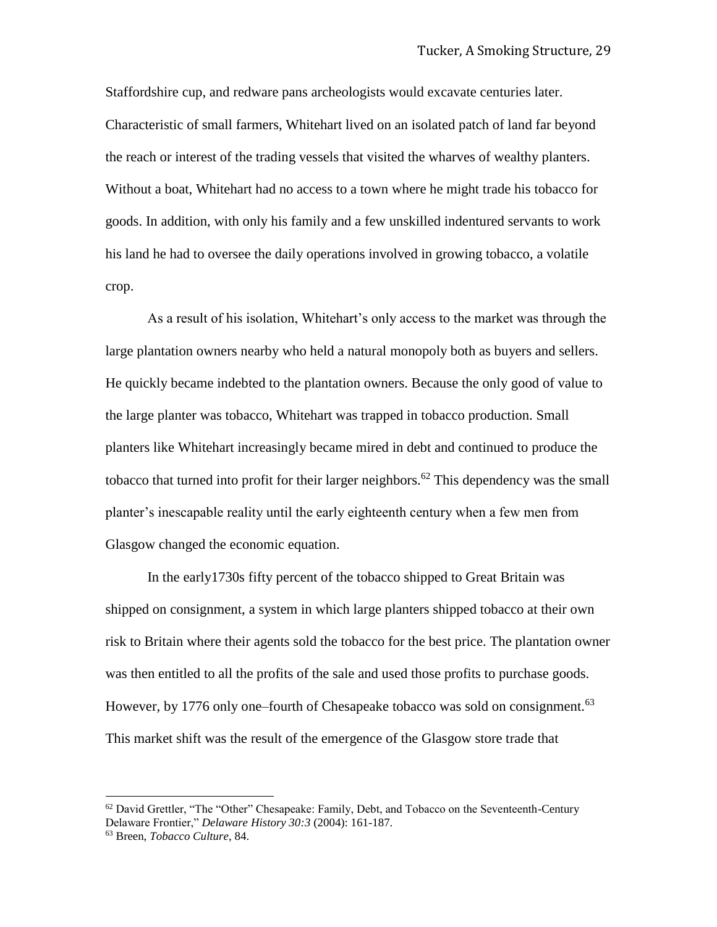Staffordshire cup, and redware pans archeologists would excavate centuries later. Characteristic of small farmers, Whitehart lived on an isolated patch of land far beyond the reach or interest of the trading vessels that visited the wharves of wealthy planters. Without a boat, Whitehart had no access to a town where he might trade his tobacco for goods. In addition, with only his family and a few unskilled indentured servants to work his land he had to oversee the daily operations involved in growing tobacco, a volatile crop.

As a result of his isolation, Whitehart's only access to the market was through the large plantation owners nearby who held a natural monopoly both as buyers and sellers. He quickly became indebted to the plantation owners. Because the only good of value to the large planter was tobacco, Whitehart was trapped in tobacco production. Small planters like Whitehart increasingly became mired in debt and continued to produce the tobacco that turned into profit for their larger neighbors.<sup>62</sup> This dependency was the small planter's inescapable reality until the early eighteenth century when a few men from Glasgow changed the economic equation.

In the early1730s fifty percent of the tobacco shipped to Great Britain was shipped on consignment, a system in which large planters shipped tobacco at their own risk to Britain where their agents sold the tobacco for the best price. The plantation owner was then entitled to all the profits of the sale and used those profits to purchase goods. However, by 1776 only one–fourth of Chesapeake tobacco was sold on consignment.<sup>63</sup> This market shift was the result of the emergence of the Glasgow store trade that

 $62$  David Grettler, "The "Other" Chesapeake: Family, Debt, and Tobacco on the Seventeenth-Century Delaware Frontier," *Delaware History 30:3* (2004): 161-187.

<sup>63</sup> Breen, *Tobacco Culture*, 84.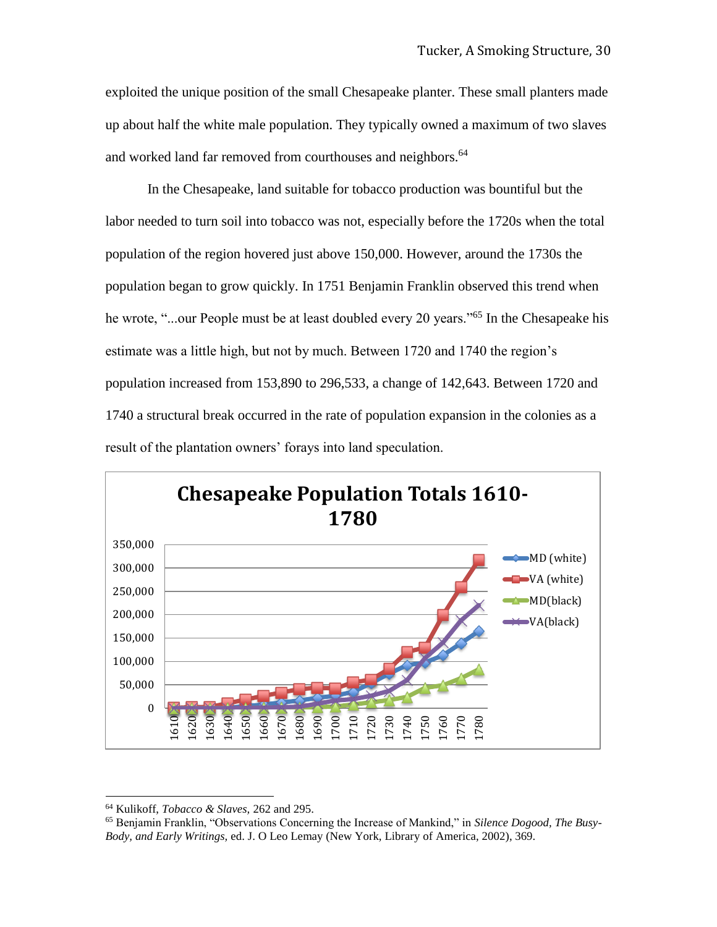exploited the unique position of the small Chesapeake planter. These small planters made up about half the white male population. They typically owned a maximum of two slaves and worked land far removed from courthouses and neighbors.<sup>64</sup>

In the Chesapeake, land suitable for tobacco production was bountiful but the labor needed to turn soil into tobacco was not, especially before the 1720s when the total population of the region hovered just above 150,000. However, around the 1730s the population began to grow quickly. In 1751 Benjamin Franklin observed this trend when he wrote, "...our People must be at least doubled every 20 years."<sup>65</sup> In the Chesapeake his estimate was a little high, but not by much. Between 1720 and 1740 the region's population increased from 153,890 to 296,533, a change of 142,643. Between 1720 and 1740 a structural break occurred in the rate of population expansion in the colonies as a result of the plantation owners' forays into land speculation.



<sup>64</sup> Kulikoff, *Tobacco & Slaves,* 262 and 295.

<sup>65</sup> Benjamin Franklin, "Observations Concerning the Increase of Mankind," in *Silence Dogood, The Busy-Body, and Early Writings,* ed. J. O Leo Lemay (New York, Library of America, 2002), 369.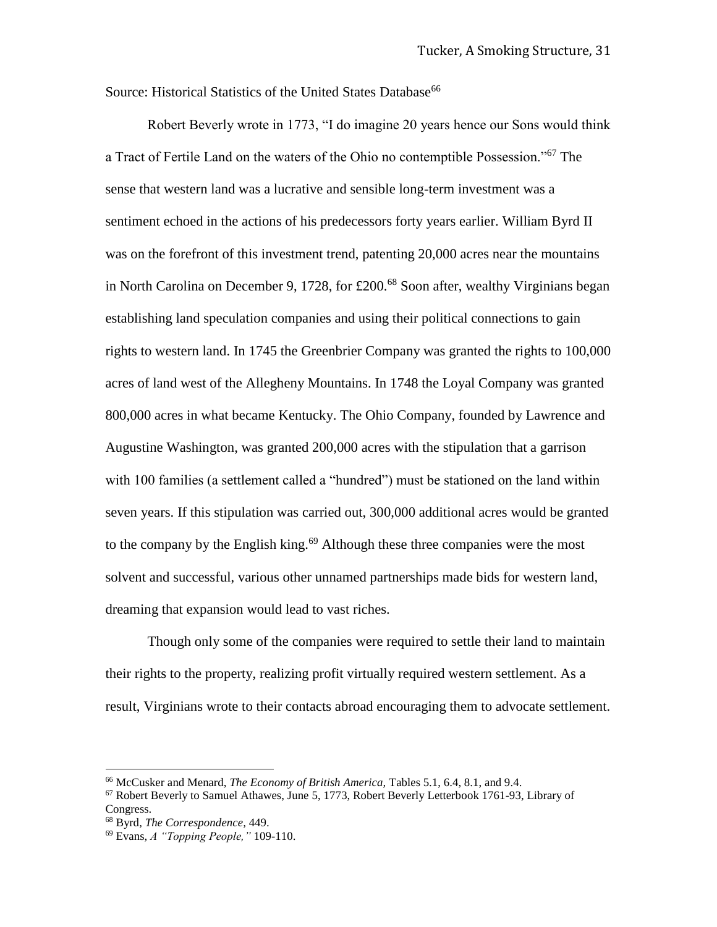Source: Historical Statistics of the United States Database<sup>66</sup>

Robert Beverly wrote in 1773, "I do imagine 20 years hence our Sons would think a Tract of Fertile Land on the waters of the Ohio no contemptible Possession."<sup>67</sup> The sense that western land was a lucrative and sensible long-term investment was a sentiment echoed in the actions of his predecessors forty years earlier. William Byrd II was on the forefront of this investment trend, patenting 20,000 acres near the mountains in North Carolina on December 9, 1728, for £200.<sup>68</sup> Soon after, wealthy Virginians began establishing land speculation companies and using their political connections to gain rights to western land. In 1745 the Greenbrier Company was granted the rights to 100,000 acres of land west of the Allegheny Mountains. In 1748 the Loyal Company was granted 800,000 acres in what became Kentucky. The Ohio Company, founded by Lawrence and Augustine Washington, was granted 200,000 acres with the stipulation that a garrison with 100 families (a settlement called a "hundred") must be stationed on the land within seven years. If this stipulation was carried out, 300,000 additional acres would be granted to the company by the English king.<sup>69</sup> Although these three companies were the most solvent and successful, various other unnamed partnerships made bids for western land, dreaming that expansion would lead to vast riches.

Though only some of the companies were required to settle their land to maintain their rights to the property, realizing profit virtually required western settlement. As a result, Virginians wrote to their contacts abroad encouraging them to advocate settlement.

<sup>66</sup> McCusker and Menard, *The Economy of British America,* Tables 5.1, 6.4, 8.1, and 9.4.

 $67$  Robert Beverly to Samuel Athawes, June 5, 1773, Robert Beverly Letterbook 1761-93, Library of Congress.

<sup>68</sup> Byrd*, The Correspondence,* 449.

<sup>69</sup> Evans, *A "Topping People,"* 109-110.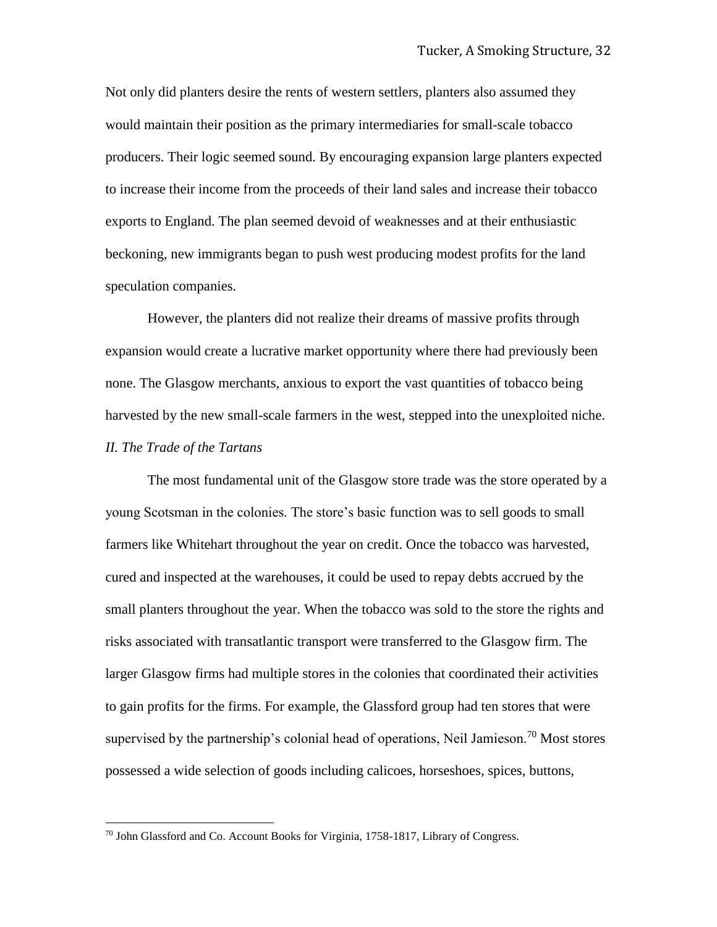Not only did planters desire the rents of western settlers, planters also assumed they would maintain their position as the primary intermediaries for small-scale tobacco producers. Their logic seemed sound. By encouraging expansion large planters expected to increase their income from the proceeds of their land sales and increase their tobacco exports to England. The plan seemed devoid of weaknesses and at their enthusiastic beckoning, new immigrants began to push west producing modest profits for the land speculation companies.

However, the planters did not realize their dreams of massive profits through expansion would create a lucrative market opportunity where there had previously been none. The Glasgow merchants, anxious to export the vast quantities of tobacco being harvested by the new small-scale farmers in the west, stepped into the unexploited niche. *II. The Trade of the Tartans* 

The most fundamental unit of the Glasgow store trade was the store operated by a young Scotsman in the colonies. The store's basic function was to sell goods to small farmers like Whitehart throughout the year on credit. Once the tobacco was harvested, cured and inspected at the warehouses, it could be used to repay debts accrued by the small planters throughout the year. When the tobacco was sold to the store the rights and risks associated with transatlantic transport were transferred to the Glasgow firm. The larger Glasgow firms had multiple stores in the colonies that coordinated their activities to gain profits for the firms. For example, the Glassford group had ten stores that were supervised by the partnership's colonial head of operations, Neil Jamieson.<sup>70</sup> Most stores possessed a wide selection of goods including calicoes, horseshoes, spices, buttons,

<sup>70</sup> John Glassford and Co. Account Books for Virginia, 1758-1817, Library of Congress.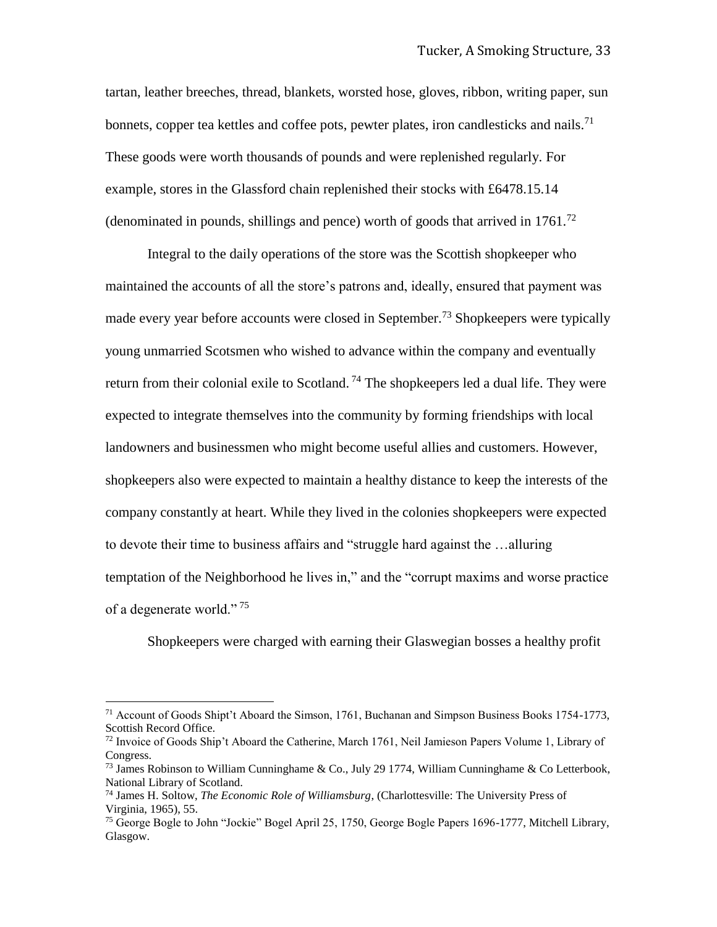tartan, leather breeches, thread, blankets, worsted hose, gloves, ribbon, writing paper, sun bonnets, copper tea kettles and coffee pots, pewter plates, iron candlesticks and nails.<sup>71</sup> These goods were worth thousands of pounds and were replenished regularly. For example, stores in the Glassford chain replenished their stocks with £6478.15.14 (denominated in pounds, shillings and pence) worth of goods that arrived in  $1761<sup>72</sup>$ 

Integral to the daily operations of the store was the Scottish shopkeeper who maintained the accounts of all the store's patrons and, ideally, ensured that payment was made every year before accounts were closed in September.<sup>73</sup> Shopkeepers were typically young unmarried Scotsmen who wished to advance within the company and eventually return from their colonial exile to Scotland. <sup>74</sup> The shopkeepers led a dual life. They were expected to integrate themselves into the community by forming friendships with local landowners and businessmen who might become useful allies and customers. However, shopkeepers also were expected to maintain a healthy distance to keep the interests of the company constantly at heart. While they lived in the colonies shopkeepers were expected to devote their time to business affairs and "struggle hard against the …alluring temptation of the Neighborhood he lives in," and the "corrupt maxims and worse practice of a degenerate world."<sup>75</sup>

Shopkeepers were charged with earning their Glaswegian bosses a healthy profit

<sup>&</sup>lt;sup>71</sup> Account of Goods Shipt't Aboard the Simson, 1761, Buchanan and Simpson Business Books 1754-1773, Scottish Record Office.

 $72$  Invoice of Goods Ship't Aboard the Catherine, March 1761, Neil Jamieson Papers Volume 1, Library of Congress.

<sup>&</sup>lt;sup>73</sup> James Robinson to William Cunninghame & Co., July 29 1774, William Cunninghame & Co Letterbook, National Library of Scotland.

<sup>74</sup> James H. Soltow, *The Economic Role of Williamsburg*, (Charlottesville: The University Press of Virginia, 1965), 55.

<sup>75</sup> George Bogle to John "Jockie" Bogel April 25, 1750, George Bogle Papers 1696-1777, Mitchell Library, Glasgow.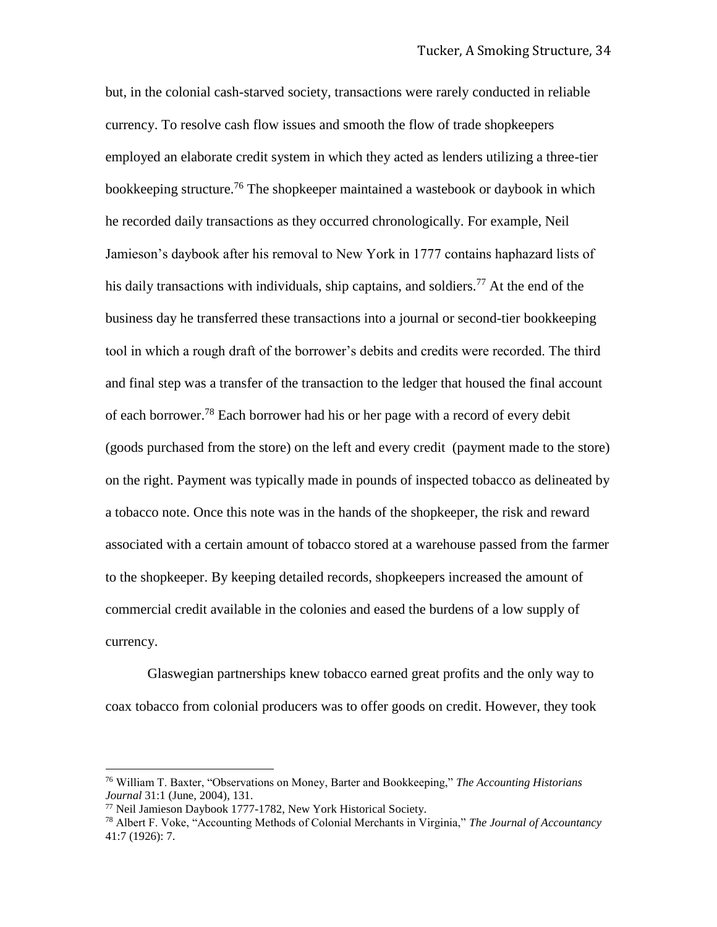but, in the colonial cash-starved society, transactions were rarely conducted in reliable currency. To resolve cash flow issues and smooth the flow of trade shopkeepers employed an elaborate credit system in which they acted as lenders utilizing a three-tier bookkeeping structure.<sup>76</sup> The shopkeeper maintained a wastebook or daybook in which he recorded daily transactions as they occurred chronologically. For example, Neil Jamieson's daybook after his removal to New York in 1777 contains haphazard lists of his daily transactions with individuals, ship captains, and soldiers.<sup>77</sup> At the end of the business day he transferred these transactions into a journal or second-tier bookkeeping tool in which a rough draft of the borrower's debits and credits were recorded. The third and final step was a transfer of the transaction to the ledger that housed the final account of each borrower.<sup>78</sup> Each borrower had his or her page with a record of every debit (goods purchased from the store) on the left and every credit (payment made to the store) on the right. Payment was typically made in pounds of inspected tobacco as delineated by a tobacco note. Once this note was in the hands of the shopkeeper, the risk and reward associated with a certain amount of tobacco stored at a warehouse passed from the farmer to the shopkeeper. By keeping detailed records, shopkeepers increased the amount of commercial credit available in the colonies and eased the burdens of a low supply of currency.

Glaswegian partnerships knew tobacco earned great profits and the only way to coax tobacco from colonial producers was to offer goods on credit. However, they took

<sup>76</sup> William T. Baxter, "Observations on Money, Barter and Bookkeeping," *The Accounting Historians Journal* 31:1 (June, 2004), 131.

<sup>77</sup> Neil Jamieson Daybook 1777-1782, New York Historical Society.

<sup>78</sup> Albert F. Voke, "Accounting Methods of Colonial Merchants in Virginia," *The Journal of Accountancy*  41:7 (1926): 7.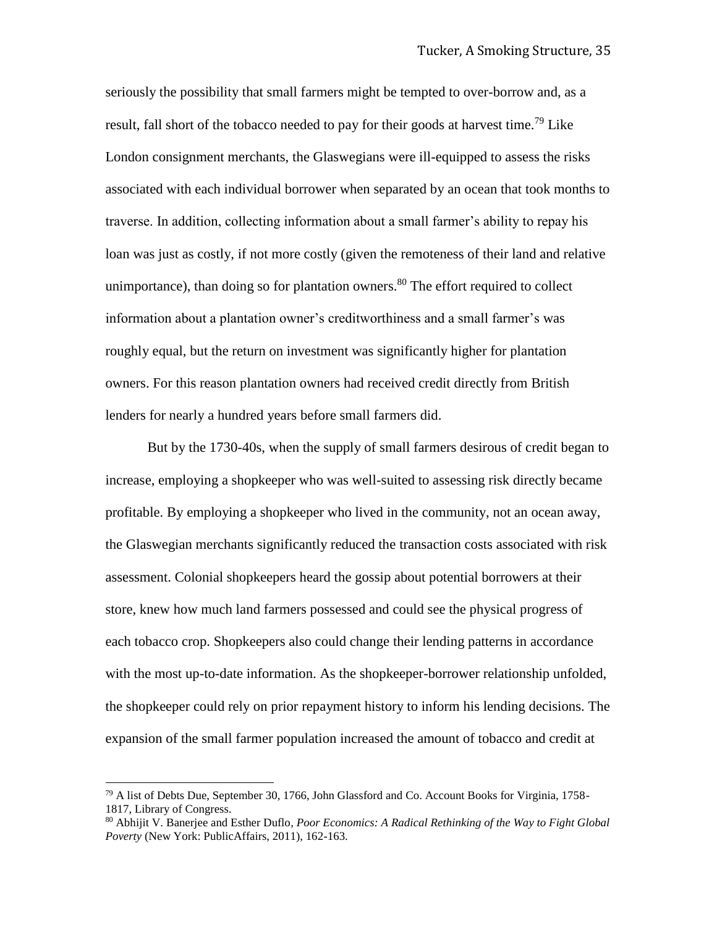seriously the possibility that small farmers might be tempted to over-borrow and, as a result, fall short of the tobacco needed to pay for their goods at harvest time.<sup>79</sup> Like London consignment merchants, the Glaswegians were ill-equipped to assess the risks associated with each individual borrower when separated by an ocean that took months to traverse. In addition, collecting information about a small farmer's ability to repay his loan was just as costly, if not more costly (given the remoteness of their land and relative unimportance), than doing so for plantation owners.<sup>80</sup> The effort required to collect information about a plantation owner's creditworthiness and a small farmer's was roughly equal, but the return on investment was significantly higher for plantation owners. For this reason plantation owners had received credit directly from British lenders for nearly a hundred years before small farmers did.

But by the 1730-40s, when the supply of small farmers desirous of credit began to increase, employing a shopkeeper who was well-suited to assessing risk directly became profitable. By employing a shopkeeper who lived in the community, not an ocean away, the Glaswegian merchants significantly reduced the transaction costs associated with risk assessment. Colonial shopkeepers heard the gossip about potential borrowers at their store, knew how much land farmers possessed and could see the physical progress of each tobacco crop. Shopkeepers also could change their lending patterns in accordance with the most up-to-date information. As the shopkeeper-borrower relationship unfolded, the shopkeeper could rely on prior repayment history to inform his lending decisions. The expansion of the small farmer population increased the amount of tobacco and credit at

 $^{79}$  A list of Debts Due, September 30, 1766, John Glassford and Co. Account Books for Virginia, 1758-1817, Library of Congress.

<sup>80</sup> Abhijit V. Banerjee and Esther Duflo*, Poor Economics: A Radical Rethinking of the Way to Fight Global Poverty* (New York: PublicAffairs, 2011), 162-163.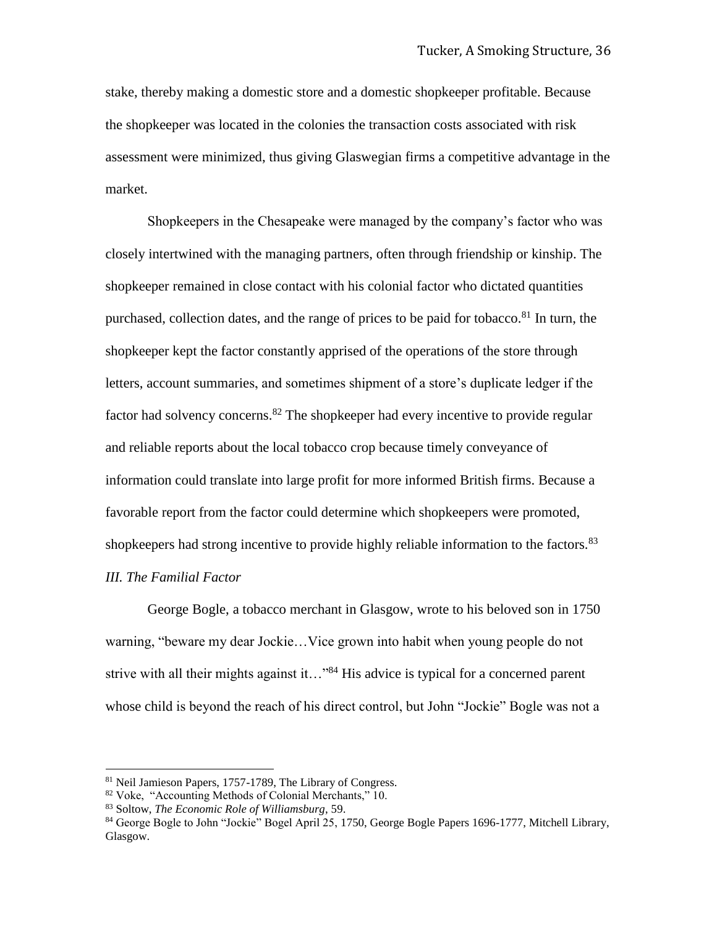stake, thereby making a domestic store and a domestic shopkeeper profitable. Because the shopkeeper was located in the colonies the transaction costs associated with risk assessment were minimized, thus giving Glaswegian firms a competitive advantage in the market.

Shopkeepers in the Chesapeake were managed by the company's factor who was closely intertwined with the managing partners, often through friendship or kinship. The shopkeeper remained in close contact with his colonial factor who dictated quantities purchased, collection dates, and the range of prices to be paid for tobacco.<sup>81</sup> In turn, the shopkeeper kept the factor constantly apprised of the operations of the store through letters, account summaries, and sometimes shipment of a store's duplicate ledger if the factor had solvency concerns.<sup>82</sup> The shopkeeper had every incentive to provide regular and reliable reports about the local tobacco crop because timely conveyance of information could translate into large profit for more informed British firms. Because a favorable report from the factor could determine which shopkeepers were promoted, shopkeepers had strong incentive to provide highly reliable information to the factors.<sup>83</sup> *III. The Familial Factor*

George Bogle, a tobacco merchant in Glasgow, wrote to his beloved son in 1750 warning, "beware my dear Jockie…Vice grown into habit when young people do not strive with all their mights against it…"<sup>84</sup> His advice is typical for a concerned parent whose child is beyond the reach of his direct control, but John "Jockie" Bogle was not a

<sup>81</sup> Neil Jamieson Papers, 1757-1789, The Library of Congress.

<sup>82</sup> Voke, "Accounting Methods of Colonial Merchants," 10.

<sup>83</sup> Soltow, *The Economic Role of Williamsburg*, 59.

<sup>84</sup> George Bogle to John "Jockie" Bogel April 25, 1750, George Bogle Papers 1696-1777, Mitchell Library, Glasgow.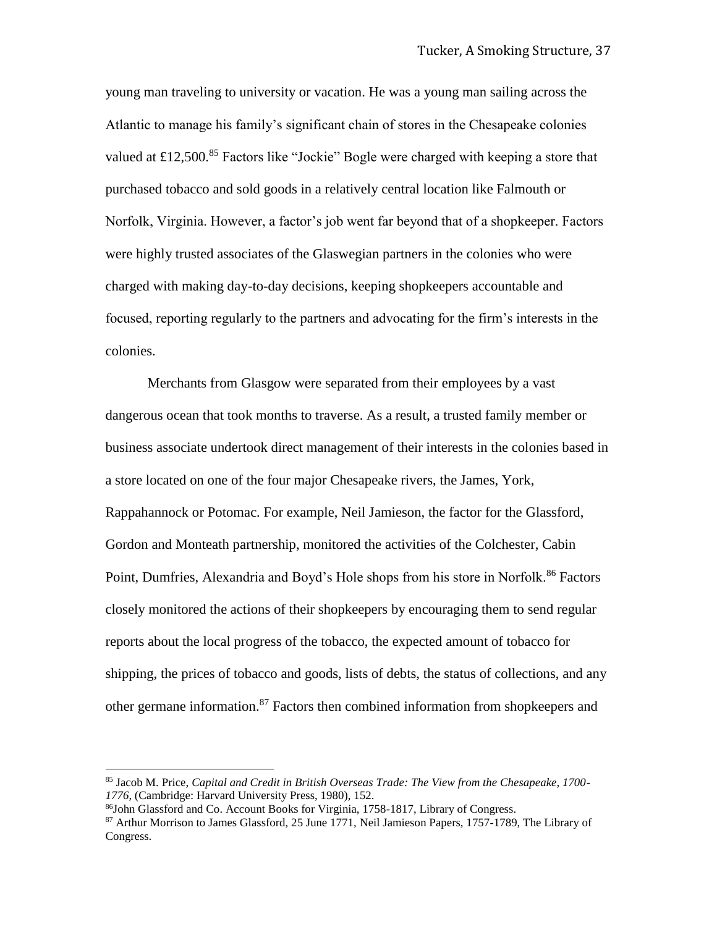young man traveling to university or vacation. He was a young man sailing across the Atlantic to manage his family's significant chain of stores in the Chesapeake colonies valued at £12,500.<sup>85</sup> Factors like "Jockie" Bogle were charged with keeping a store that purchased tobacco and sold goods in a relatively central location like Falmouth or Norfolk, Virginia. However, a factor's job went far beyond that of a shopkeeper. Factors were highly trusted associates of the Glaswegian partners in the colonies who were charged with making day-to-day decisions, keeping shopkeepers accountable and focused, reporting regularly to the partners and advocating for the firm's interests in the colonies.

Merchants from Glasgow were separated from their employees by a vast dangerous ocean that took months to traverse. As a result, a trusted family member or business associate undertook direct management of their interests in the colonies based in a store located on one of the four major Chesapeake rivers, the James, York, Rappahannock or Potomac. For example, Neil Jamieson, the factor for the Glassford, Gordon and Monteath partnership, monitored the activities of the Colchester, Cabin Point, Dumfries, Alexandria and Boyd's Hole shops from his store in Norfolk.<sup>86</sup> Factors closely monitored the actions of their shopkeepers by encouraging them to send regular reports about the local progress of the tobacco, the expected amount of tobacco for shipping, the prices of tobacco and goods, lists of debts, the status of collections, and any other germane information.<sup>87</sup> Factors then combined information from shopkeepers and

<sup>85</sup> Jacob M. Price, *Capital and Credit in British Overseas Trade: The View from the Chesapeake, 1700- 1776*, (Cambridge: Harvard University Press, 1980), 152.

<sup>86</sup>John Glassford and Co. Account Books for Virginia, 1758-1817, Library of Congress.

<sup>&</sup>lt;sup>87</sup> Arthur Morrison to James Glassford, 25 June 1771, Neil Jamieson Papers, 1757-1789, The Library of Congress.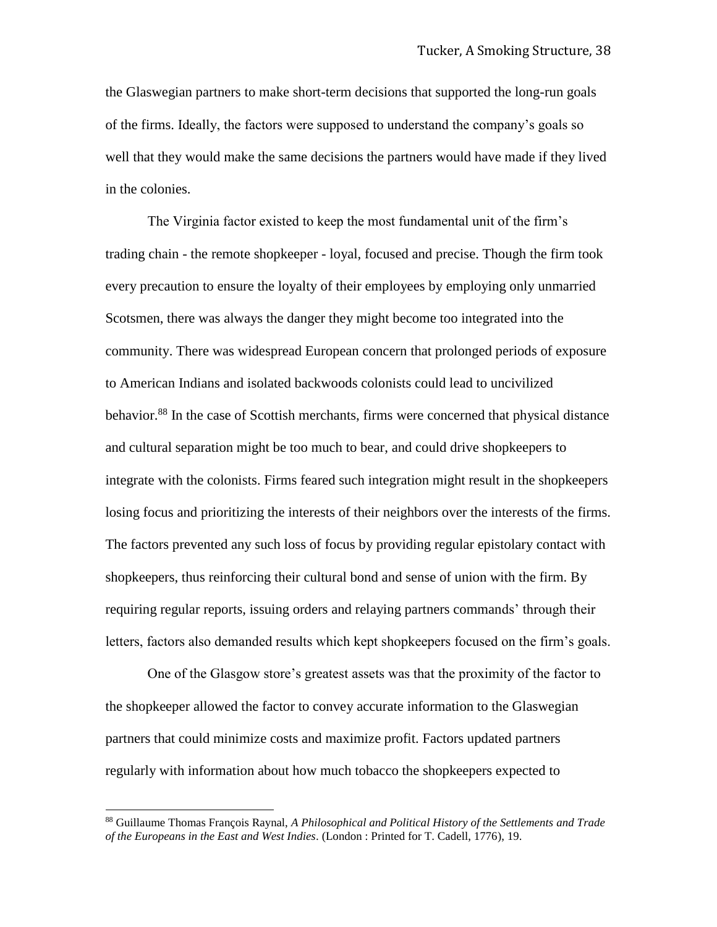the Glaswegian partners to make short-term decisions that supported the long-run goals of the firms. Ideally, the factors were supposed to understand the company's goals so well that they would make the same decisions the partners would have made if they lived in the colonies.

The Virginia factor existed to keep the most fundamental unit of the firm's trading chain - the remote shopkeeper - loyal, focused and precise. Though the firm took every precaution to ensure the loyalty of their employees by employing only unmarried Scotsmen, there was always the danger they might become too integrated into the community. There was widespread European concern that prolonged periods of exposure to American Indians and isolated backwoods colonists could lead to uncivilized behavior.<sup>88</sup> In the case of Scottish merchants, firms were concerned that physical distance and cultural separation might be too much to bear, and could drive shopkeepers to integrate with the colonists. Firms feared such integration might result in the shopkeepers losing focus and prioritizing the interests of their neighbors over the interests of the firms. The factors prevented any such loss of focus by providing regular epistolary contact with shopkeepers, thus reinforcing their cultural bond and sense of union with the firm. By requiring regular reports, issuing orders and relaying partners commands' through their letters, factors also demanded results which kept shopkeepers focused on the firm's goals.

One of the Glasgow store's greatest assets was that the proximity of the factor to the shopkeeper allowed the factor to convey accurate information to the Glaswegian partners that could minimize costs and maximize profit. Factors updated partners regularly with information about how much tobacco the shopkeepers expected to

l

<sup>88</sup> Guillaume Thomas François Raynal, *A Philosophical and Political History of the Settlements and Trade of the Europeans in the East and West Indies*. (London : Printed for T. Cadell, 1776), 19.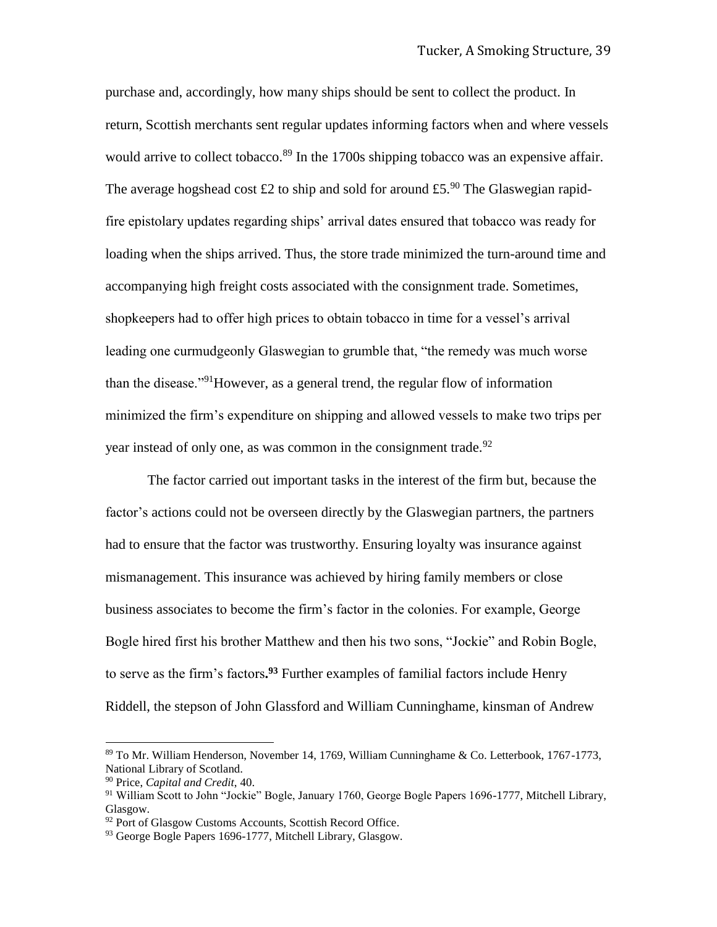purchase and, accordingly, how many ships should be sent to collect the product. In return, Scottish merchants sent regular updates informing factors when and where vessels would arrive to collect tobacco.<sup>89</sup> In the 1700s shipping tobacco was an expensive affair. The average hogshead cost £2 to ship and sold for around £5.<sup>90</sup> The Glaswegian rapidfire epistolary updates regarding ships' arrival dates ensured that tobacco was ready for loading when the ships arrived. Thus, the store trade minimized the turn-around time and accompanying high freight costs associated with the consignment trade. Sometimes, shopkeepers had to offer high prices to obtain tobacco in time for a vessel's arrival leading one curmudgeonly Glaswegian to grumble that, "the remedy was much worse than the disease."<sup>91</sup>However, as a general trend, the regular flow of information minimized the firm's expenditure on shipping and allowed vessels to make two trips per year instead of only one, as was common in the consignment trade.  $92$ 

The factor carried out important tasks in the interest of the firm but, because the factor's actions could not be overseen directly by the Glaswegian partners, the partners had to ensure that the factor was trustworthy. Ensuring loyalty was insurance against mismanagement. This insurance was achieved by hiring family members or close business associates to become the firm's factor in the colonies. For example, George Bogle hired first his brother Matthew and then his two sons, "Jockie" and Robin Bogle, to serve as the firm's factors**. <sup>93</sup>** Further examples of familial factors include Henry Riddell, the stepson of John Glassford and William Cunninghame, kinsman of Andrew

<sup>89</sup> To Mr. William Henderson, November 14, 1769, William Cunninghame & Co. Letterbook, 1767-1773, National Library of Scotland.

<sup>90</sup> Price, *Capital and Credit*, 40.

<sup>91</sup> William Scott to John "Jockie" Bogle, January 1760, George Bogle Papers 1696-1777, Mitchell Library, Glasgow.

<sup>&</sup>lt;sup>92</sup> Port of Glasgow Customs Accounts, Scottish Record Office.

<sup>93</sup> George Bogle Papers 1696-1777, Mitchell Library, Glasgow.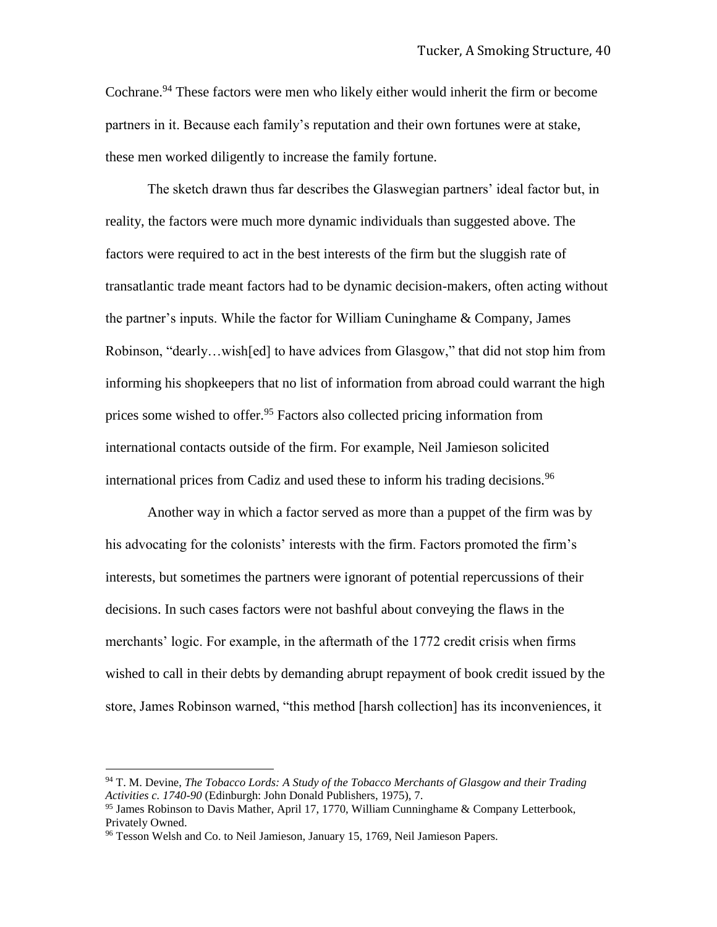Cochrane.<sup>94</sup> These factors were men who likely either would inherit the firm or become partners in it. Because each family's reputation and their own fortunes were at stake, these men worked diligently to increase the family fortune.

The sketch drawn thus far describes the Glaswegian partners' ideal factor but, in reality, the factors were much more dynamic individuals than suggested above. The factors were required to act in the best interests of the firm but the sluggish rate of transatlantic trade meant factors had to be dynamic decision-makers, often acting without the partner's inputs. While the factor for William Cuninghame & Company, James Robinson, "dearly…wish[ed] to have advices from Glasgow," that did not stop him from informing his shopkeepers that no list of information from abroad could warrant the high prices some wished to offer.<sup>95</sup> Factors also collected pricing information from international contacts outside of the firm. For example, Neil Jamieson solicited international prices from Cadiz and used these to inform his trading decisions.<sup>96</sup>

Another way in which a factor served as more than a puppet of the firm was by his advocating for the colonists' interests with the firm. Factors promoted the firm's interests, but sometimes the partners were ignorant of potential repercussions of their decisions. In such cases factors were not bashful about conveying the flaws in the merchants' logic. For example, in the aftermath of the 1772 credit crisis when firms wished to call in their debts by demanding abrupt repayment of book credit issued by the store, James Robinson warned, "this method [harsh collection] has its inconveniences, it

<sup>94</sup> T. M. Devine, *The Tobacco Lords: A Study of the Tobacco Merchants of Glasgow and their Trading Activities c. 1740-90* (Edinburgh: John Donald Publishers, 1975), 7.

<sup>95</sup> James Robinson to Davis Mather, April 17, 1770, William Cunninghame & Company Letterbook, Privately Owned.

<sup>&</sup>lt;sup>96</sup> Tesson Welsh and Co. to Neil Jamieson, January 15, 1769, Neil Jamieson Papers.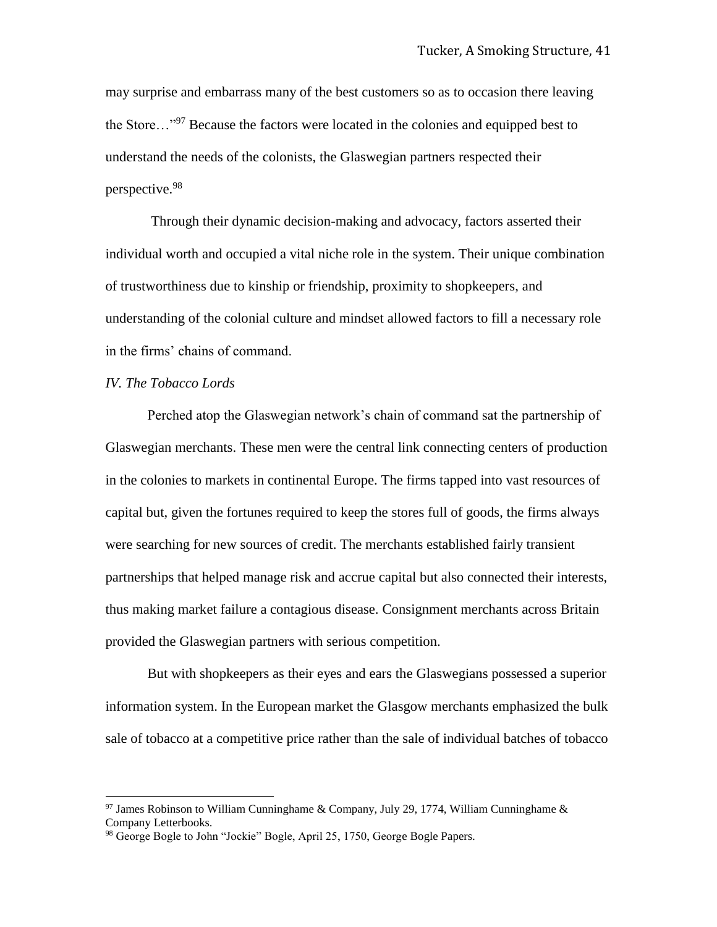may surprise and embarrass many of the best customers so as to occasion there leaving the Store…"<sup>97</sup> Because the factors were located in the colonies and equipped best to understand the needs of the colonists, the Glaswegian partners respected their perspective.<sup>98</sup>

Through their dynamic decision-making and advocacy, factors asserted their individual worth and occupied a vital niche role in the system. Their unique combination of trustworthiness due to kinship or friendship, proximity to shopkeepers, and understanding of the colonial culture and mindset allowed factors to fill a necessary role in the firms' chains of command.

## *IV. The Tobacco Lords*

 $\overline{a}$ 

Perched atop the Glaswegian network's chain of command sat the partnership of Glaswegian merchants. These men were the central link connecting centers of production in the colonies to markets in continental Europe. The firms tapped into vast resources of capital but, given the fortunes required to keep the stores full of goods, the firms always were searching for new sources of credit. The merchants established fairly transient partnerships that helped manage risk and accrue capital but also connected their interests, thus making market failure a contagious disease. Consignment merchants across Britain provided the Glaswegian partners with serious competition.

But with shopkeepers as their eyes and ears the Glaswegians possessed a superior information system. In the European market the Glasgow merchants emphasized the bulk sale of tobacco at a competitive price rather than the sale of individual batches of tobacco

<sup>&</sup>lt;sup>97</sup> James Robinson to William Cunninghame & Company, July 29, 1774, William Cunninghame & Company Letterbooks.

<sup>&</sup>lt;sup>98</sup> George Bogle to John "Jockie" Bogle, April 25, 1750, George Bogle Papers.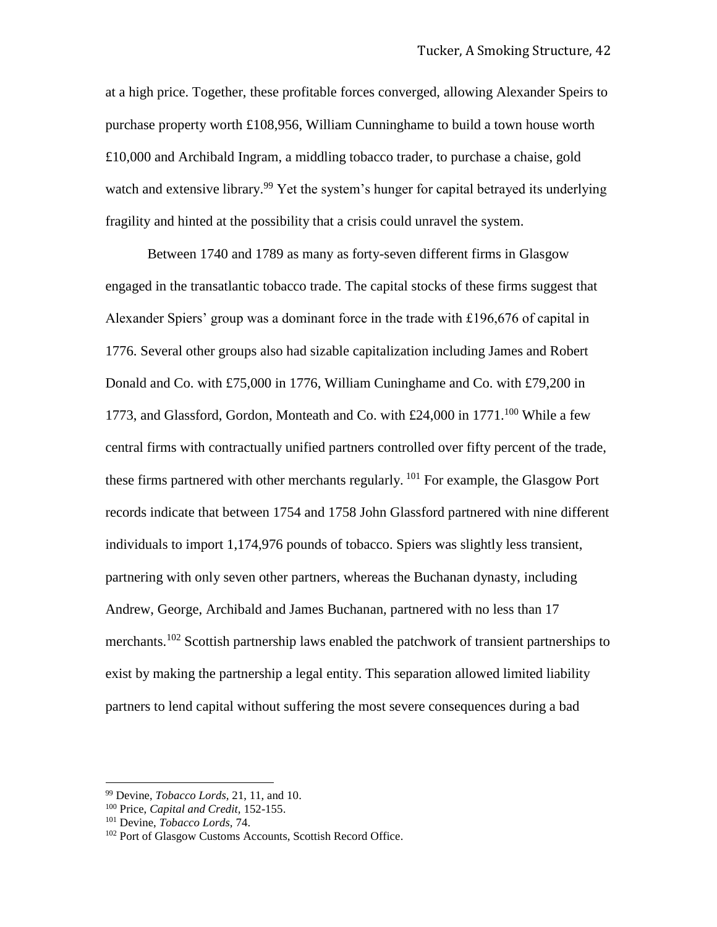at a high price. Together, these profitable forces converged, allowing Alexander Speirs to purchase property worth £108,956, William Cunninghame to build a town house worth £10,000 and Archibald Ingram, a middling tobacco trader, to purchase a chaise, gold watch and extensive library.<sup>99</sup> Yet the system's hunger for capital betrayed its underlying fragility and hinted at the possibility that a crisis could unravel the system.

Between 1740 and 1789 as many as forty-seven different firms in Glasgow engaged in the transatlantic tobacco trade. The capital stocks of these firms suggest that Alexander Spiers' group was a dominant force in the trade with £196,676 of capital in 1776. Several other groups also had sizable capitalization including James and Robert Donald and Co. with £75,000 in 1776, William Cuninghame and Co. with £79,200 in 1773, and Glassford, Gordon, Monteath and Co. with  $£24,000$  in  $1771$ .<sup>100</sup> While a few central firms with contractually unified partners controlled over fifty percent of the trade, these firms partnered with other merchants regularly. <sup>101</sup> For example, the Glasgow Port records indicate that between 1754 and 1758 John Glassford partnered with nine different individuals to import 1,174,976 pounds of tobacco. Spiers was slightly less transient, partnering with only seven other partners, whereas the Buchanan dynasty, including Andrew, George, Archibald and James Buchanan, partnered with no less than 17 merchants.<sup>102</sup> Scottish partnership laws enabled the patchwork of transient partnerships to exist by making the partnership a legal entity. This separation allowed limited liability partners to lend capital without suffering the most severe consequences during a bad

<sup>99</sup> Devine, *Tobacco Lords,* 21, 11, and 10.

<sup>100</sup> Price, *Capital and Credit,* 152-155.

<sup>101</sup> Devine, *Tobacco Lords,* 74.

<sup>102</sup> Port of Glasgow Customs Accounts, Scottish Record Office.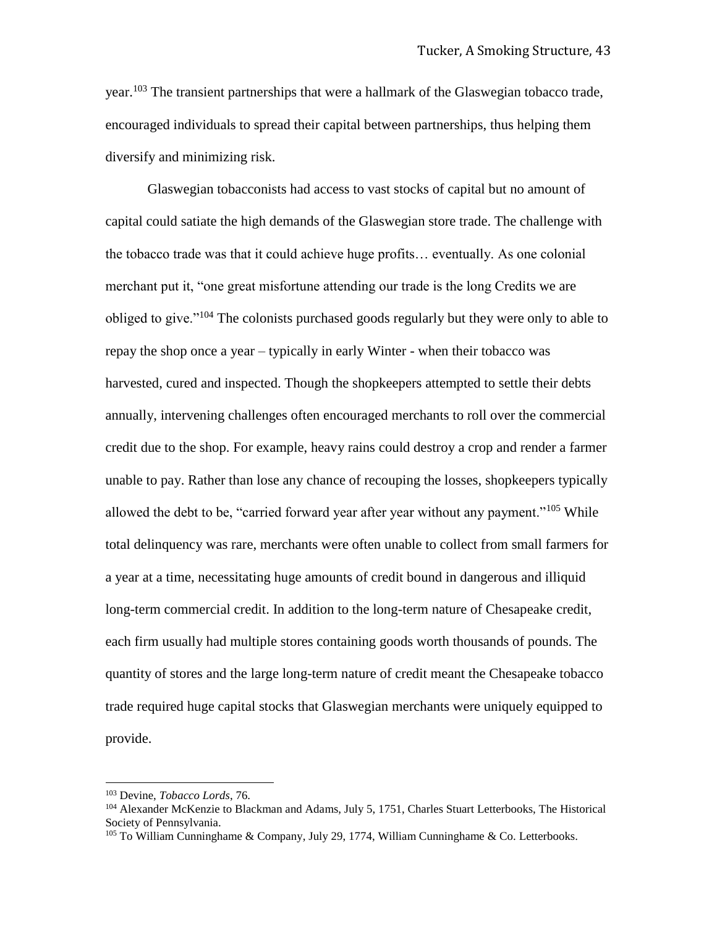year.<sup>103</sup> The transient partnerships that were a hallmark of the Glaswegian tobacco trade, encouraged individuals to spread their capital between partnerships, thus helping them diversify and minimizing risk.

Glaswegian tobacconists had access to vast stocks of capital but no amount of capital could satiate the high demands of the Glaswegian store trade. The challenge with the tobacco trade was that it could achieve huge profits… eventually. As one colonial merchant put it, "one great misfortune attending our trade is the long Credits we are obliged to give."<sup>104</sup> The colonists purchased goods regularly but they were only to able to repay the shop once a year – typically in early Winter - when their tobacco was harvested, cured and inspected. Though the shopkeepers attempted to settle their debts annually, intervening challenges often encouraged merchants to roll over the commercial credit due to the shop. For example, heavy rains could destroy a crop and render a farmer unable to pay. Rather than lose any chance of recouping the losses, shopkeepers typically allowed the debt to be, "carried forward year after year without any payment."<sup>105</sup> While total delinquency was rare, merchants were often unable to collect from small farmers for a year at a time, necessitating huge amounts of credit bound in dangerous and illiquid long-term commercial credit. In addition to the long-term nature of Chesapeake credit, each firm usually had multiple stores containing goods worth thousands of pounds. The quantity of stores and the large long-term nature of credit meant the Chesapeake tobacco trade required huge capital stocks that Glaswegian merchants were uniquely equipped to provide.

<sup>103</sup> Devine, *Tobacco Lords*, 76.

<sup>104</sup> Alexander McKenzie to Blackman and Adams, July 5, 1751, Charles Stuart Letterbooks, The Historical Society of Pennsylvania.

 $105$  To William Cunninghame & Company, July 29, 1774, William Cunninghame & Co. Letterbooks.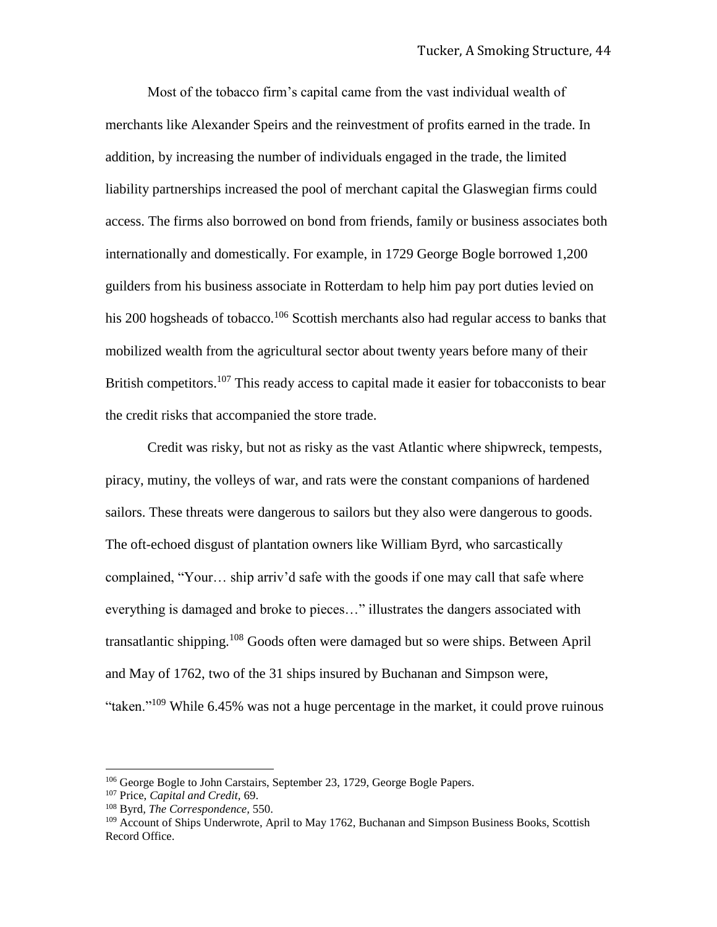Most of the tobacco firm's capital came from the vast individual wealth of merchants like Alexander Speirs and the reinvestment of profits earned in the trade. In addition, by increasing the number of individuals engaged in the trade, the limited liability partnerships increased the pool of merchant capital the Glaswegian firms could access. The firms also borrowed on bond from friends, family or business associates both internationally and domestically. For example, in 1729 George Bogle borrowed 1,200 guilders from his business associate in Rotterdam to help him pay port duties levied on his 200 hogsheads of tobacco.<sup>106</sup> Scottish merchants also had regular access to banks that mobilized wealth from the agricultural sector about twenty years before many of their British competitors.<sup>107</sup> This ready access to capital made it easier for tobacconists to bear the credit risks that accompanied the store trade.

Credit was risky, but not as risky as the vast Atlantic where shipwreck, tempests, piracy, mutiny, the volleys of war, and rats were the constant companions of hardened sailors. These threats were dangerous to sailors but they also were dangerous to goods. The oft-echoed disgust of plantation owners like William Byrd, who sarcastically complained, "Your… ship arriv'd safe with the goods if one may call that safe where everything is damaged and broke to pieces…" illustrates the dangers associated with transatlantic shipping.<sup>108</sup> Goods often were damaged but so were ships. Between April and May of 1762, two of the 31 ships insured by Buchanan and Simpson were, "taken."<sup>109</sup> While 6.45% was not a huge percentage in the market, it could prove ruinous

<sup>106</sup> George Bogle to John Carstairs, September 23, 1729, George Bogle Papers.

<sup>107</sup> Price, *Capital and Credit,* 69.

<sup>108</sup> Byrd*, The Correspondence,* 550.

<sup>&</sup>lt;sup>109</sup> Account of Ships Underwrote, April to May 1762, Buchanan and Simpson Business Books, Scottish Record Office.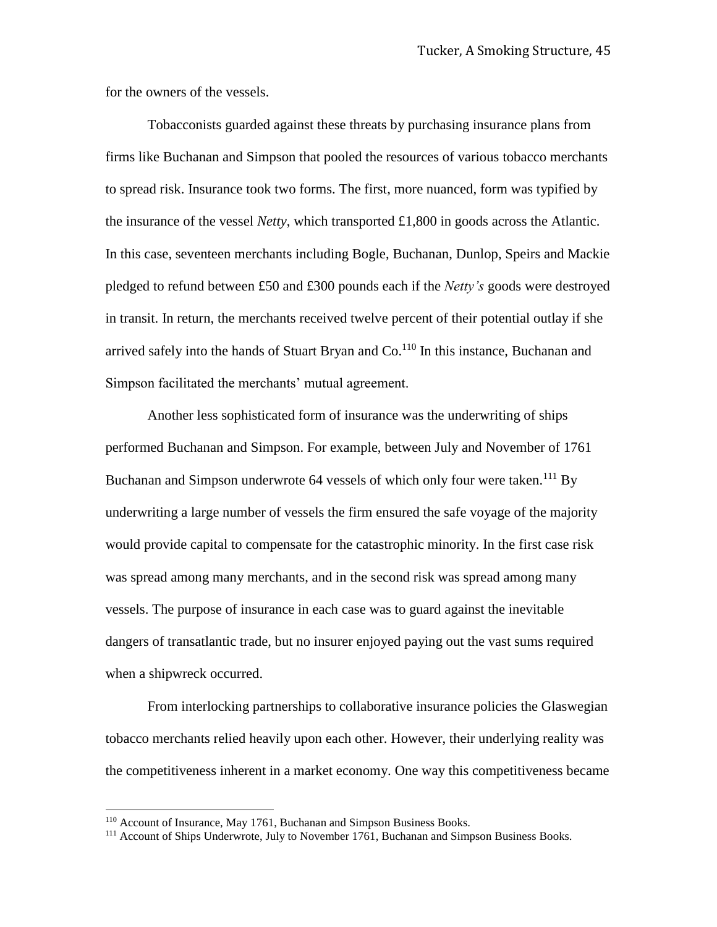for the owners of the vessels.

Tobacconists guarded against these threats by purchasing insurance plans from firms like Buchanan and Simpson that pooled the resources of various tobacco merchants to spread risk. Insurance took two forms. The first, more nuanced, form was typified by the insurance of the vessel *Netty*, which transported £1,800 in goods across the Atlantic. In this case, seventeen merchants including Bogle, Buchanan, Dunlop, Speirs and Mackie pledged to refund between £50 and £300 pounds each if the *Netty's* goods were destroyed in transit. In return, the merchants received twelve percent of their potential outlay if she arrived safely into the hands of Stuart Bryan and  $Co<sup>110</sup>$  In this instance, Buchanan and Simpson facilitated the merchants' mutual agreement.

Another less sophisticated form of insurance was the underwriting of ships performed Buchanan and Simpson. For example, between July and November of 1761 Buchanan and Simpson underwrote 64 vessels of which only four were taken.<sup>111</sup> By underwriting a large number of vessels the firm ensured the safe voyage of the majority would provide capital to compensate for the catastrophic minority. In the first case risk was spread among many merchants, and in the second risk was spread among many vessels. The purpose of insurance in each case was to guard against the inevitable dangers of transatlantic trade, but no insurer enjoyed paying out the vast sums required when a shipwreck occurred.

From interlocking partnerships to collaborative insurance policies the Glaswegian tobacco merchants relied heavily upon each other. However, their underlying reality was the competitiveness inherent in a market economy. One way this competitiveness became

l

<sup>110</sup> Account of Insurance, May 1761, Buchanan and Simpson Business Books.

<sup>&</sup>lt;sup>111</sup> Account of Ships Underwrote, July to November 1761, Buchanan and Simpson Business Books.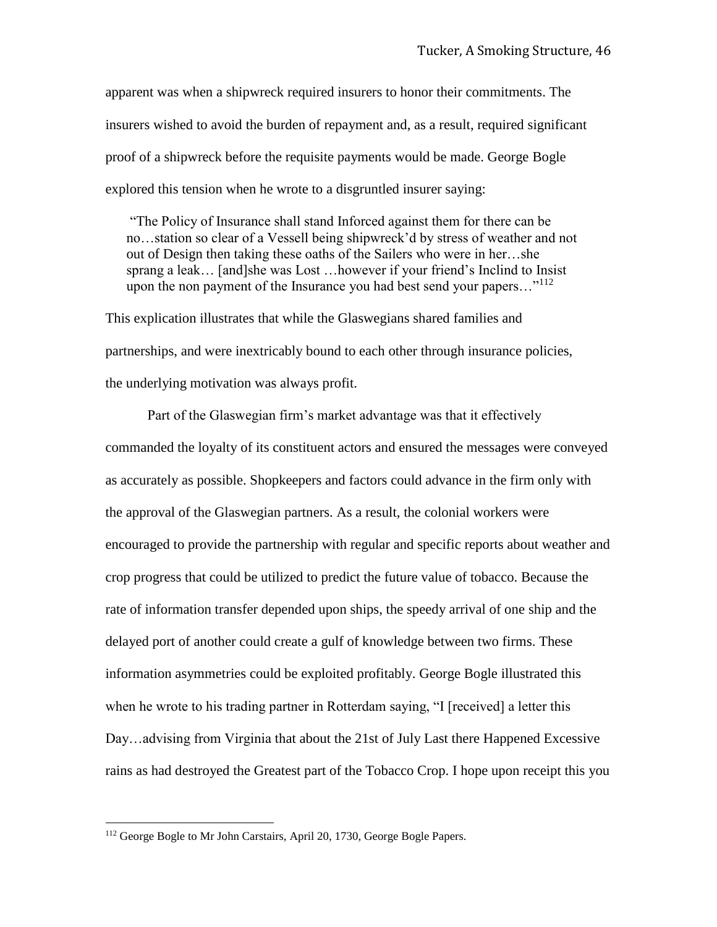apparent was when a shipwreck required insurers to honor their commitments. The insurers wished to avoid the burden of repayment and, as a result, required significant proof of a shipwreck before the requisite payments would be made. George Bogle explored this tension when he wrote to a disgruntled insurer saying:

"The Policy of Insurance shall stand Inforced against them for there can be no…station so clear of a Vessell being shipwreck'd by stress of weather and not out of Design then taking these oaths of the Sailers who were in her…she sprang a leak… [and]she was Lost …however if your friend's Inclind to Insist upon the non payment of the Insurance you had best send your papers... $"^{112}$ 

This explication illustrates that while the Glaswegians shared families and partnerships, and were inextricably bound to each other through insurance policies, the underlying motivation was always profit.

Part of the Glaswegian firm's market advantage was that it effectively commanded the loyalty of its constituent actors and ensured the messages were conveyed as accurately as possible. Shopkeepers and factors could advance in the firm only with the approval of the Glaswegian partners. As a result, the colonial workers were encouraged to provide the partnership with regular and specific reports about weather and crop progress that could be utilized to predict the future value of tobacco. Because the rate of information transfer depended upon ships, the speedy arrival of one ship and the delayed port of another could create a gulf of knowledge between two firms. These information asymmetries could be exploited profitably. George Bogle illustrated this when he wrote to his trading partner in Rotterdam saying, "I [received] a letter this Day…advising from Virginia that about the 21st of July Last there Happened Excessive rains as had destroyed the Greatest part of the Tobacco Crop. I hope upon receipt this you

<sup>&</sup>lt;sup>112</sup> George Bogle to Mr John Carstairs, April 20, 1730, George Bogle Papers.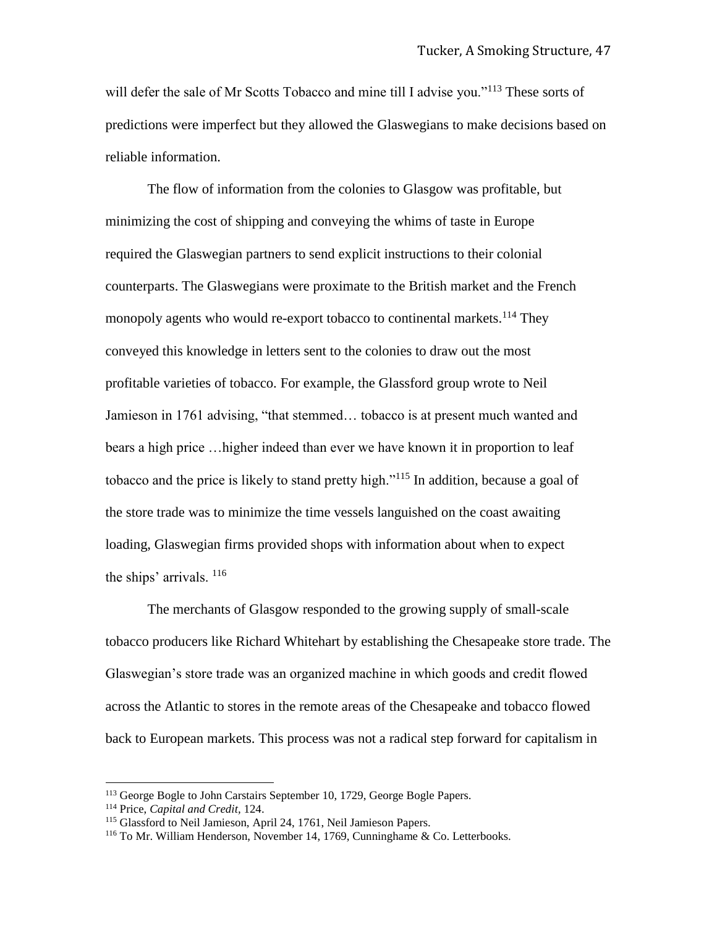will defer the sale of Mr Scotts Tobacco and mine till I advise you."<sup>113</sup> These sorts of predictions were imperfect but they allowed the Glaswegians to make decisions based on reliable information.

The flow of information from the colonies to Glasgow was profitable, but minimizing the cost of shipping and conveying the whims of taste in Europe required the Glaswegian partners to send explicit instructions to their colonial counterparts. The Glaswegians were proximate to the British market and the French monopoly agents who would re-export tobacco to continental markets.<sup>114</sup> They conveyed this knowledge in letters sent to the colonies to draw out the most profitable varieties of tobacco. For example, the Glassford group wrote to Neil Jamieson in 1761 advising, "that stemmed… tobacco is at present much wanted and bears a high price …higher indeed than ever we have known it in proportion to leaf tobacco and the price is likely to stand pretty high."<sup>115</sup> In addition, because a goal of the store trade was to minimize the time vessels languished on the coast awaiting loading, Glaswegian firms provided shops with information about when to expect the ships' arrivals.  $116$ 

The merchants of Glasgow responded to the growing supply of small-scale tobacco producers like Richard Whitehart by establishing the Chesapeake store trade. The Glaswegian's store trade was an organized machine in which goods and credit flowed across the Atlantic to stores in the remote areas of the Chesapeake and tobacco flowed back to European markets. This process was not a radical step forward for capitalism in

<sup>&</sup>lt;sup>113</sup> George Bogle to John Carstairs September 10, 1729, George Bogle Papers.

<sup>114</sup> Price, *Capital and Credit,* 124.

<sup>115</sup> Glassford to Neil Jamieson, April 24, 1761, Neil Jamieson Papers.

<sup>116</sup> To Mr. William Henderson, November 14, 1769, Cunninghame & Co. Letterbooks.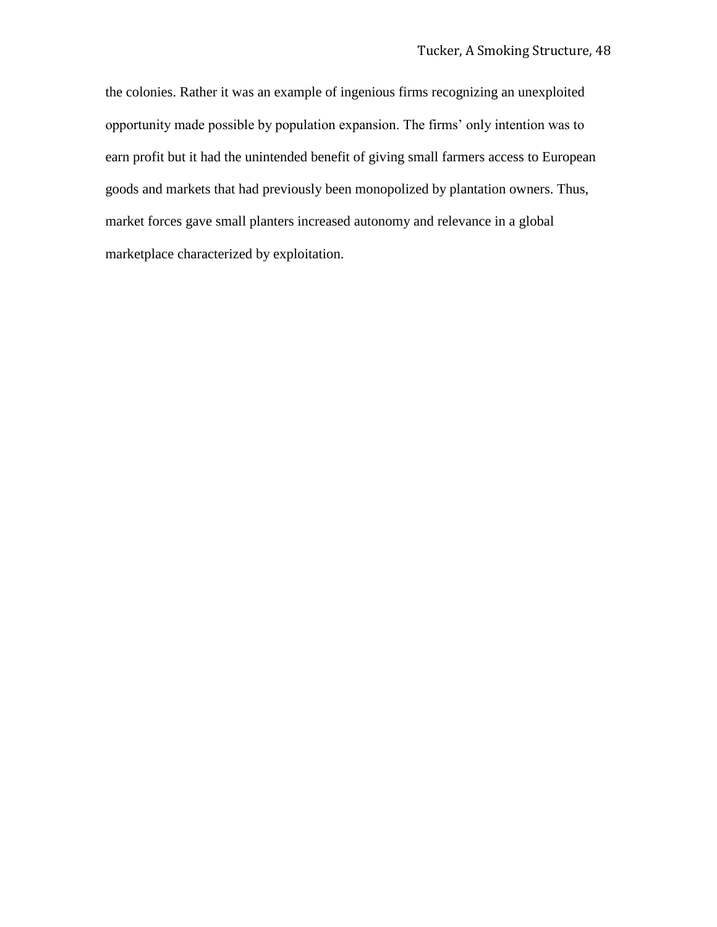the colonies. Rather it was an example of ingenious firms recognizing an unexploited opportunity made possible by population expansion. The firms' only intention was to earn profit but it had the unintended benefit of giving small farmers access to European goods and markets that had previously been monopolized by plantation owners. Thus, market forces gave small planters increased autonomy and relevance in a global marketplace characterized by exploitation.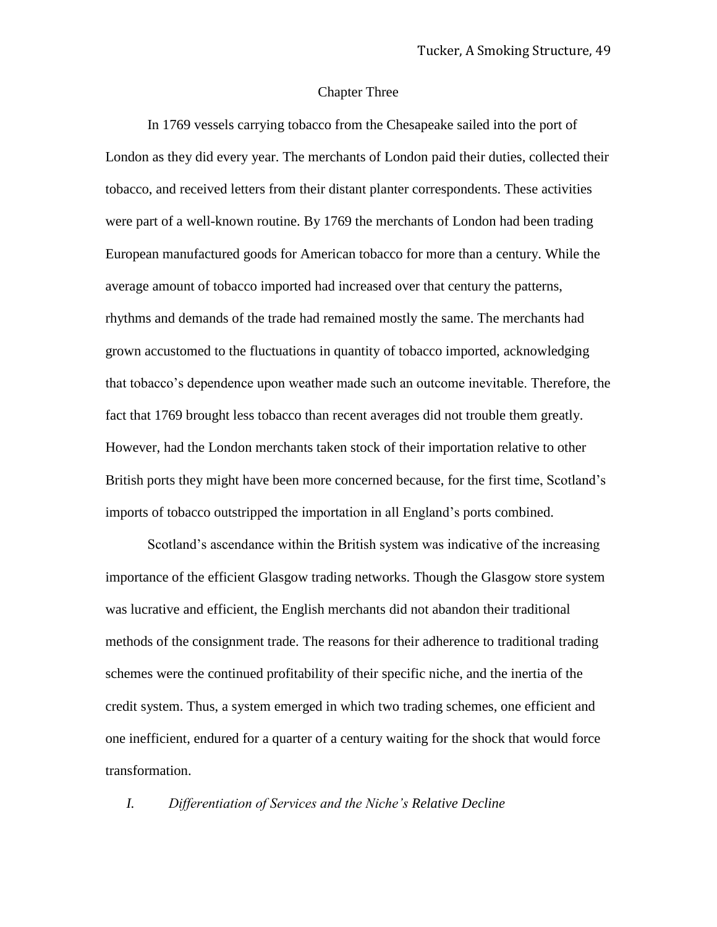#### Chapter Three

In 1769 vessels carrying tobacco from the Chesapeake sailed into the port of London as they did every year. The merchants of London paid their duties, collected their tobacco, and received letters from their distant planter correspondents. These activities were part of a well-known routine. By 1769 the merchants of London had been trading European manufactured goods for American tobacco for more than a century. While the average amount of tobacco imported had increased over that century the patterns, rhythms and demands of the trade had remained mostly the same. The merchants had grown accustomed to the fluctuations in quantity of tobacco imported, acknowledging that tobacco's dependence upon weather made such an outcome inevitable. Therefore, the fact that 1769 brought less tobacco than recent averages did not trouble them greatly. However, had the London merchants taken stock of their importation relative to other British ports they might have been more concerned because, for the first time, Scotland's imports of tobacco outstripped the importation in all England's ports combined.

Scotland's ascendance within the British system was indicative of the increasing importance of the efficient Glasgow trading networks. Though the Glasgow store system was lucrative and efficient, the English merchants did not abandon their traditional methods of the consignment trade. The reasons for their adherence to traditional trading schemes were the continued profitability of their specific niche, and the inertia of the credit system. Thus, a system emerged in which two trading schemes, one efficient and one inefficient, endured for a quarter of a century waiting for the shock that would force transformation.

*I. Differentiation of Services and the Niche's Relative Decline*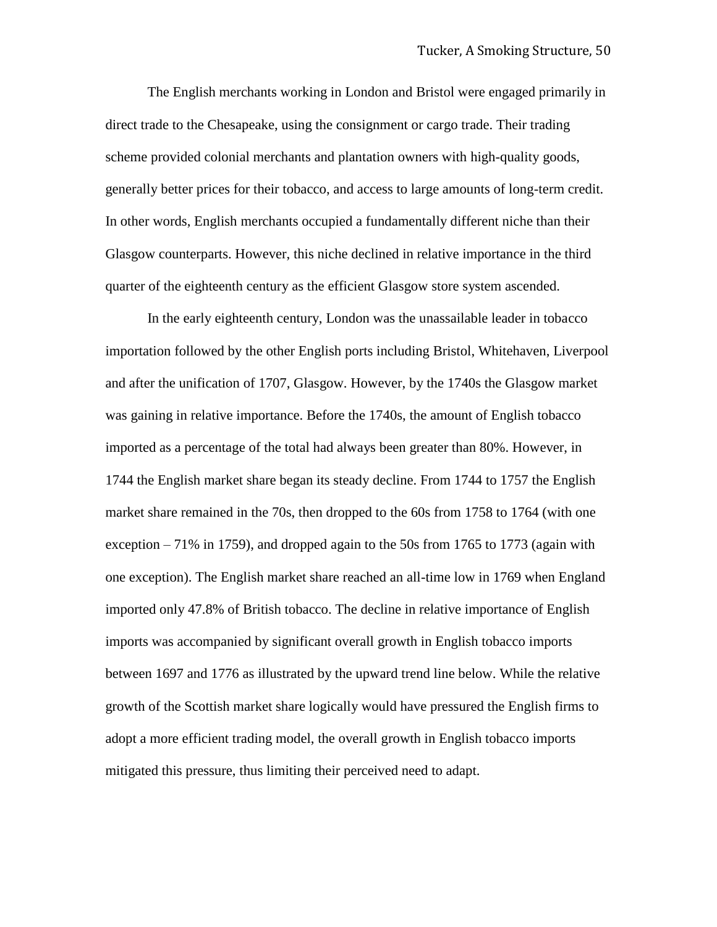The English merchants working in London and Bristol were engaged primarily in direct trade to the Chesapeake, using the consignment or cargo trade. Their trading scheme provided colonial merchants and plantation owners with high-quality goods, generally better prices for their tobacco, and access to large amounts of long-term credit. In other words, English merchants occupied a fundamentally different niche than their Glasgow counterparts. However, this niche declined in relative importance in the third quarter of the eighteenth century as the efficient Glasgow store system ascended.

In the early eighteenth century, London was the unassailable leader in tobacco importation followed by the other English ports including Bristol, Whitehaven, Liverpool and after the unification of 1707, Glasgow. However, by the 1740s the Glasgow market was gaining in relative importance. Before the 1740s, the amount of English tobacco imported as a percentage of the total had always been greater than 80%. However, in 1744 the English market share began its steady decline. From 1744 to 1757 the English market share remained in the 70s, then dropped to the 60s from 1758 to 1764 (with one exception  $-71\%$  in 1759), and dropped again to the 50s from 1765 to 1773 (again with one exception). The English market share reached an all-time low in 1769 when England imported only 47.8% of British tobacco. The decline in relative importance of English imports was accompanied by significant overall growth in English tobacco imports between 1697 and 1776 as illustrated by the upward trend line below. While the relative growth of the Scottish market share logically would have pressured the English firms to adopt a more efficient trading model, the overall growth in English tobacco imports mitigated this pressure, thus limiting their perceived need to adapt.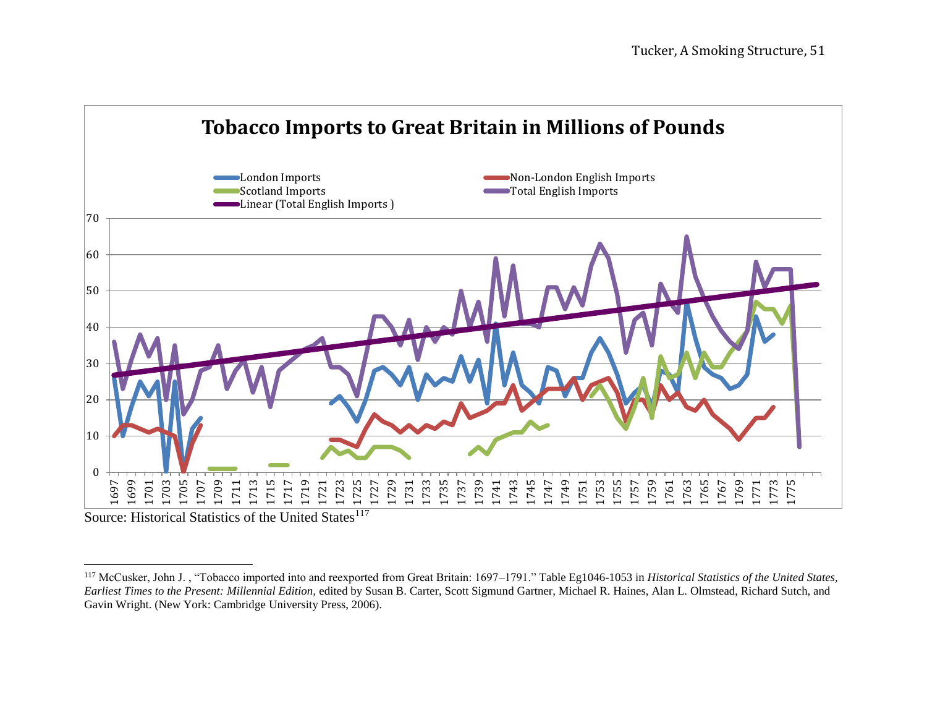

Source: Historical Statistics of the United States<sup>117</sup>

<sup>&</sup>lt;sup>117</sup> McCusker, John J., "Tobacco imported into and reexported from Great Britain: 1697–1791." Table Eg1046-1053 in *Historical Statistics of the United States*, *Earliest Times to the Present: Millennial Edition,* edited by Susan B. Carter, Scott Sigmund Gartner, Michael R. Haines, Alan L. Olmstead, Richard Sutch, and Gavin Wright. (New York: Cambridge University Press, 2006).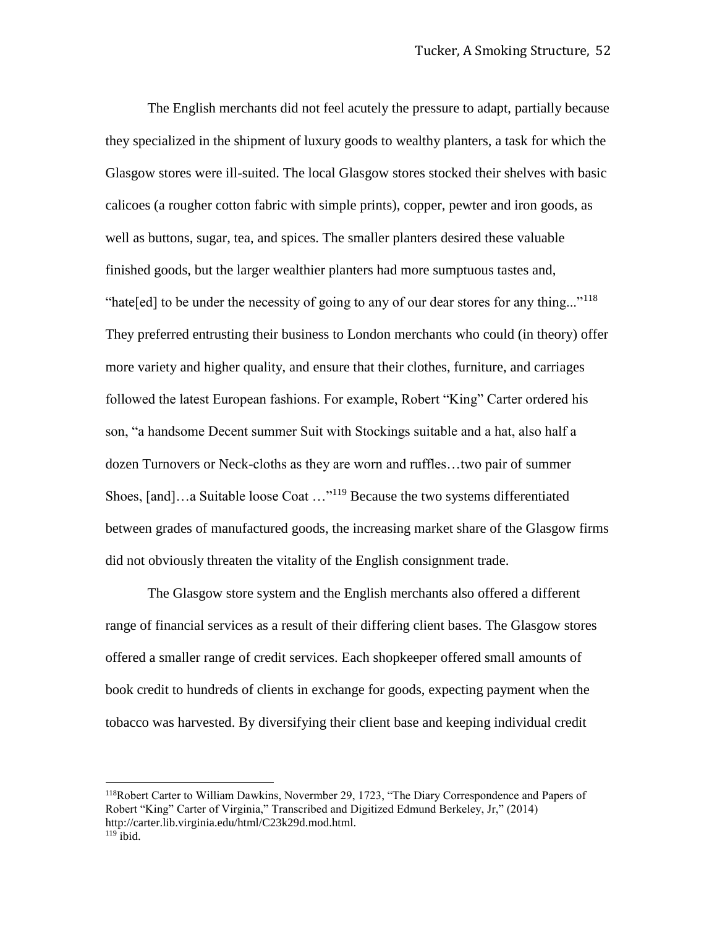The English merchants did not feel acutely the pressure to adapt, partially because they specialized in the shipment of luxury goods to wealthy planters, a task for which the Glasgow stores were ill-suited. The local Glasgow stores stocked their shelves with basic calicoes (a rougher cotton fabric with simple prints), copper, pewter and iron goods, as well as buttons, sugar, tea, and spices. The smaller planters desired these valuable finished goods, but the larger wealthier planters had more sumptuous tastes and, "hate[ed] to be under the necessity of going to any of our dear stores for any thing..."<sup>118</sup> They preferred entrusting their business to London merchants who could (in theory) offer more variety and higher quality, and ensure that their clothes, furniture, and carriages followed the latest European fashions. For example, Robert "King" Carter ordered his son, "a handsome Decent summer Suit with Stockings suitable and a hat, also half a dozen Turnovers or Neck-cloths as they are worn and ruffles…two pair of summer Shoes, [and]…a Suitable loose Coat …"<sup>119</sup> Because the two systems differentiated between grades of manufactured goods, the increasing market share of the Glasgow firms did not obviously threaten the vitality of the English consignment trade.

The Glasgow store system and the English merchants also offered a different range of financial services as a result of their differing client bases. The Glasgow stores offered a smaller range of credit services. Each shopkeeper offered small amounts of book credit to hundreds of clients in exchange for goods, expecting payment when the tobacco was harvested. By diversifying their client base and keeping individual credit

<sup>118</sup>Robert Carter to William Dawkins, Novermber 29, 1723, "The Diary Correspondence and Papers of Robert "King" Carter of Virginia," Transcribed and Digitized Edmund Berkeley, Jr," (2014) http://carter.lib.virginia.edu/html/C23k29d.mod.html.  $119$  ibid.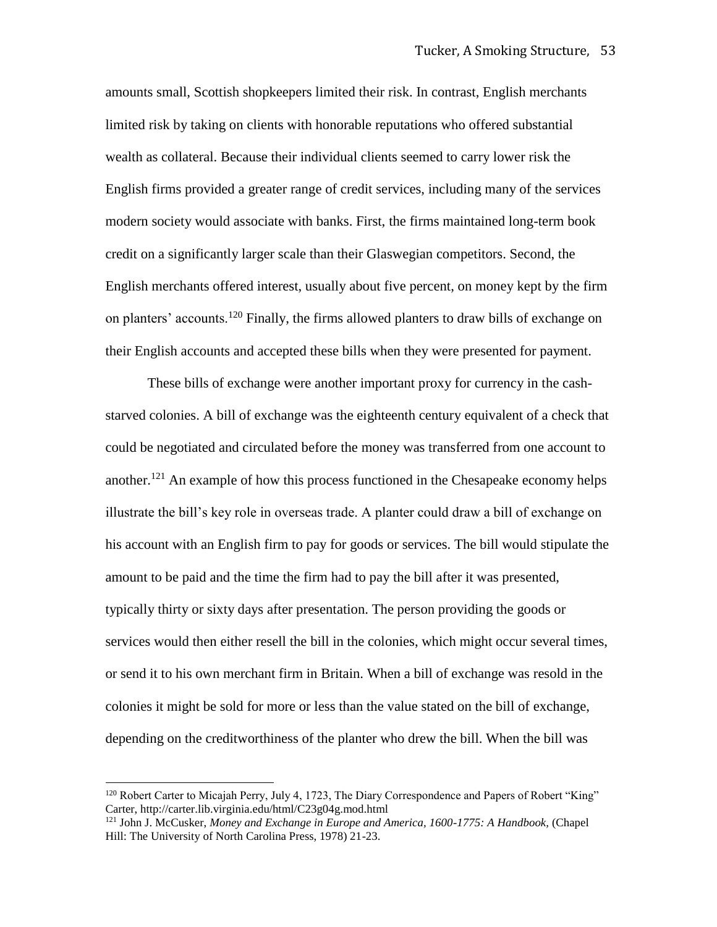amounts small, Scottish shopkeepers limited their risk. In contrast, English merchants limited risk by taking on clients with honorable reputations who offered substantial wealth as collateral. Because their individual clients seemed to carry lower risk the English firms provided a greater range of credit services, including many of the services modern society would associate with banks. First, the firms maintained long-term book credit on a significantly larger scale than their Glaswegian competitors. Second, the English merchants offered interest, usually about five percent, on money kept by the firm on planters' accounts.<sup>120</sup> Finally, the firms allowed planters to draw bills of exchange on their English accounts and accepted these bills when they were presented for payment.

These bills of exchange were another important proxy for currency in the cashstarved colonies. A bill of exchange was the eighteenth century equivalent of a check that could be negotiated and circulated before the money was transferred from one account to another.<sup>121</sup> An example of how this process functioned in the Chesapeake economy helps illustrate the bill's key role in overseas trade. A planter could draw a bill of exchange on his account with an English firm to pay for goods or services. The bill would stipulate the amount to be paid and the time the firm had to pay the bill after it was presented, typically thirty or sixty days after presentation. The person providing the goods or services would then either resell the bill in the colonies, which might occur several times, or send it to his own merchant firm in Britain. When a bill of exchange was resold in the colonies it might be sold for more or less than the value stated on the bill of exchange, depending on the creditworthiness of the planter who drew the bill. When the bill was

<sup>&</sup>lt;sup>120</sup> Robert Carter to Micajah Perry, July 4, 1723, The Diary Correspondence and Papers of Robert "King" Carter, http://carter.lib.virginia.edu/html/C23g04g.mod.html

<sup>121</sup> John J. McCusker, *Money and Exchange in Europe and America, 1600-1775: A Handbook,* (Chapel Hill: The University of North Carolina Press, 1978) 21-23.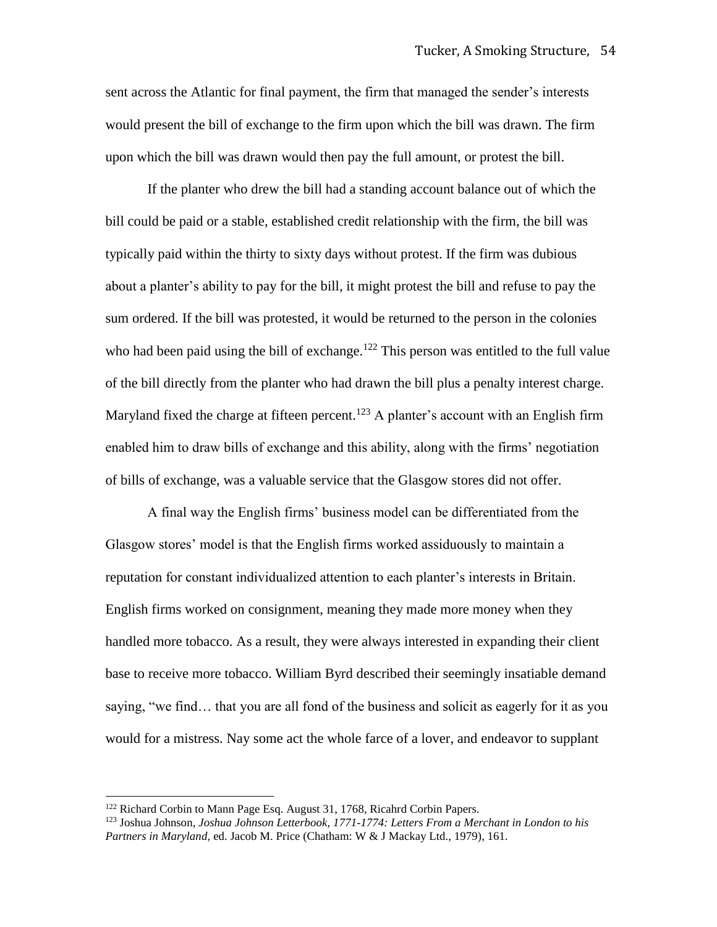sent across the Atlantic for final payment, the firm that managed the sender's interests would present the bill of exchange to the firm upon which the bill was drawn. The firm upon which the bill was drawn would then pay the full amount, or protest the bill.

If the planter who drew the bill had a standing account balance out of which the bill could be paid or a stable, established credit relationship with the firm, the bill was typically paid within the thirty to sixty days without protest. If the firm was dubious about a planter's ability to pay for the bill, it might protest the bill and refuse to pay the sum ordered. If the bill was protested, it would be returned to the person in the colonies who had been paid using the bill of exchange.<sup>122</sup> This person was entitled to the full value of the bill directly from the planter who had drawn the bill plus a penalty interest charge. Maryland fixed the charge at fifteen percent.<sup>123</sup> A planter's account with an English firm enabled him to draw bills of exchange and this ability, along with the firms' negotiation of bills of exchange, was a valuable service that the Glasgow stores did not offer.

A final way the English firms' business model can be differentiated from the Glasgow stores' model is that the English firms worked assiduously to maintain a reputation for constant individualized attention to each planter's interests in Britain. English firms worked on consignment, meaning they made more money when they handled more tobacco. As a result, they were always interested in expanding their client base to receive more tobacco. William Byrd described their seemingly insatiable demand saying, "we find… that you are all fond of the business and solicit as eagerly for it as you would for a mistress. Nay some act the whole farce of a lover, and endeavor to supplant

<sup>122</sup> Richard Corbin to Mann Page Esq. August 31, 1768, Ricahrd Corbin Papers.

<sup>123</sup> Joshua Johnson, *Joshua Johnson Letterbook, 1771-1774: Letters From a Merchant in London to his Partners in Maryland,* ed. Jacob M. Price (Chatham: W & J Mackay Ltd., 1979), 161.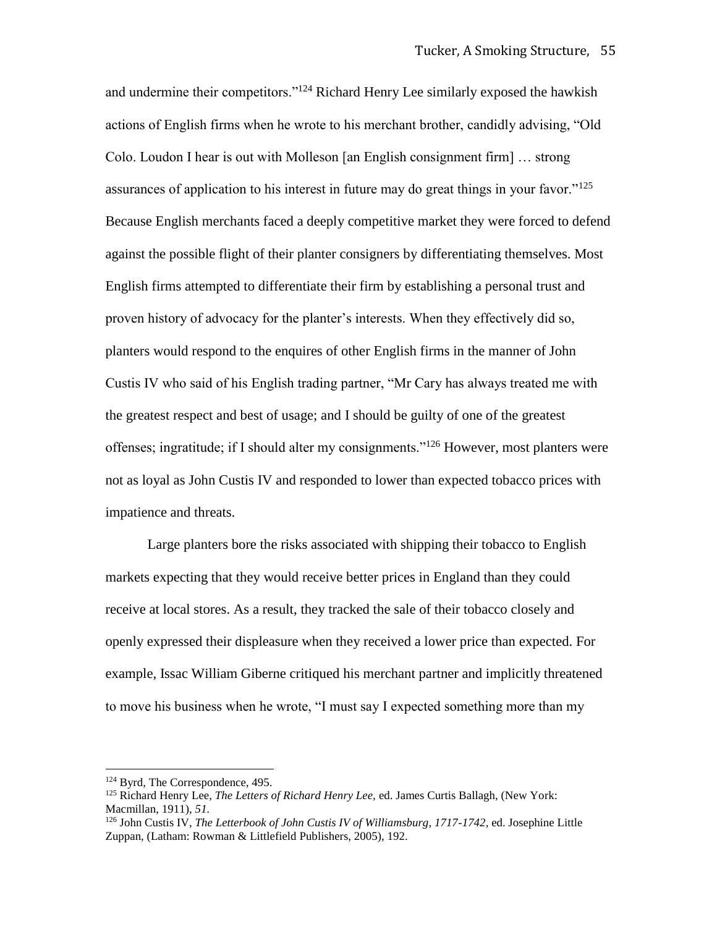and undermine their competitors."<sup>124</sup> Richard Henry Lee similarly exposed the hawkish actions of English firms when he wrote to his merchant brother, candidly advising, "Old Colo. Loudon I hear is out with Molleson [an English consignment firm] … strong assurances of application to his interest in future may do great things in your favor."<sup>125</sup> Because English merchants faced a deeply competitive market they were forced to defend against the possible flight of their planter consigners by differentiating themselves. Most English firms attempted to differentiate their firm by establishing a personal trust and proven history of advocacy for the planter's interests. When they effectively did so, planters would respond to the enquires of other English firms in the manner of John Custis IV who said of his English trading partner, "Mr Cary has always treated me with the greatest respect and best of usage; and I should be guilty of one of the greatest offenses; ingratitude; if I should alter my consignments."<sup>126</sup> However, most planters were not as loyal as John Custis IV and responded to lower than expected tobacco prices with impatience and threats.

Large planters bore the risks associated with shipping their tobacco to English markets expecting that they would receive better prices in England than they could receive at local stores. As a result, they tracked the sale of their tobacco closely and openly expressed their displeasure when they received a lower price than expected. For example, Issac William Giberne critiqued his merchant partner and implicitly threatened to move his business when he wrote, "I must say I expected something more than my

<sup>&</sup>lt;sup>124</sup> Byrd, The Correspondence, 495.

<sup>125</sup> Richard Henry Lee, *The Letters of Richard Henry Lee,* ed. James Curtis Ballagh, (New York: Macmillan, 1911), *51.*

<sup>&</sup>lt;sup>126</sup> John Custis IV, *The Letterbook of John Custis IV of Williamsburg, 1717-1742*, ed. Josephine Little Zuppan, (Latham: Rowman & Littlefield Publishers, 2005), 192.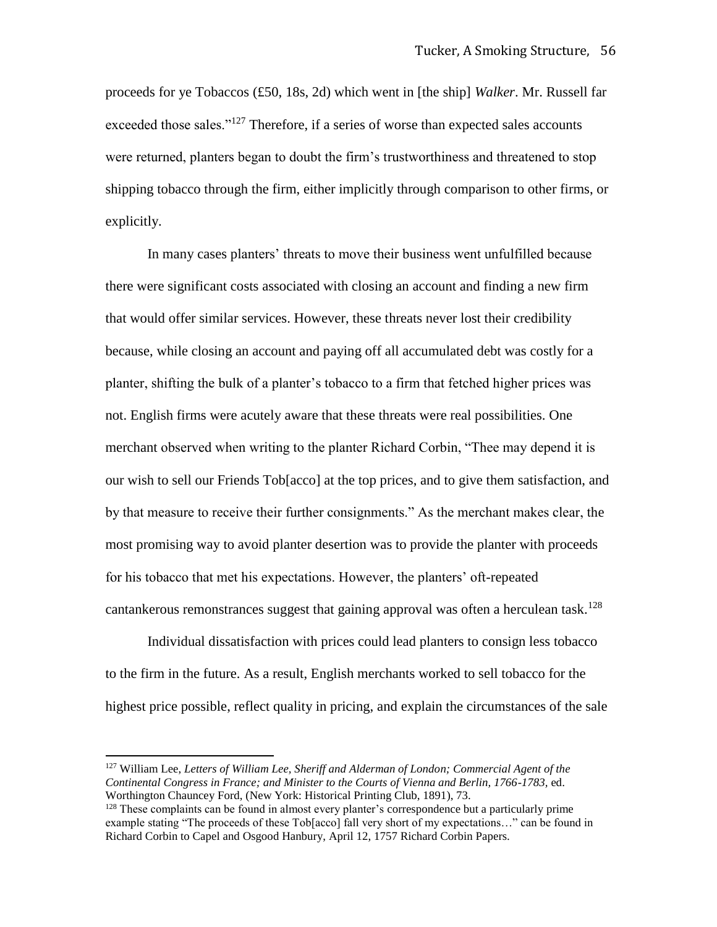proceeds for ye Tobaccos (£50, 18s, 2d) which went in [the ship] *Walker*. Mr. Russell far exceeded those sales."<sup>127</sup> Therefore, if a series of worse than expected sales accounts were returned, planters began to doubt the firm's trustworthiness and threatened to stop shipping tobacco through the firm, either implicitly through comparison to other firms, or explicitly.

In many cases planters' threats to move their business went unfulfilled because there were significant costs associated with closing an account and finding a new firm that would offer similar services. However, these threats never lost their credibility because, while closing an account and paying off all accumulated debt was costly for a planter, shifting the bulk of a planter's tobacco to a firm that fetched higher prices was not. English firms were acutely aware that these threats were real possibilities. One merchant observed when writing to the planter Richard Corbin, "Thee may depend it is our wish to sell our Friends Tob[acco] at the top prices, and to give them satisfaction, and by that measure to receive their further consignments." As the merchant makes clear, the most promising way to avoid planter desertion was to provide the planter with proceeds for his tobacco that met his expectations. However, the planters' oft-repeated cantankerous remonstrances suggest that gaining approval was often a herculean task.<sup>128</sup>

Individual dissatisfaction with prices could lead planters to consign less tobacco to the firm in the future. As a result, English merchants worked to sell tobacco for the highest price possible, reflect quality in pricing, and explain the circumstances of the sale

<sup>127</sup> William Lee, *Letters of William Lee, Sheriff and Alderman of London; Commercial Agent of the Continental Congress in France; and Minister to the Courts of Vienna and Berlin, 1766-1783,* ed. Worthington Chauncey Ford, (New York: Historical Printing Club, 1891), 73.

<sup>&</sup>lt;sup>128</sup> These complaints can be found in almost every planter's correspondence but a particularly prime example stating "The proceeds of these Tob[acco] fall very short of my expectations..." can be found in Richard Corbin to Capel and Osgood Hanbury, April 12, 1757 Richard Corbin Papers.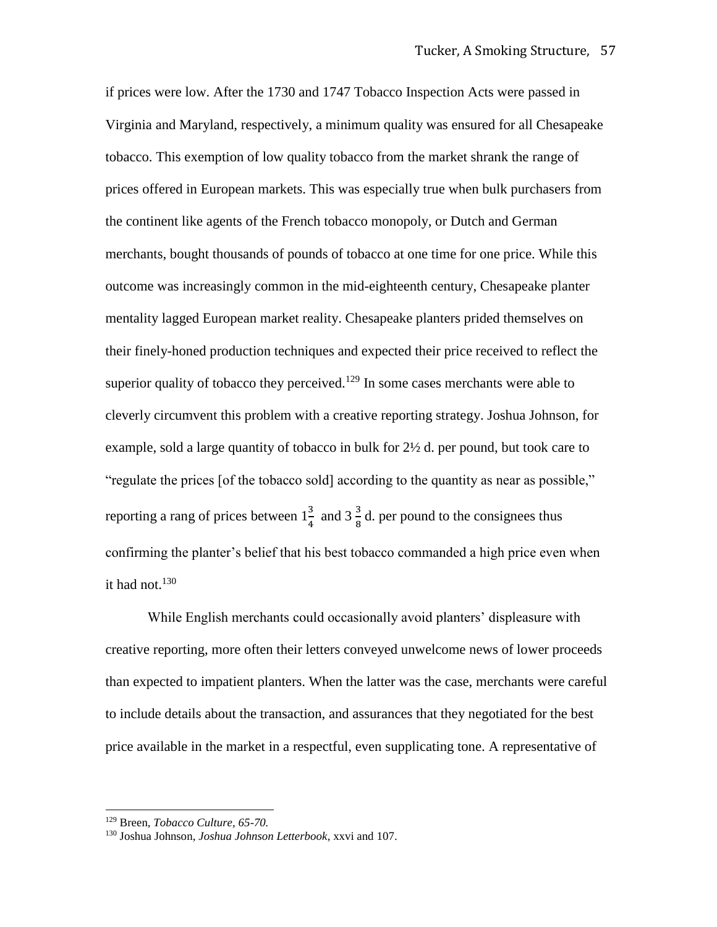if prices were low. After the 1730 and 1747 Tobacco Inspection Acts were passed in Virginia and Maryland, respectively, a minimum quality was ensured for all Chesapeake tobacco. This exemption of low quality tobacco from the market shrank the range of prices offered in European markets. This was especially true when bulk purchasers from the continent like agents of the French tobacco monopoly, or Dutch and German merchants, bought thousands of pounds of tobacco at one time for one price. While this outcome was increasingly common in the mid-eighteenth century, Chesapeake planter mentality lagged European market reality. Chesapeake planters prided themselves on their finely-honed production techniques and expected their price received to reflect the superior quality of tobacco they perceived.<sup>129</sup> In some cases merchants were able to cleverly circumvent this problem with a creative reporting strategy. Joshua Johnson, for example, sold a large quantity of tobacco in bulk for  $2\frac{1}{2}$  d. per pound, but took care to "regulate the prices [of the tobacco sold] according to the quantity as near as possible," reporting a rang of prices between  $1\frac{3}{4}$  and  $3\frac{3}{8}$  d. per pound to the consignees thus confirming the planter's belief that his best tobacco commanded a high price even when it had not. $130$ 

While English merchants could occasionally avoid planters' displeasure with creative reporting, more often their letters conveyed unwelcome news of lower proceeds than expected to impatient planters. When the latter was the case, merchants were careful to include details about the transaction, and assurances that they negotiated for the best price available in the market in a respectful, even supplicating tone. A representative of

l

<sup>129</sup> Breen, *Tobacco Culture, 65-70.* 

<sup>130</sup> Joshua Johnson, *Joshua Johnson Letterbook*, xxvi and 107.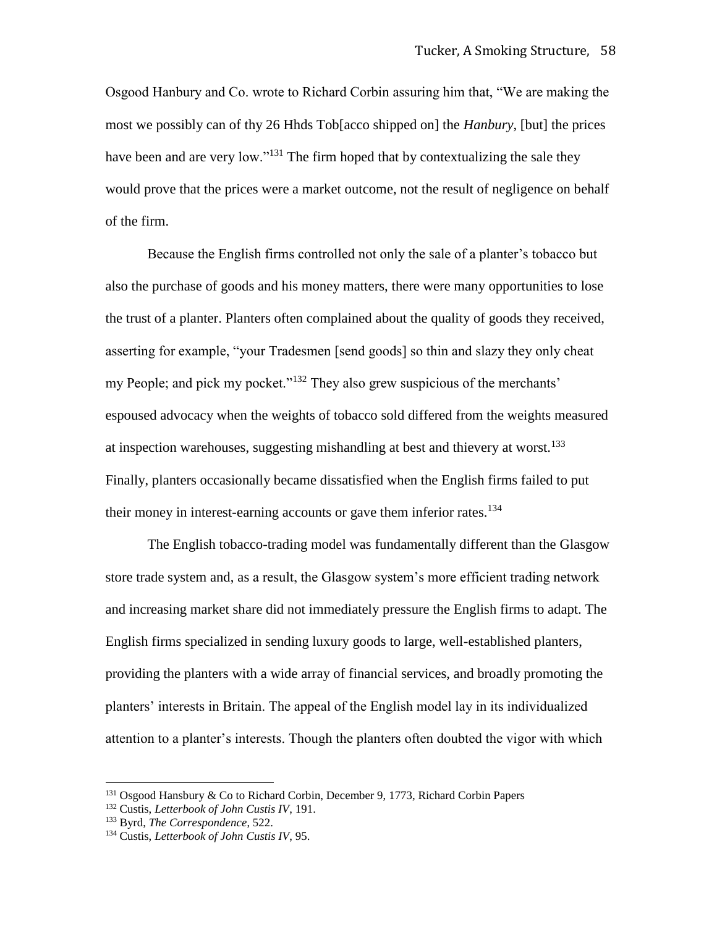Osgood Hanbury and Co. wrote to Richard Corbin assuring him that, "We are making the most we possibly can of thy 26 Hhds Tob[acco shipped on] the *Hanbury*, [but] the prices have been and are very low."<sup>131</sup> The firm hoped that by contextualizing the sale they would prove that the prices were a market outcome, not the result of negligence on behalf of the firm.

Because the English firms controlled not only the sale of a planter's tobacco but also the purchase of goods and his money matters, there were many opportunities to lose the trust of a planter. Planters often complained about the quality of goods they received, asserting for example, "your Tradesmen [send goods] so thin and slazy they only cheat my People; and pick my pocket."<sup>132</sup> They also grew suspicious of the merchants' espoused advocacy when the weights of tobacco sold differed from the weights measured at inspection warehouses, suggesting mishandling at best and thievery at worst.<sup>133</sup> Finally, planters occasionally became dissatisfied when the English firms failed to put their money in interest-earning accounts or gave them inferior rates.<sup>134</sup>

The English tobacco-trading model was fundamentally different than the Glasgow store trade system and, as a result, the Glasgow system's more efficient trading network and increasing market share did not immediately pressure the English firms to adapt. The English firms specialized in sending luxury goods to large, well-established planters, providing the planters with a wide array of financial services, and broadly promoting the planters' interests in Britain. The appeal of the English model lay in its individualized attention to a planter's interests. Though the planters often doubted the vigor with which

<sup>&</sup>lt;sup>131</sup> Osgood Hansbury & Co to Richard Corbin, December 9, 1773, Richard Corbin Papers

<sup>132</sup> Custis, *Letterbook of John Custis IV*, 191.

<sup>133</sup> Byrd, *The Correspondence*, 522.

<sup>134</sup> Custis, *Letterbook of John Custis IV*, 95.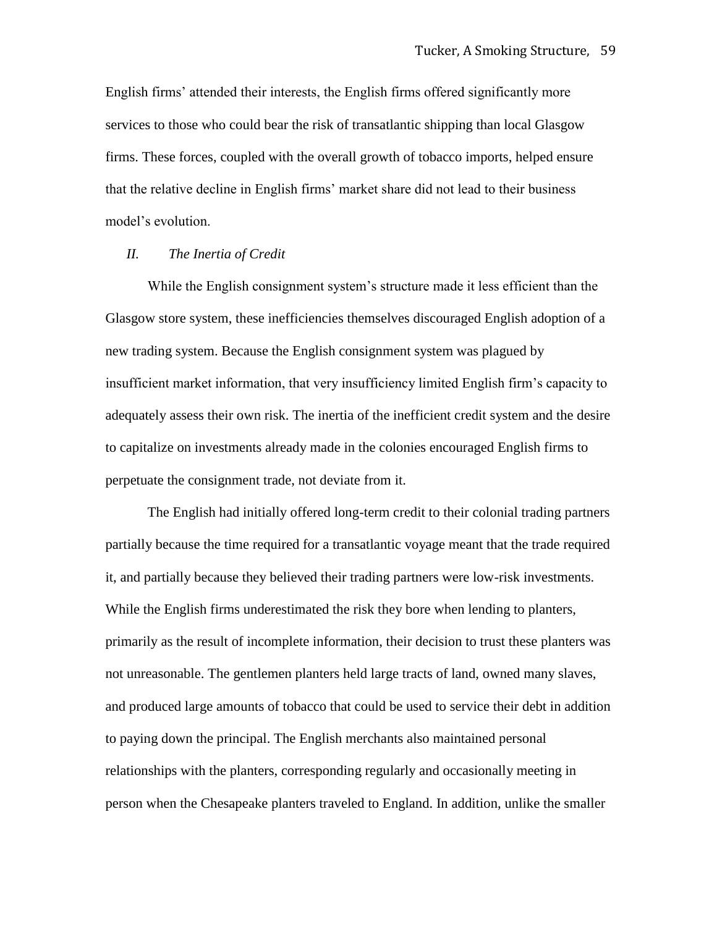English firms' attended their interests, the English firms offered significantly more services to those who could bear the risk of transatlantic shipping than local Glasgow firms. These forces, coupled with the overall growth of tobacco imports, helped ensure that the relative decline in English firms' market share did not lead to their business model's evolution.

## *II. The Inertia of Credit*

While the English consignment system's structure made it less efficient than the Glasgow store system, these inefficiencies themselves discouraged English adoption of a new trading system. Because the English consignment system was plagued by insufficient market information, that very insufficiency limited English firm's capacity to adequately assess their own risk. The inertia of the inefficient credit system and the desire to capitalize on investments already made in the colonies encouraged English firms to perpetuate the consignment trade, not deviate from it.

The English had initially offered long-term credit to their colonial trading partners partially because the time required for a transatlantic voyage meant that the trade required it, and partially because they believed their trading partners were low-risk investments. While the English firms underestimated the risk they bore when lending to planters, primarily as the result of incomplete information, their decision to trust these planters was not unreasonable. The gentlemen planters held large tracts of land, owned many slaves, and produced large amounts of tobacco that could be used to service their debt in addition to paying down the principal. The English merchants also maintained personal relationships with the planters, corresponding regularly and occasionally meeting in person when the Chesapeake planters traveled to England. In addition, unlike the smaller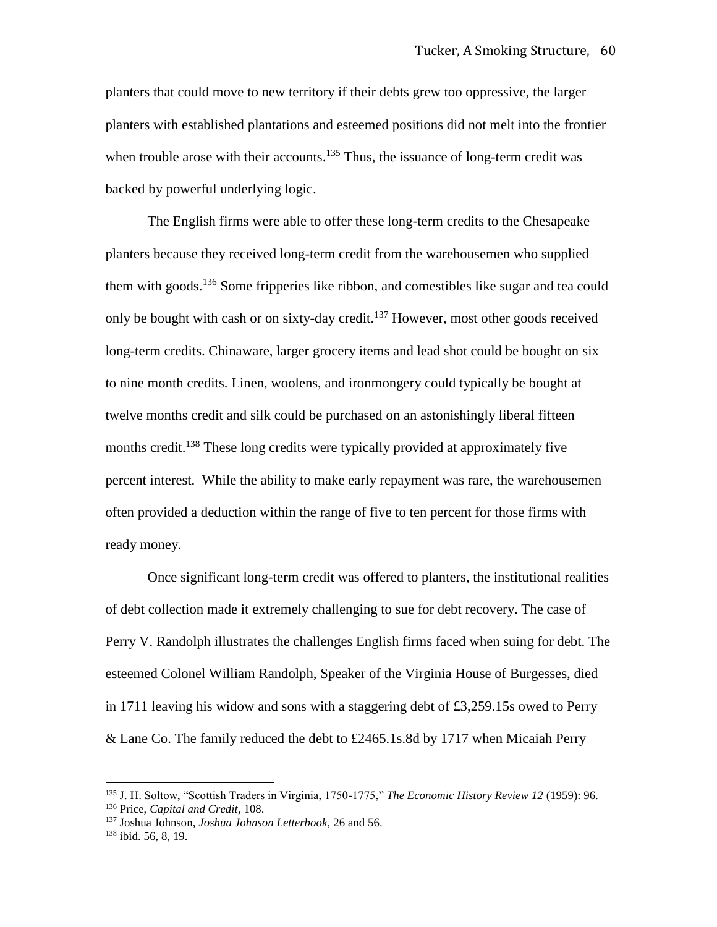planters that could move to new territory if their debts grew too oppressive, the larger planters with established plantations and esteemed positions did not melt into the frontier when trouble arose with their accounts.<sup>135</sup> Thus, the issuance of long-term credit was backed by powerful underlying logic.

The English firms were able to offer these long-term credits to the Chesapeake planters because they received long-term credit from the warehousemen who supplied them with goods.<sup>136</sup> Some fripperies like ribbon, and comestibles like sugar and tea could only be bought with cash or on sixty-day credit.<sup>137</sup> However, most other goods received long-term credits. Chinaware, larger grocery items and lead shot could be bought on six to nine month credits. Linen, woolens, and ironmongery could typically be bought at twelve months credit and silk could be purchased on an astonishingly liberal fifteen months credit.<sup>138</sup> These long credits were typically provided at approximately five percent interest. While the ability to make early repayment was rare, the warehousemen often provided a deduction within the range of five to ten percent for those firms with ready money.

Once significant long-term credit was offered to planters, the institutional realities of debt collection made it extremely challenging to sue for debt recovery. The case of Perry V. Randolph illustrates the challenges English firms faced when suing for debt. The esteemed Colonel William Randolph, Speaker of the Virginia House of Burgesses, died in 1711 leaving his widow and sons with a staggering debt of £3,259.15s owed to Perry & Lane Co. The family reduced the debt to £2465.1s.8d by 1717 when Micaiah Perry

<sup>135</sup> J. H. Soltow, "Scottish Traders in Virginia, 1750-1775," *The Economic History Review 12* (1959): 96. <sup>136</sup> Price, *Capital and Credit*, 108.

<sup>137</sup> Joshua Johnson, *Joshua Johnson Letterbook,* 26 and 56. <sup>138</sup> ibid. 56, 8, 19.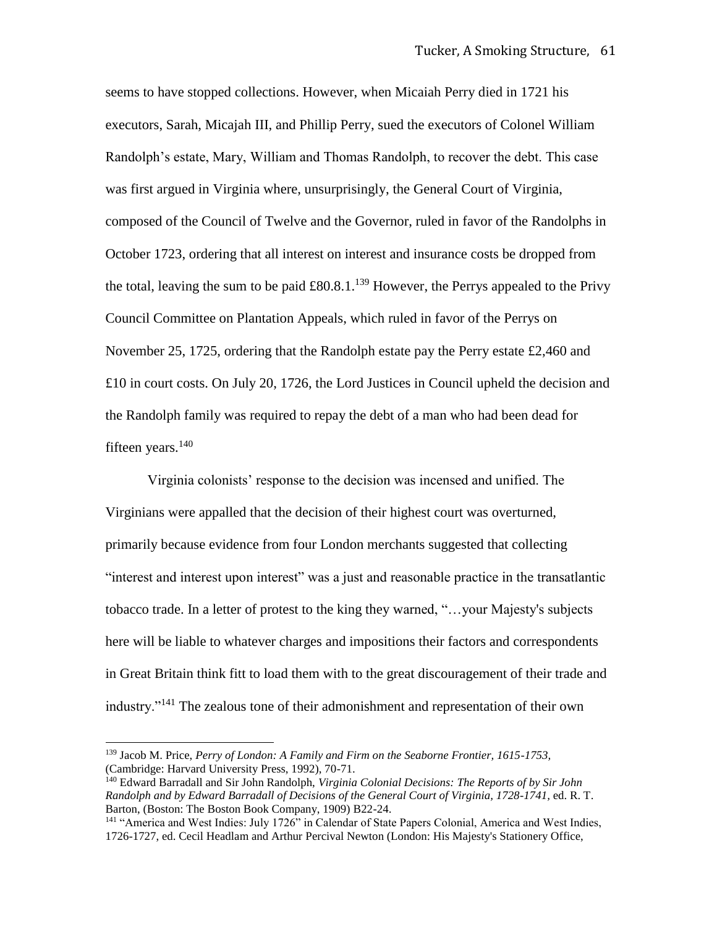seems to have stopped collections. However, when Micaiah Perry died in 1721 his executors, Sarah, Micajah III, and Phillip Perry, sued the executors of Colonel William Randolph's estate, Mary, William and Thomas Randolph, to recover the debt. This case was first argued in Virginia where, unsurprisingly, the General Court of Virginia, composed of the Council of Twelve and the Governor, ruled in favor of the Randolphs in October 1723, ordering that all interest on interest and insurance costs be dropped from the total, leaving the sum to be paid  $\pounds 80.8.1$ .<sup>139</sup> However, the Perrys appealed to the Privy Council Committee on Plantation Appeals, which ruled in favor of the Perrys on November 25, 1725, ordering that the Randolph estate pay the Perry estate £2,460 and £10 in court costs. On July 20, 1726, the Lord Justices in Council upheld the decision and the Randolph family was required to repay the debt of a man who had been dead for fifteen years. $140$ 

Virginia colonists' response to the decision was incensed and unified. The Virginians were appalled that the decision of their highest court was overturned, primarily because evidence from four London merchants suggested that collecting "interest and interest upon interest" was a just and reasonable practice in the transatlantic tobacco trade. In a letter of protest to the king they warned, "…your Majesty's subjects here will be liable to whatever charges and impositions their factors and correspondents in Great Britain think fitt to load them with to the great discouragement of their trade and industry."<sup>141</sup> The zealous tone of their admonishment and representation of their own

<sup>139</sup> Jacob M. Price, *Perry of London: A Family and Firm on the Seaborne Frontier, 1615-1753,* (Cambridge: Harvard University Press, 1992), 70-71.

<sup>140</sup> Edward Barradall and Sir John Randolph, *Virginia Colonial Decisions: The Reports of by Sir John Randolph and by Edward Barradall of Decisions of the General Court of Virginia, 1728-1741,* ed. R. T. Barton, (Boston: The Boston Book Company, 1909) B22-24.

<sup>&</sup>lt;sup>141</sup> "America and West Indies: July 1726" in Calendar of State Papers Colonial, America and West Indies, 1726-1727, ed. Cecil Headlam and Arthur Percival Newton (London: His Majesty's Stationery Office,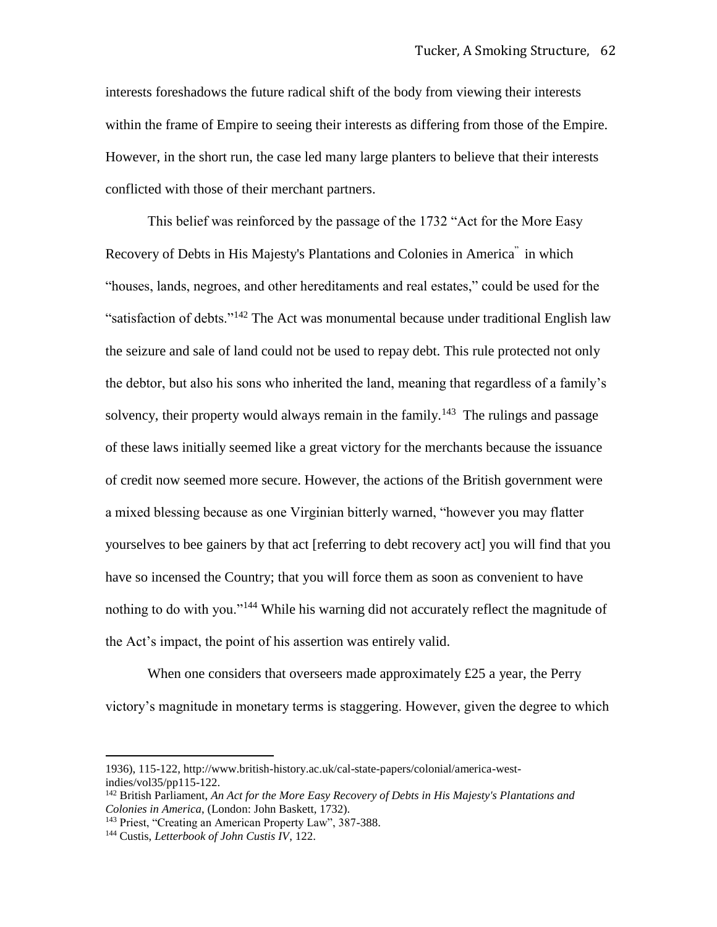interests foreshadows the future radical shift of the body from viewing their interests within the frame of Empire to seeing their interests as differing from those of the Empire. However, in the short run, the case led many large planters to believe that their interests conflicted with those of their merchant partners.

This belief was reinforced by the passage of the 1732 "Act for the More Easy Recovery of Debts in His Majesty's Plantations and Colonies in America<sup>"</sup> in which "houses, lands, negroes, and other hereditaments and real estates," could be used for the "satisfaction of debts."<sup>142</sup> The Act was monumental because under traditional English law the seizure and sale of land could not be used to repay debt. This rule protected not only the debtor, but also his sons who inherited the land, meaning that regardless of a family's solvency, their property would always remain in the family.<sup>143</sup> The rulings and passage of these laws initially seemed like a great victory for the merchants because the issuance of credit now seemed more secure. However, the actions of the British government were a mixed blessing because as one Virginian bitterly warned, "however you may flatter yourselves to bee gainers by that act [referring to debt recovery act] you will find that you have so incensed the Country; that you will force them as soon as convenient to have nothing to do with you."<sup>144</sup> While his warning did not accurately reflect the magnitude of the Act's impact, the point of his assertion was entirely valid.

When one considers that overseers made approximately £25 a year, the Perry victory's magnitude in monetary terms is staggering. However, given the degree to which

<sup>1936), 115-122,</sup> http://www.british-history.ac.uk/cal-state-papers/colonial/america-westindies/vol35/pp115-122.

<sup>142</sup> British Parliament, *An Act for the More Easy Recovery of Debts in His Majesty's Plantations and Colonies in America*, (London: John Baskett, 1732).

<sup>143</sup> Priest, "Creating an American Property Law", 387-388.

<sup>144</sup> Custis, *Letterbook of John Custis IV*, 122.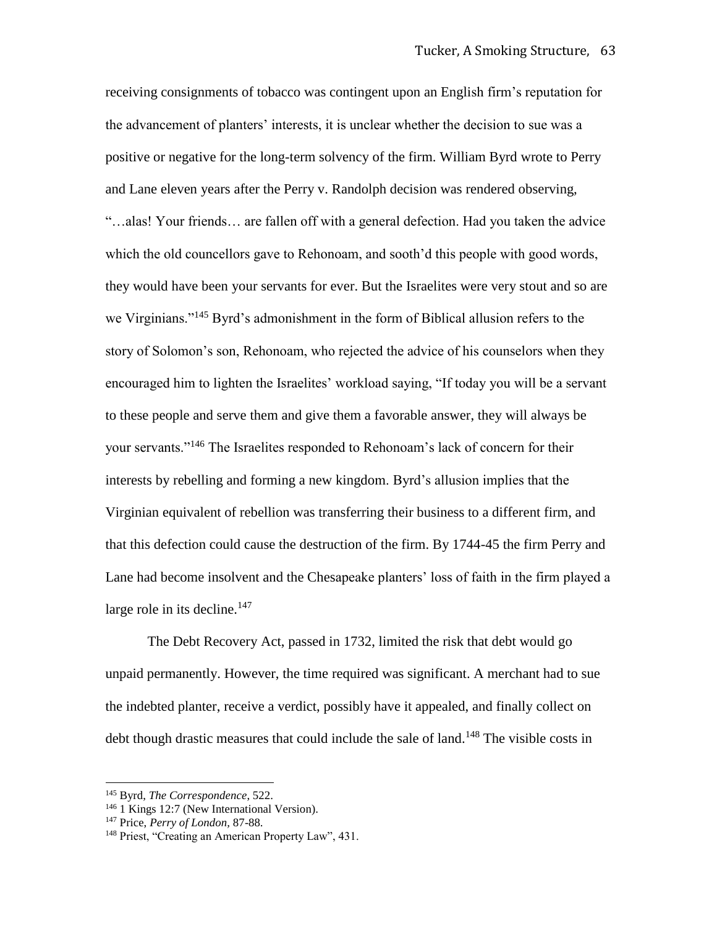receiving consignments of tobacco was contingent upon an English firm's reputation for the advancement of planters' interests, it is unclear whether the decision to sue was a positive or negative for the long-term solvency of the firm. William Byrd wrote to Perry and Lane eleven years after the Perry v. Randolph decision was rendered observing, "…alas! Your friends… are fallen off with a general defection. Had you taken the advice which the old councellors gave to Rehonoam, and sooth'd this people with good words, they would have been your servants for ever. But the Israelites were very stout and so are we Virginians."<sup>145</sup> Byrd's admonishment in the form of Biblical allusion refers to the story of Solomon's son, Rehonoam, who rejected the advice of his counselors when they encouraged him to lighten the Israelites' workload saying, "If today you will be a servant to these people and serve them and give them a favorable answer, they will always be your servants."<sup>146</sup> The Israelites responded to Rehonoam's lack of concern for their interests by rebelling and forming a new kingdom. Byrd's allusion implies that the Virginian equivalent of rebellion was transferring their business to a different firm, and that this defection could cause the destruction of the firm. By 1744-45 the firm Perry and Lane had become insolvent and the Chesapeake planters' loss of faith in the firm played a large role in its decline. $147$ 

The Debt Recovery Act, passed in 1732, limited the risk that debt would go unpaid permanently. However, the time required was significant. A merchant had to sue the indebted planter, receive a verdict, possibly have it appealed, and finally collect on debt though drastic measures that could include the sale of land.<sup>148</sup> The visible costs in

<sup>145</sup> Byrd, *The Correspondence*, 522.

<sup>146</sup> 1 Kings 12:7 (New International Version).

<sup>147</sup> Price, *Perry of London,* 87-88.

<sup>148</sup> Priest, "Creating an American Property Law", 431.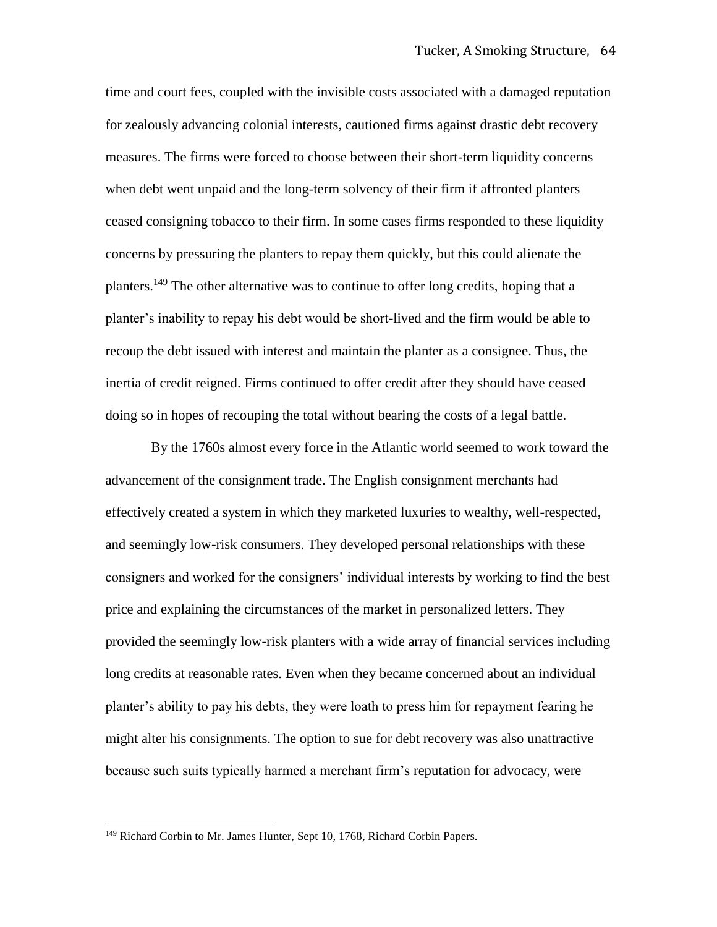time and court fees, coupled with the invisible costs associated with a damaged reputation for zealously advancing colonial interests, cautioned firms against drastic debt recovery measures. The firms were forced to choose between their short-term liquidity concerns when debt went unpaid and the long-term solvency of their firm if affronted planters ceased consigning tobacco to their firm. In some cases firms responded to these liquidity concerns by pressuring the planters to repay them quickly, but this could alienate the planters.<sup>149</sup> The other alternative was to continue to offer long credits, hoping that a planter's inability to repay his debt would be short-lived and the firm would be able to recoup the debt issued with interest and maintain the planter as a consignee. Thus, the inertia of credit reigned. Firms continued to offer credit after they should have ceased doing so in hopes of recouping the total without bearing the costs of a legal battle.

By the 1760s almost every force in the Atlantic world seemed to work toward the advancement of the consignment trade. The English consignment merchants had effectively created a system in which they marketed luxuries to wealthy, well-respected, and seemingly low-risk consumers. They developed personal relationships with these consigners and worked for the consigners' individual interests by working to find the best price and explaining the circumstances of the market in personalized letters. They provided the seemingly low-risk planters with a wide array of financial services including long credits at reasonable rates. Even when they became concerned about an individual planter's ability to pay his debts, they were loath to press him for repayment fearing he might alter his consignments. The option to sue for debt recovery was also unattractive because such suits typically harmed a merchant firm's reputation for advocacy, were

<sup>&</sup>lt;sup>149</sup> Richard Corbin to Mr. James Hunter, Sept 10, 1768, Richard Corbin Papers.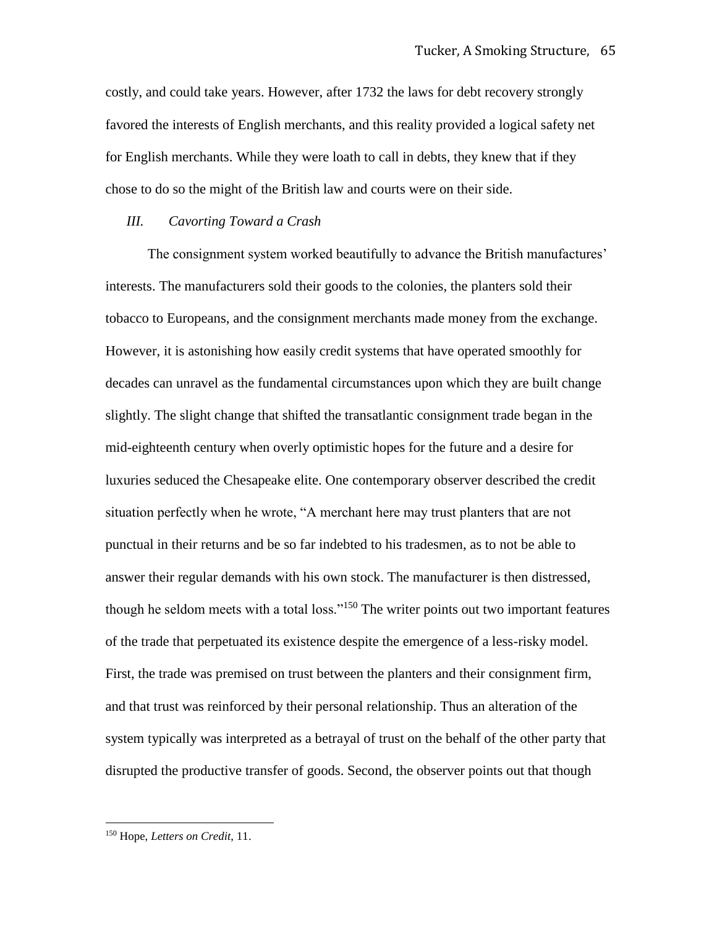costly, and could take years. However, after 1732 the laws for debt recovery strongly favored the interests of English merchants, and this reality provided a logical safety net for English merchants. While they were loath to call in debts, they knew that if they chose to do so the might of the British law and courts were on their side.

### *III. Cavorting Toward a Crash*

The consignment system worked beautifully to advance the British manufactures' interests. The manufacturers sold their goods to the colonies, the planters sold their tobacco to Europeans, and the consignment merchants made money from the exchange. However, it is astonishing how easily credit systems that have operated smoothly for decades can unravel as the fundamental circumstances upon which they are built change slightly. The slight change that shifted the transatlantic consignment trade began in the mid-eighteenth century when overly optimistic hopes for the future and a desire for luxuries seduced the Chesapeake elite. One contemporary observer described the credit situation perfectly when he wrote, "A merchant here may trust planters that are not punctual in their returns and be so far indebted to his tradesmen, as to not be able to answer their regular demands with his own stock. The manufacturer is then distressed, though he seldom meets with a total loss."<sup>150</sup> The writer points out two important features of the trade that perpetuated its existence despite the emergence of a less-risky model. First, the trade was premised on trust between the planters and their consignment firm, and that trust was reinforced by their personal relationship. Thus an alteration of the system typically was interpreted as a betrayal of trust on the behalf of the other party that disrupted the productive transfer of goods. Second, the observer points out that though

<sup>150</sup> Hope, *Letters on Credit*, 11.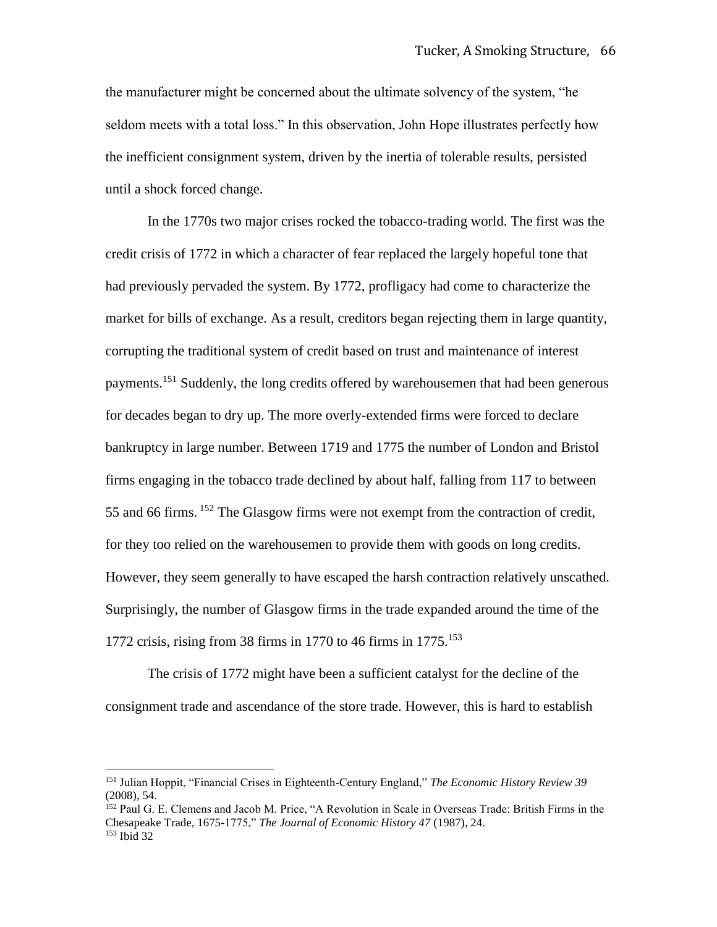the manufacturer might be concerned about the ultimate solvency of the system, "he seldom meets with a total loss." In this observation, John Hope illustrates perfectly how the inefficient consignment system, driven by the inertia of tolerable results, persisted until a shock forced change.

In the 1770s two major crises rocked the tobacco-trading world. The first was the credit crisis of 1772 in which a character of fear replaced the largely hopeful tone that had previously pervaded the system. By 1772, profligacy had come to characterize the market for bills of exchange. As a result, creditors began rejecting them in large quantity, corrupting the traditional system of credit based on trust and maintenance of interest payments.<sup>151</sup> Suddenly, the long credits offered by warehousemen that had been generous for decades began to dry up. The more overly-extended firms were forced to declare bankruptcy in large number. Between 1719 and 1775 the number of London and Bristol firms engaging in the tobacco trade declined by about half, falling from 117 to between 55 and 66 firms. <sup>152</sup> The Glasgow firms were not exempt from the contraction of credit, for they too relied on the warehousemen to provide them with goods on long credits. However, they seem generally to have escaped the harsh contraction relatively unscathed. Surprisingly, the number of Glasgow firms in the trade expanded around the time of the 1772 crisis, rising from 38 firms in 1770 to 46 firms in  $1775$ .<sup>153</sup>

The crisis of 1772 might have been a sufficient catalyst for the decline of the consignment trade and ascendance of the store trade. However, this is hard to establish

<sup>151</sup> Julian Hoppit, "Financial Crises in Eighteenth-Century England," *The Economic History Review 39*  (2008), 54.

<sup>152</sup> Paul G. E. Clemens and Jacob M. Price, "A Revolution in Scale in Overseas Trade: British Firms in the Chesapeake Trade, 1675-1775," *The Journal of Economic History 47* (1987), 24.  $153$  Ibid 32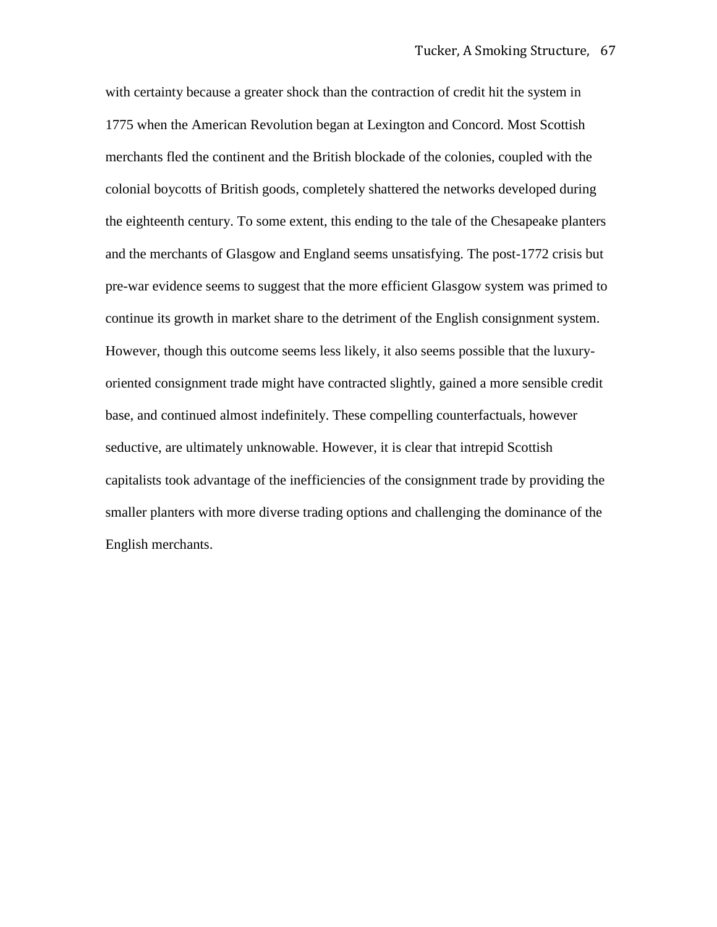with certainty because a greater shock than the contraction of credit hit the system in 1775 when the American Revolution began at Lexington and Concord. Most Scottish merchants fled the continent and the British blockade of the colonies, coupled with the colonial boycotts of British goods, completely shattered the networks developed during the eighteenth century. To some extent, this ending to the tale of the Chesapeake planters and the merchants of Glasgow and England seems unsatisfying. The post-1772 crisis but pre-war evidence seems to suggest that the more efficient Glasgow system was primed to continue its growth in market share to the detriment of the English consignment system. However, though this outcome seems less likely, it also seems possible that the luxuryoriented consignment trade might have contracted slightly, gained a more sensible credit base, and continued almost indefinitely. These compelling counterfactuals, however seductive, are ultimately unknowable. However, it is clear that intrepid Scottish capitalists took advantage of the inefficiencies of the consignment trade by providing the smaller planters with more diverse trading options and challenging the dominance of the English merchants.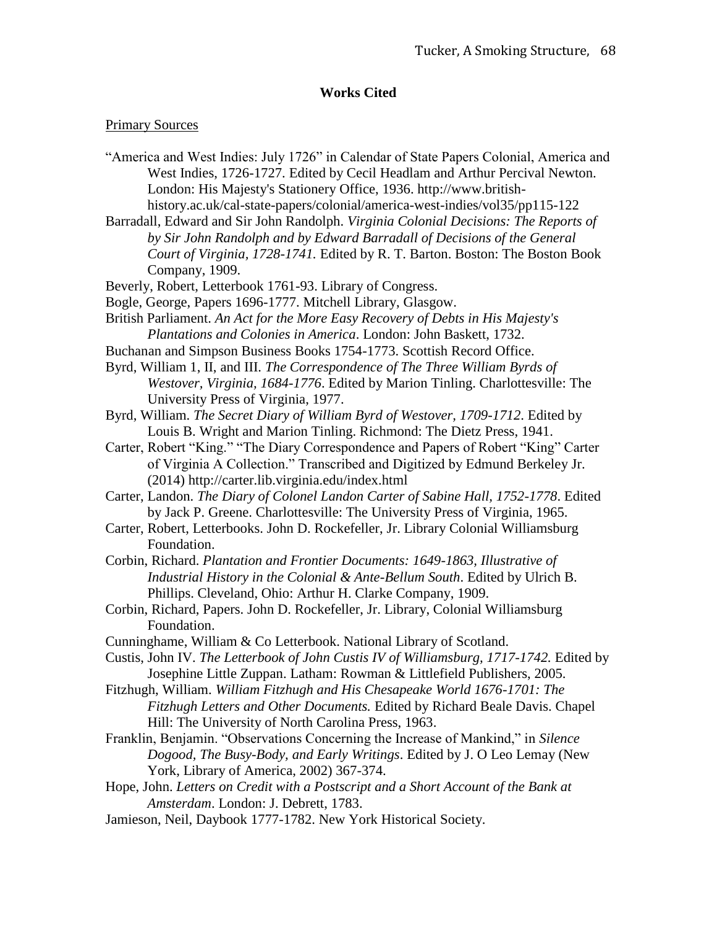# **Works Cited**

### Primary Sources

- "America and West Indies: July 1726" in Calendar of State Papers Colonial, America and West Indies, 1726-1727. Edited by Cecil Headlam and Arthur Percival Newton. London: His Majesty's Stationery Office, 1936. http://www.britishhistory.ac.uk/cal-state-papers/colonial/america-west-indies/vol35/pp115-122
- Barradall, Edward and Sir John Randolph. *Virginia Colonial Decisions: The Reports of by Sir John Randolph and by Edward Barradall of Decisions of the General Court of Virginia, 1728-1741.* Edited by R. T. Barton. Boston: The Boston Book Company, 1909.
- Beverly, Robert, Letterbook 1761-93. Library of Congress.
- Bogle, George, Papers 1696-1777. Mitchell Library, Glasgow.
- British Parliament. *An Act for the More Easy Recovery of Debts in His Majesty's Plantations and Colonies in America*. London: John Baskett, 1732.
- Buchanan and Simpson Business Books 1754-1773. Scottish Record Office.
- Byrd, William 1, II, and III. *The Correspondence of The Three William Byrds of Westover, Virginia, 1684-1776*. Edited by Marion Tinling. Charlottesville: The University Press of Virginia, 1977.
- Byrd, William. *The Secret Diary of William Byrd of Westover, 1709-1712*. Edited by Louis B. Wright and Marion Tinling. Richmond: The Dietz Press, 1941.
- Carter, Robert "King." "The Diary Correspondence and Papers of Robert "King" Carter of Virginia A Collection." Transcribed and Digitized by Edmund Berkeley Jr. (2014) http://carter.lib.virginia.edu/index.html
- Carter, Landon. *The Diary of Colonel Landon Carter of Sabine Hall, 1752-1778*. Edited by Jack P. Greene. Charlottesville: The University Press of Virginia, 1965.
- Carter, Robert, Letterbooks. John D. Rockefeller, Jr. Library Colonial Williamsburg Foundation.
- Corbin, Richard. *Plantation and Frontier Documents: 1649-1863, Illustrative of Industrial History in the Colonial & Ante-Bellum South*. Edited by Ulrich B. Phillips. Cleveland, Ohio: Arthur H. Clarke Company, 1909.
- Corbin, Richard, Papers. John D. Rockefeller, Jr. Library, Colonial Williamsburg Foundation.
- Cunninghame, William & Co Letterbook. National Library of Scotland.
- Custis, John IV. *The Letterbook of John Custis IV of Williamsburg, 1717-1742.* Edited by Josephine Little Zuppan. Latham: Rowman & Littlefield Publishers, 2005.
- Fitzhugh, William. *William Fitzhugh and His Chesapeake World 1676-1701: The Fitzhugh Letters and Other Documents.* Edited by Richard Beale Davis. Chapel Hill: The University of North Carolina Press, 1963.
- Franklin, Benjamin. "Observations Concerning the Increase of Mankind," in *Silence Dogood, The Busy-Body, and Early Writings*. Edited by J. O Leo Lemay (New York, Library of America, 2002) 367-374.
- Hope, John. *Letters on Credit with a Postscript and a Short Account of the Bank at Amsterdam*. London: J. Debrett, 1783.
- Jamieson, Neil, Daybook 1777-1782. New York Historical Society.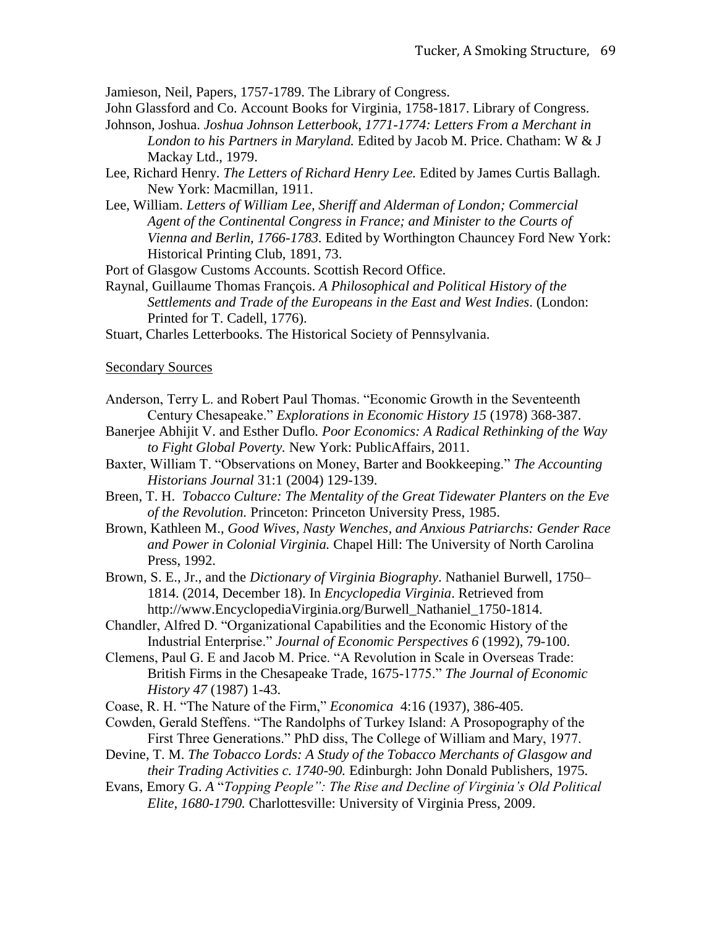Jamieson, Neil, Papers, 1757-1789. The Library of Congress.

John Glassford and Co. Account Books for Virginia, 1758-1817. Library of Congress.

- Johnson, Joshua. *Joshua Johnson Letterbook, 1771-1774: Letters From a Merchant in London to his Partners in Maryland.* Edited by Jacob M. Price. Chatham: W & J Mackay Ltd., 1979.
- Lee, Richard Henry. *The Letters of Richard Henry Lee.* Edited by James Curtis Ballagh. New York: Macmillan, 1911.
- Lee, William. *Letters of William Lee, Sheriff and Alderman of London; Commercial Agent of the Continental Congress in France; and Minister to the Courts of Vienna and Berlin, 1766-1783.* Edited by Worthington Chauncey Ford New York: Historical Printing Club, 1891, 73.
- Port of Glasgow Customs Accounts. Scottish Record Office.
- Raynal, Guillaume Thomas François. *A Philosophical and Political History of the Settlements and Trade of the Europeans in the East and West Indies*. (London: Printed for T. Cadell, 1776).
- Stuart, Charles Letterbooks. The Historical Society of Pennsylvania.

Secondary Sources

- Anderson, Terry L. and Robert Paul Thomas. "Economic Growth in the Seventeenth Century Chesapeake." *Explorations in Economic History 15* (1978) 368-387.
- Banerjee Abhijit V. and Esther Duflo*. Poor Economics: A Radical Rethinking of the Way to Fight Global Poverty.* New York: PublicAffairs, 2011.
- Baxter, William T. "Observations on Money, Barter and Bookkeeping." *The Accounting Historians Journal* 31:1 (2004) 129-139.
- Breen, T. H. *Tobacco Culture: The Mentality of the Great Tidewater Planters on the Eve of the Revolution.* Princeton: Princeton University Press, 1985.
- Brown, Kathleen M., *Good Wives, Nasty Wenches, and Anxious Patriarchs: Gender Race and Power in Colonial Virginia.* Chapel Hill: The University of North Carolina Press, 1992.
- Brown, S. E., Jr., and the *Dictionary of Virginia Biography*. Nathaniel Burwell, 1750– 1814. (2014, December 18). In *Encyclopedia Virginia*. Retrieved from http://www.EncyclopediaVirginia.org/Burwell\_Nathaniel\_1750-1814.
- Chandler, Alfred D. "Organizational Capabilities and the Economic History of the Industrial Enterprise." *Journal of Economic Perspectives 6* (1992), 79-100.
- Clemens, Paul G. E and Jacob M. Price. "A Revolution in Scale in Overseas Trade: British Firms in the Chesapeake Trade, 1675-1775." *The Journal of Economic History 47* (1987) 1-43.
- Coase, R. H. "The Nature of the Firm," *Economica* 4:16 (1937), 386-405.
- Cowden, Gerald Steffens. "The Randolphs of Turkey Island: A Prosopography of the First Three Generations." PhD diss, The College of William and Mary, 1977.
- Devine, T. M. *The Tobacco Lords: A Study of the Tobacco Merchants of Glasgow and their Trading Activities c. 1740-90.* Edinburgh: John Donald Publishers, 1975.
- Evans, Emory G. *A* "*Topping People": The Rise and Decline of Virginia's Old Political Elite, 1680-1790.* Charlottesville: University of Virginia Press, 2009.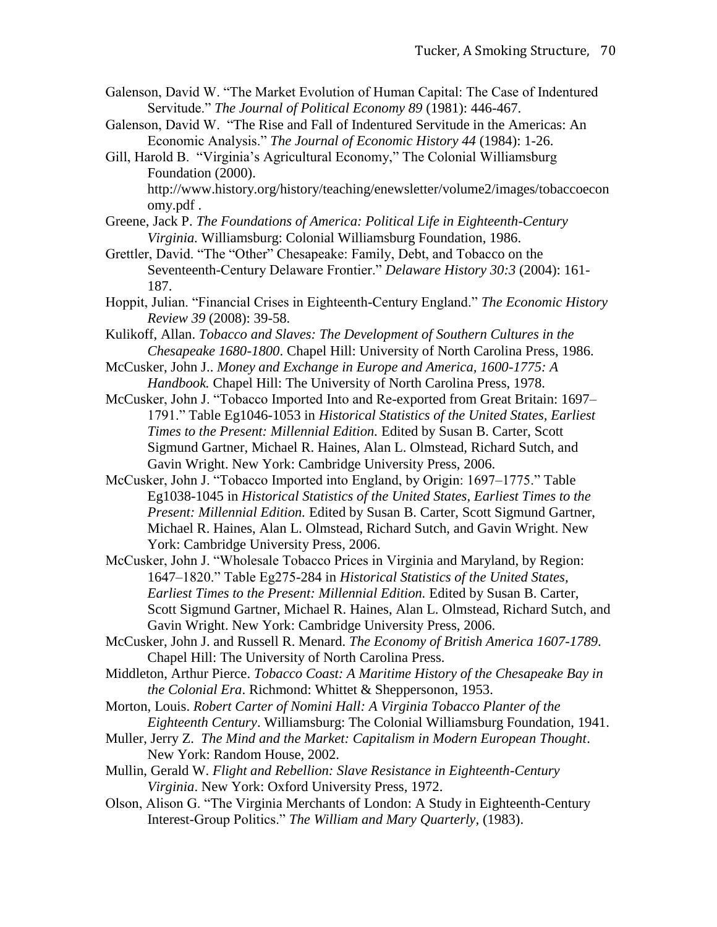- Galenson, David W. "The Market Evolution of Human Capital: The Case of Indentured Servitude." *The Journal of Political Economy 89* (1981): 446-467.
- Galenson, David W. "The Rise and Fall of Indentured Servitude in the Americas: An Economic Analysis." *The Journal of Economic History 44* (1984): 1-26.
- Gill, Harold B. "Virginia's Agricultural Economy," The Colonial Williamsburg Foundation (2000).

http://www.history.org/history/teaching/enewsletter/volume2/images/tobaccoecon omy.pdf .

Greene, Jack P. *The Foundations of America: Political Life in Eighteenth-Century Virginia.* Williamsburg: Colonial Williamsburg Foundation, 1986.

Grettler, David. "The "Other" Chesapeake: Family, Debt, and Tobacco on the Seventeenth-Century Delaware Frontier." *Delaware History 30:3* (2004): 161- 187.

- Hoppit, Julian. "Financial Crises in Eighteenth-Century England." *The Economic History Review 39* (2008): 39-58.
- Kulikoff, Allan. *Tobacco and Slaves: The Development of Southern Cultures in the Chesapeake 1680-1800*. Chapel Hill: University of North Carolina Press, 1986.
- McCusker, John J.. *Money and Exchange in Europe and America, 1600-1775: A Handbook.* Chapel Hill: The University of North Carolina Press, 1978.
- McCusker, John J. "Tobacco Imported Into and Re-exported from Great Britain: 1697– 1791." Table Eg1046-1053 in *Historical Statistics of the United States, Earliest Times to the Present: Millennial Edition.* Edited by Susan B. Carter, Scott Sigmund Gartner, Michael R. Haines, Alan L. Olmstead, Richard Sutch, and Gavin Wright. New York: Cambridge University Press, 2006.
- McCusker, John J. "Tobacco Imported into England, by Origin: 1697–1775." Table Eg1038-1045 in *Historical Statistics of the United States, Earliest Times to the Present: Millennial Edition.* Edited by Susan B. Carter, Scott Sigmund Gartner, Michael R. Haines, Alan L. Olmstead, Richard Sutch, and Gavin Wright. New York: Cambridge University Press, 2006.
- McCusker, John J. "Wholesale Tobacco Prices in Virginia and Maryland, by Region: 1647–1820." Table Eg275-284 in *Historical Statistics of the United States, Earliest Times to the Present: Millennial Edition.* Edited by Susan B. Carter, Scott Sigmund Gartner, Michael R. Haines, Alan L. Olmstead, Richard Sutch, and Gavin Wright. New York: Cambridge University Press, 2006.
- McCusker, John J. and Russell R. Menard. *The Economy of British America 1607-1789*. Chapel Hill: The University of North Carolina Press.
- Middleton, Arthur Pierce. *Tobacco Coast: A Maritime History of the Chesapeake Bay in the Colonial Era*. Richmond: Whittet & Sheppersonon, 1953.
- Morton, Louis. *Robert Carter of Nomini Hall: A Virginia Tobacco Planter of the Eighteenth Century*. Williamsburg: The Colonial Williamsburg Foundation, 1941.
- Muller, Jerry Z. *The Mind and the Market: Capitalism in Modern European Thought*. New York: Random House, 2002.
- Mullin, Gerald W. *Flight and Rebellion: Slave Resistance in Eighteenth-Century Virginia*. New York: Oxford University Press, 1972.
- Olson, Alison G. "The Virginia Merchants of London: A Study in Eighteenth-Century Interest-Group Politics." *The William and Mary Quarterly,* (1983).